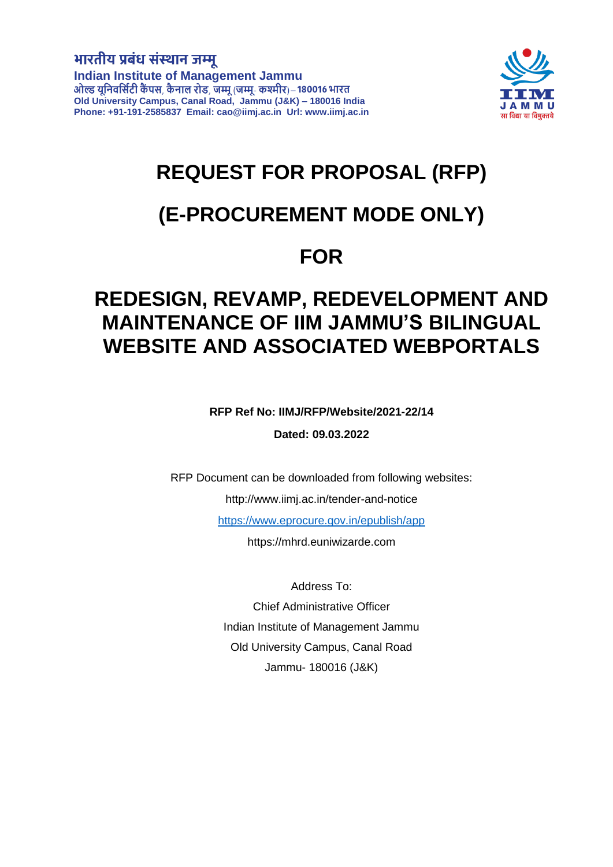# भारतीय प्रबंध संस्थान जम्मू

**Indian Institute of Management Jammu Old University Campus, Canal Road, Jammu (J&K) – 180016 India Phone: +91-191-2585837 Email: [cao@iimj.ac.in](mailto:info@iimj.ac.in) Url: www.iimj.ac.in**



# **REQUEST FOR PROPOSAL (RFP)**

# **(E-PROCUREMENT MODE ONLY)**

# **FOR**

# **REDESIGN, REVAMP, REDEVELOPMENT AND MAINTENANCE OF IIM JAMMU'S BILINGUAL WEBSITE AND ASSOCIATED WEBPORTALS**

**RFP Ref No: IIMJ/RFP/Website/2021-22/14**

**Dated: 09.03.2022**

RFP Document can be downloaded from following websites:

<http://www.iimj.ac.in/tender-and-notice>

<https://www.eprocure.gov.in/epublish/app>

https://mhrd.euniwizarde.com

Address To: Chief Administrative Officer Indian Institute of Management Jammu Old University Campus, Canal Road Jammu- 180016 (J&K)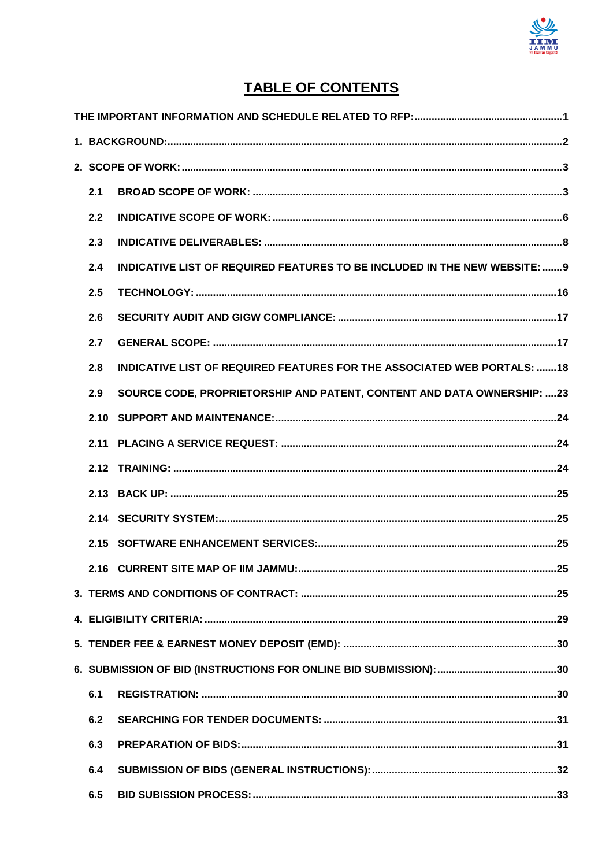

# **TABLE OF CONTENTS**

| 2.1 |                                                                                  |  |  |  |  |
|-----|----------------------------------------------------------------------------------|--|--|--|--|
| 2.2 |                                                                                  |  |  |  |  |
| 2.3 |                                                                                  |  |  |  |  |
| 2.4 | <b>INDICATIVE LIST OF REQUIRED FEATURES TO BE INCLUDED IN THE NEW WEBSITE: 9</b> |  |  |  |  |
| 2.5 |                                                                                  |  |  |  |  |
| 2.6 |                                                                                  |  |  |  |  |
| 2.7 |                                                                                  |  |  |  |  |
| 2.8 | INDICATIVE LIST OF REQUIRED FEATURES FOR THE ASSOCIATED WEB PORTALS: 18          |  |  |  |  |
| 2.9 | SOURCE CODE, PROPRIETORSHIP AND PATENT, CONTENT AND DATA OWNERSHIP: 23           |  |  |  |  |
|     |                                                                                  |  |  |  |  |
|     |                                                                                  |  |  |  |  |
|     |                                                                                  |  |  |  |  |
|     |                                                                                  |  |  |  |  |
|     |                                                                                  |  |  |  |  |
|     |                                                                                  |  |  |  |  |
|     |                                                                                  |  |  |  |  |
|     |                                                                                  |  |  |  |  |
|     |                                                                                  |  |  |  |  |
|     |                                                                                  |  |  |  |  |
|     |                                                                                  |  |  |  |  |
| 6.1 |                                                                                  |  |  |  |  |
| 6.2 |                                                                                  |  |  |  |  |
| 6.3 |                                                                                  |  |  |  |  |
| 6.4 |                                                                                  |  |  |  |  |
| 6.5 |                                                                                  |  |  |  |  |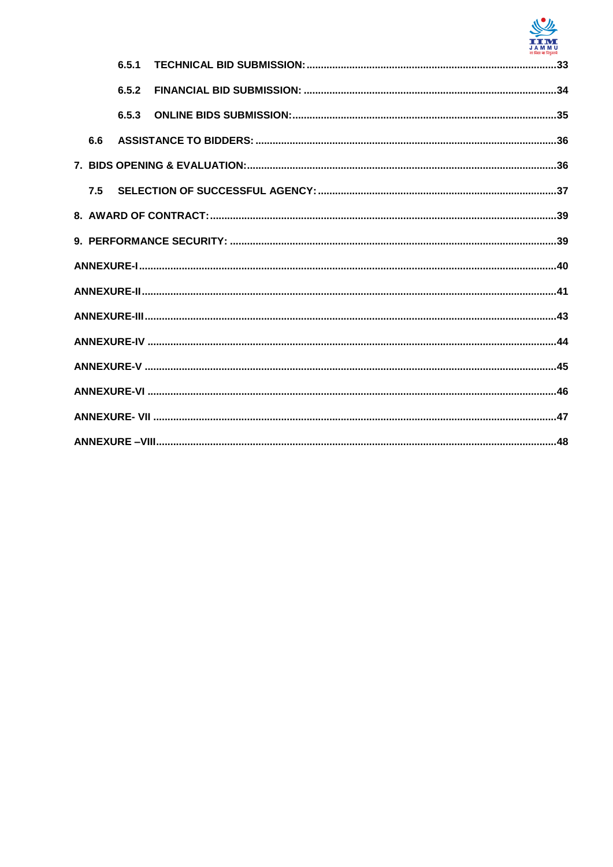

|     | 6.5.1 |  |  |  |  |  |
|-----|-------|--|--|--|--|--|
|     | 6.5.2 |  |  |  |  |  |
|     | 6.5.3 |  |  |  |  |  |
| 6.6 |       |  |  |  |  |  |
|     |       |  |  |  |  |  |
| 7.5 |       |  |  |  |  |  |
|     |       |  |  |  |  |  |
|     |       |  |  |  |  |  |
|     |       |  |  |  |  |  |
|     |       |  |  |  |  |  |
|     |       |  |  |  |  |  |
|     |       |  |  |  |  |  |
|     |       |  |  |  |  |  |
|     |       |  |  |  |  |  |
|     |       |  |  |  |  |  |
|     |       |  |  |  |  |  |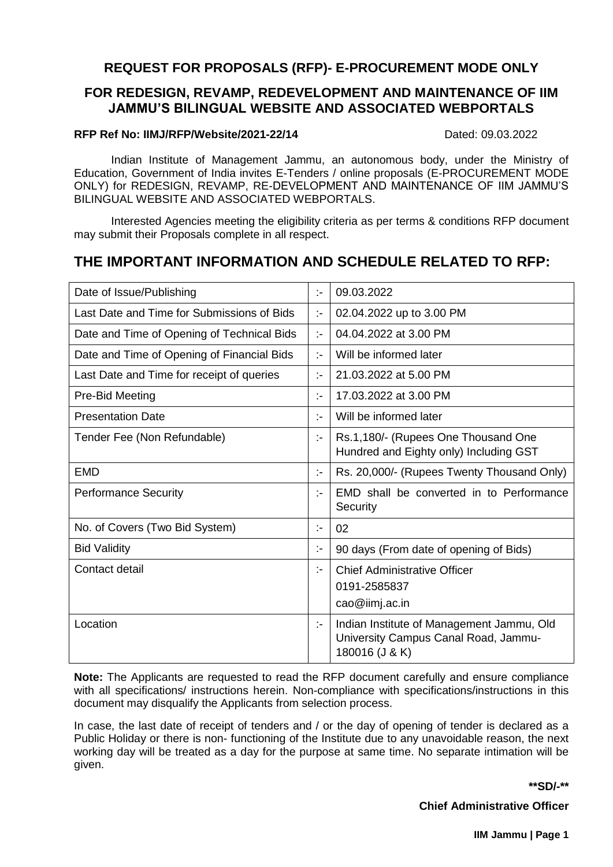## **REQUEST FOR PROPOSALS (RFP)- E-PROCUREMENT MODE ONLY**

# **FOR REDESIGN, REVAMP, REDEVELOPMENT AND MAINTENANCE OF IIM JAMMU'S BILINGUAL WEBSITE AND ASSOCIATED WEBPORTALS**

### **RFP Ref No: IIM.I/RFP/Website/2021-22/14** Dated: 09.03.2022

Indian Institute of Management Jammu, an autonomous body, under the Ministry of Education, Government of India invites E-Tenders / online proposals (E-PROCUREMENT MODE ONLY) for REDESIGN, REVAMP, RE-DEVELOPMENT AND MAINTENANCE OF IIM JAMMU'S BILINGUAL WEBSITE AND ASSOCIATED WEBPORTALS.

Interested Agencies meeting the eligibility criteria as per terms & conditions RFP document may submit their Proposals complete in all respect.

# <span id="page-3-0"></span>**THE IMPORTANT INFORMATION AND SCHEDULE RELATED TO RFP:**

| Date of Issue/Publishing                   | $\mathbb{R}^2$ | 09.03.2022                                                                                          |
|--------------------------------------------|----------------|-----------------------------------------------------------------------------------------------------|
| Last Date and Time for Submissions of Bids | ÷.             | 02.04.2022 up to 3.00 PM                                                                            |
| Date and Time of Opening of Technical Bids | $\mathbb{R}^2$ | 04.04.2022 at 3.00 PM                                                                               |
| Date and Time of Opening of Financial Bids | $\mathbb{R}^2$ | Will be informed later                                                                              |
| Last Date and Time for receipt of queries  | $\mathbb{R}^2$ | 21.03.2022 at 5.00 PM                                                                               |
| Pre-Bid Meeting                            | $\mathcal{L}$  | 17.03.2022 at 3.00 PM                                                                               |
| <b>Presentation Date</b>                   | $\mathbb{R}^2$ | Will be informed later                                                                              |
| Tender Fee (Non Refundable)                | ÷.             | Rs.1,180/- (Rupees One Thousand One<br>Hundred and Eighty only) Including GST                       |
| <b>EMD</b>                                 | $\mathcal{L}$  | Rs. 20,000/- (Rupees Twenty Thousand Only)                                                          |
| <b>Performance Security</b>                | $\mathbf{I}$   | EMD shall be converted in to Performance<br>Security                                                |
| No. of Covers (Two Bid System)             | ÷.             | 02                                                                                                  |
| <b>Bid Validity</b>                        | ÷.             | 90 days (From date of opening of Bids)                                                              |
| Contact detail                             | $\mathbf{I}$   | <b>Chief Administrative Officer</b><br>0191-2585837<br>cao@iimj.ac.in                               |
| Location                                   | $\mathcal{L}$  | Indian Institute of Management Jammu, Old<br>University Campus Canal Road, Jammu-<br>180016 (J & K) |

**Note:** The Applicants are requested to read the RFP document carefully and ensure compliance with all specifications/ instructions herein. Non-compliance with specifications/instructions in this document may disqualify the Applicants from selection process.

In case, the last date of receipt of tenders and / or the day of opening of tender is declared as a Public Holiday or there is non- functioning of the Institute due to any unavoidable reason, the next working day will be treated as a day for the purpose at same time. No separate intimation will be given.

**\*\*SD/-\*\***

**Chief Administrative Officer**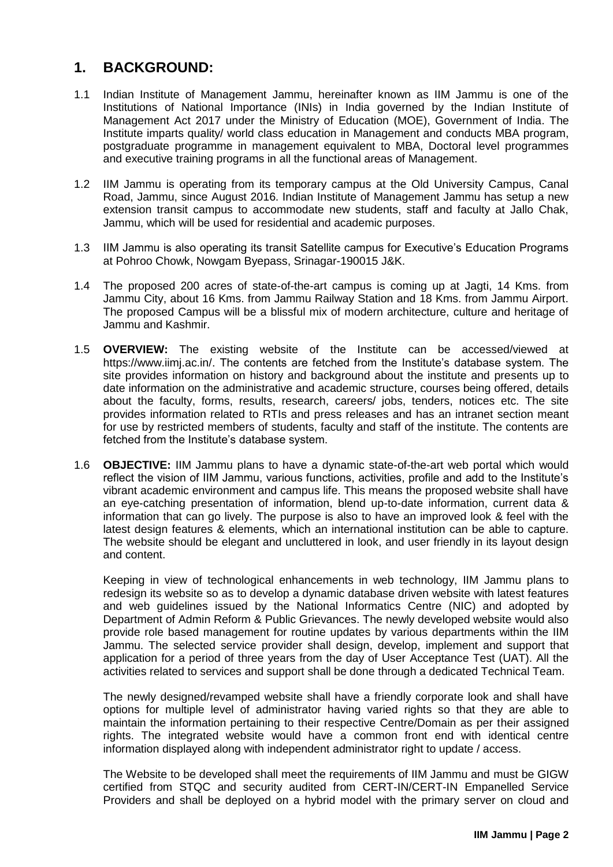# <span id="page-4-0"></span>**1. BACKGROUND:**

- 1.1 Indian Institute of Management Jammu, hereinafter known as IIM Jammu is one of the Institutions of National Importance (INIs) in India governed by the Indian Institute of Management Act 2017 under the Ministry of Education (MOE), Government of India. The Institute imparts quality/ world class education in Management and conducts MBA program, postgraduate programme in management equivalent to MBA, Doctoral level programmes and executive training programs in all the functional areas of Management.
- 1.2 IIM Jammu is operating from its temporary campus at the Old University Campus, Canal Road, Jammu, since August 2016. Indian Institute of Management Jammu has setup a new extension transit campus to accommodate new students, staff and faculty at Jallo Chak, Jammu, which will be used for residential and academic purposes.
- 1.3 IIM Jammu is also operating its transit Satellite campus for Executive's Education Programs at Pohroo Chowk, Nowgam Byepass, Srinagar-190015 J&K.
- 1.4 The proposed 200 acres of state-of-the-art campus is coming up at Jagti, 14 Kms. from Jammu City, about 16 Kms. from Jammu Railway Station and 18 Kms. from Jammu Airport. The proposed Campus will be a blissful mix of modern architecture, culture and heritage of Jammu and Kashmir.
- 1.5 **OVERVIEW:** The existing website of the Institute can be accessed/viewed at [https://www.iimj.ac.in/.](https://www.iimj.ac.in/) The contents are fetched from the Institute's database system. The site provides information on history and background about the institute and presents up to date information on the administrative and academic structure, courses being offered, details about the faculty, forms, results, research, careers/ jobs, tenders, notices etc. The site provides information related to RTIs and press releases and has an intranet section meant for use by restricted members of students, faculty and staff of the institute. The contents are fetched from the Institute's database system.
- 1.6 **OBJECTIVE:** IIM Jammu plans to have a dynamic state-of-the-art web portal which would reflect the vision of IIM Jammu, various functions, activities, profile and add to the Institute's vibrant academic environment and campus life. This means the proposed website shall have an eye-catching presentation of information, blend up-to-date information, current data & information that can go lively. The purpose is also to have an improved look & feel with the latest design features & elements, which an international institution can be able to capture. The website should be elegant and uncluttered in look, and user friendly in its layout design and content.

Keeping in view of technological enhancements in web technology, IIM Jammu plans to redesign its website so as to develop a dynamic database driven website with latest features and web guidelines issued by the National Informatics Centre (NIC) and adopted by Department of Admin Reform & Public Grievances. The newly developed website would also provide role based management for routine updates by various departments within the IIM Jammu. The selected service provider shall design, develop, implement and support that application for a period of three years from the day of User Acceptance Test (UAT). All the activities related to services and support shall be done through a dedicated Technical Team.

The newly designed/revamped website shall have a friendly corporate look and shall have options for multiple level of administrator having varied rights so that they are able to maintain the information pertaining to their respective Centre/Domain as per their assigned rights. The integrated website would have a common front end with identical centre information displayed along with independent administrator right to update / access.

The Website to be developed shall meet the requirements of IIM Jammu and must be GIGW certified from STQC and security audited from CERT-IN/CERT-IN Empanelled Service Providers and shall be deployed on a hybrid model with the primary server on cloud and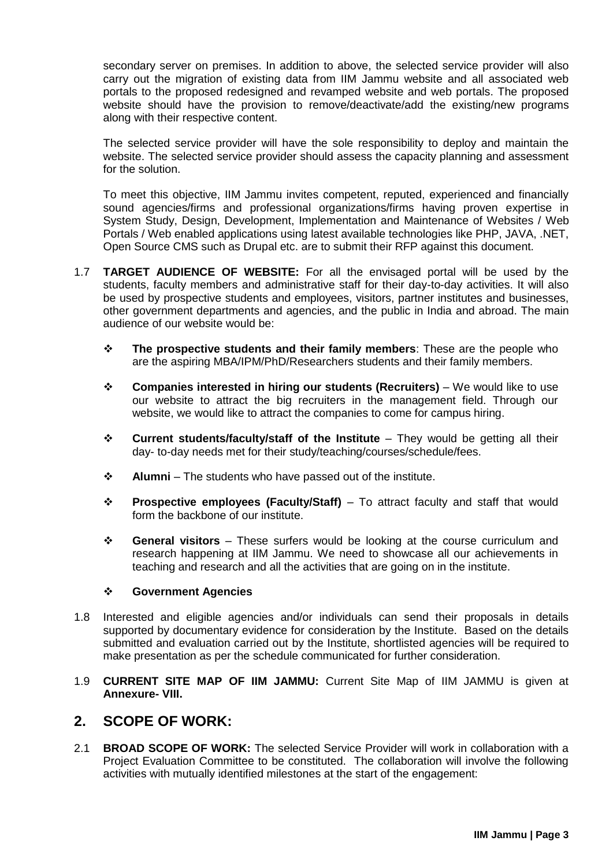secondary server on premises. In addition to above, the selected service provider will also carry out the migration of existing data from IIM Jammu website and all associated web portals to the proposed redesigned and revamped website and web portals. The proposed website should have the provision to remove/deactivate/add the existing/new programs along with their respective content.

The selected service provider will have the sole responsibility to deploy and maintain the website. The selected service provider should assess the capacity planning and assessment for the solution.

To meet this objective, IIM Jammu invites competent, reputed, experienced and financially sound agencies/firms and professional organizations/firms having proven expertise in System Study, Design, Development, Implementation and Maintenance of Websites / Web Portals / Web enabled applications using latest available technologies like PHP, JAVA, .NET, Open Source CMS such as Drupal etc. are to submit their RFP against this document.

- 1.7 **TARGET AUDIENCE OF WEBSITE:** For all the envisaged portal will be used by the students, faculty members and administrative staff for their day-to-day activities. It will also be used by prospective students and employees, visitors, partner institutes and businesses, other government departments and agencies, and the public in India and abroad. The main audience of our website would be:
	- **The prospective students and their family members**: These are the people who are the aspiring MBA/IPM/PhD/Researchers students and their family members.
	- **Companies interested in hiring our students (Recruiters)**  We would like to use our website to attract the big recruiters in the management field. Through our website, we would like to attract the companies to come for campus hiring.
	- **Current students/faculty/staff of the Institute**  They would be getting all their day- to-day needs met for their study/teaching/courses/schedule/fees.
	- **Alumni**  The students who have passed out of the institute.
	- **Prospective employees (Faculty/Staff)** To attract faculty and staff that would form the backbone of our institute.
	- **General visitors**  These surfers would be looking at the course curriculum and research happening at IIM Jammu. We need to showcase all our achievements in teaching and research and all the activities that are going on in the institute.

#### **Government Agencies**

- 1.8 Interested and eligible agencies and/or individuals can send their proposals in details supported by documentary evidence for consideration by the Institute. Based on the details submitted and evaluation carried out by the Institute, shortlisted agencies will be required to make presentation as per the schedule communicated for further consideration.
- 1.9 **CURRENT SITE MAP OF IIM JAMMU:** Current Site Map of IIM JAMMU is given at **Annexure- VIII.**

## <span id="page-5-0"></span>**2. SCOPE OF WORK:**

<span id="page-5-1"></span>2.1 **BROAD SCOPE OF WORK:** The selected Service Provider will work in collaboration with a Project Evaluation Committee to be constituted. The collaboration will involve the following activities with mutually identified milestones at the start of the engagement: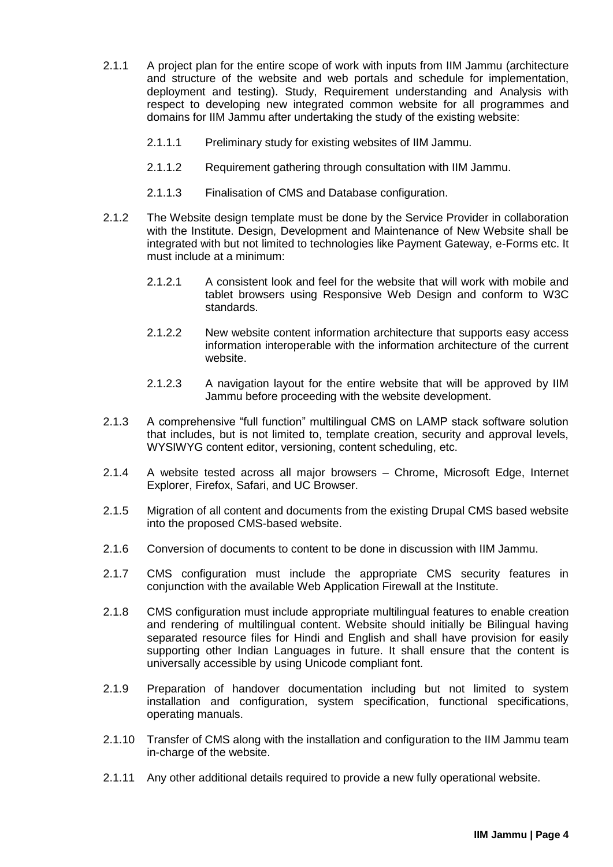- 2.1.1 A project plan for the entire scope of work with inputs from IIM Jammu (architecture and structure of the website and web portals and schedule for implementation, deployment and testing). Study, Requirement understanding and Analysis with respect to developing new integrated common website for all programmes and domains for IIM Jammu after undertaking the study of the existing website:
	- 2.1.1.1 Preliminary study for existing websites of IIM Jammu.
	- 2.1.1.2 Requirement gathering through consultation with IIM Jammu.
	- 2.1.1.3 Finalisation of CMS and Database configuration.
- 2.1.2 The Website design template must be done by the Service Provider in collaboration with the Institute. Design, Development and Maintenance of New Website shall be integrated with but not limited to technologies like Payment Gateway, e-Forms etc. It must include at a minimum:
	- 2.1.2.1 A consistent look and feel for the website that will work with mobile and tablet browsers using Responsive Web Design and conform to W3C standards.
	- 2.1.2.2 New website content information architecture that supports easy access information interoperable with the information architecture of the current website.
	- 2.1.2.3 A navigation layout for the entire website that will be approved by IIM Jammu before proceeding with the website development.
- 2.1.3 A comprehensive "full function" multilingual CMS on LAMP stack software solution that includes, but is not limited to, template creation, security and approval levels, WYSIWYG content editor, versioning, content scheduling, etc.
- 2.1.4 A website tested across all major browsers Chrome, Microsoft Edge, Internet Explorer, Firefox, Safari, and UC Browser.
- 2.1.5 Migration of all content and documents from the existing Drupal CMS based website into the proposed CMS-based website.
- 2.1.6 Conversion of documents to content to be done in discussion with IIM Jammu.
- 2.1.7 CMS configuration must include the appropriate CMS security features in conjunction with the available Web Application Firewall at the Institute.
- 2.1.8 CMS configuration must include appropriate multilingual features to enable creation and rendering of multilingual content. Website should initially be Bilingual having separated resource files for Hindi and English and shall have provision for easily supporting other Indian Languages in future. It shall ensure that the content is universally accessible by using Unicode compliant font.
- 2.1.9 Preparation of handover documentation including but not limited to system installation and configuration, system specification, functional specifications, operating manuals.
- 2.1.10 Transfer of CMS along with the installation and configuration to the IIM Jammu team in-charge of the website.
- 2.1.11 Any other additional details required to provide a new fully operational website.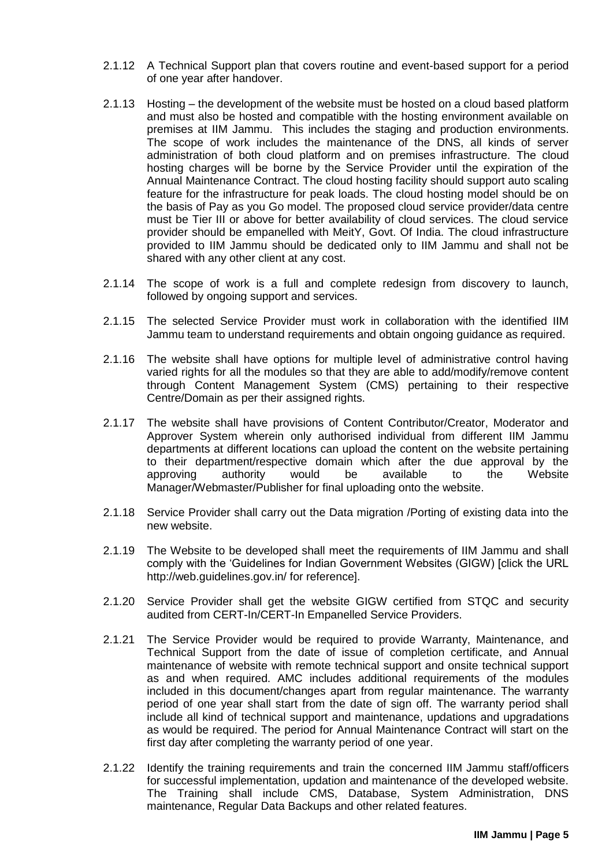- 2.1.12 A Technical Support plan that covers routine and event-based support for a period of one year after handover.
- 2.1.13 Hosting the development of the website must be hosted on a cloud based platform and must also be hosted and compatible with the hosting environment available on premises at IIM Jammu. This includes the staging and production environments. The scope of work includes the maintenance of the DNS, all kinds of server administration of both cloud platform and on premises infrastructure. The cloud hosting charges will be borne by the Service Provider until the expiration of the Annual Maintenance Contract. The cloud hosting facility should support auto scaling feature for the infrastructure for peak loads. The cloud hosting model should be on the basis of Pay as you Go model. The proposed cloud service provider/data centre must be Tier III or above for better availability of cloud services. The cloud service provider should be empanelled with MeitY, Govt. Of India. The cloud infrastructure provided to IIM Jammu should be dedicated only to IIM Jammu and shall not be shared with any other client at any cost.
- 2.1.14 The scope of work is a full and complete redesign from discovery to launch, followed by ongoing support and services.
- 2.1.15 The selected Service Provider must work in collaboration with the identified IIM Jammu team to understand requirements and obtain ongoing guidance as required.
- 2.1.16 The website shall have options for multiple level of administrative control having varied rights for all the modules so that they are able to add/modify/remove content through Content Management System (CMS) pertaining to their respective Centre/Domain as per their assigned rights.
- 2.1.17 The website shall have provisions of Content Contributor/Creator, Moderator and Approver System wherein only authorised individual from different IIM Jammu departments at different locations can upload the content on the website pertaining to their department/respective domain which after the due approval by the approving authority would be available to the Website Manager/Webmaster/Publisher for final uploading onto the website.
- 2.1.18 Service Provider shall carry out the Data migration /Porting of existing data into the new website.
- 2.1.19 The Website to be developed shall meet the requirements of IIM Jammu and shall comply with the 'Guidelines for Indian Government Websites (GIGW) [click the URL [http://web.guidelines.gov.in/](http://guidelines.gov.in/) for reference].
- 2.1.20 Service Provider shall get the website GIGW certified from STQC and security audited from CERT-In/CERT-In Empanelled Service Providers.
- 2.1.21 The Service Provider would be required to provide Warranty, Maintenance, and Technical Support from the date of issue of completion certificate, and Annual maintenance of website with remote technical support and onsite technical support as and when required. AMC includes additional requirements of the modules included in this document/changes apart from regular maintenance. The warranty period of one year shall start from the date of sign off. The warranty period shall include all kind of technical support and maintenance, updations and upgradations as would be required. The period for Annual Maintenance Contract will start on the first day after completing the warranty period of one year.
- 2.1.22 Identify the training requirements and train the concerned IIM Jammu staff/officers for successful implementation, updation and maintenance of the developed website. The Training shall include CMS, Database, System Administration, DNS maintenance, Regular Data Backups and other related features.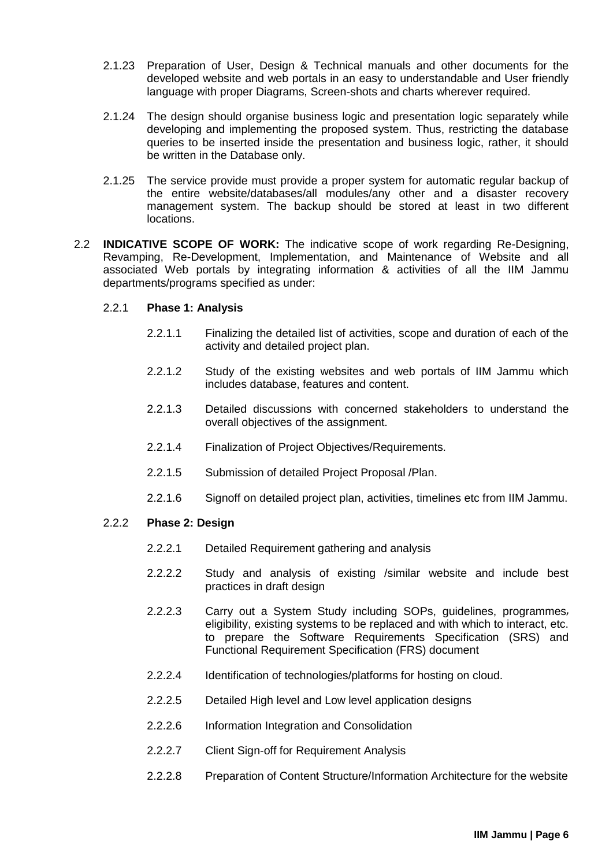- 2.1.23 Preparation of User, Design & Technical manuals and other documents for the developed website and web portals in an easy to understandable and User friendly language with proper Diagrams, Screen-shots and charts wherever required.
- 2.1.24 The design should organise business logic and presentation logic separately while developing and implementing the proposed system. Thus, restricting the database queries to be inserted inside the presentation and business logic, rather, it should be written in the Database only.
- 2.1.25 The service provide must provide a proper system for automatic regular backup of the entire website/databases/all modules/any other and a disaster recovery management system. The backup should be stored at least in two different locations.
- <span id="page-8-0"></span>2.2 **INDICATIVE SCOPE OF WORK:** The indicative scope of work regarding Re-Designing, Revamping, Re-Development, Implementation, and Maintenance of Website and all associated Web portals by integrating information & activities of all the IIM Jammu departments/programs specified as under:

### 2.2.1 **Phase 1: Analysis**

- 2.2.1.1 Finalizing the detailed list of activities, scope and duration of each of the activity and detailed project plan.
- 2.2.1.2 Study of the existing websites and web portals of IIM Jammu which includes database, features and content.
- 2.2.1.3 Detailed discussions with concerned stakeholders to understand the overall objectives of the assignment.
- 2.2.1.4 Finalization of Project Objectives/Requirements.
- 2.2.1.5 Submission of detailed Project Proposal /Plan.
- 2.2.1.6 Signoff on detailed project plan, activities, timelines etc from IIM Jammu.

### 2.2.2 **Phase 2: Design**

- 2.2.2.1 Detailed Requirement gathering and analysis
- 2.2.2.2 Study and analysis of existing /similar website and include best practices in draft design
- 2.2.2.3 Carry out a System Study including SOPs, guidelines, programmes eligibility, existing systems to be replaced and with which to interact, etc. to prepare the Software Requirements Specification (SRS) and Functional Requirement Specification (FRS) document
- 2.2.2.4 Identification of technologies/platforms for hosting on cloud.
- 2.2.2.5 Detailed High level and Low level application designs
- 2.2.2.6 Information Integration and Consolidation
- 2.2.2.7 Client Sign-off for Requirement Analysis
- 2.2.2.8 Preparation of Content Structure/Information Architecture for the website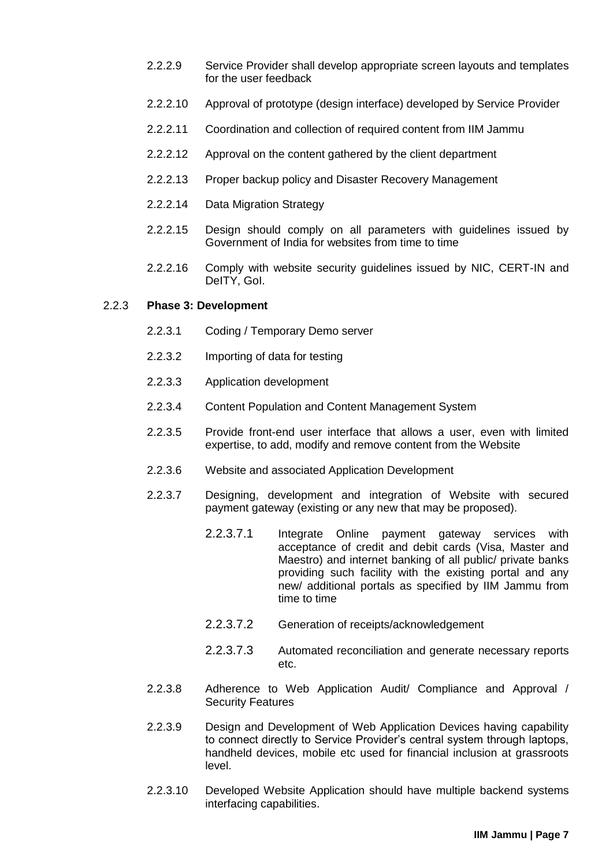- 2.2.2.9 Service Provider shall develop appropriate screen layouts and templates for the user feedback
- 2.2.2.10 Approval of prototype (design interface) developed by Service Provider
- 2.2.2.11 Coordination and collection of required content from IIM Jammu
- 2.2.2.12 Approval on the content gathered by the client department
- 2.2.2.13 Proper backup policy and Disaster Recovery Management
- 2.2.2.14 Data Migration Strategy
- 2.2.2.15 Design should comply on all parameters with guidelines issued by Government of India for websites from time to time
- 2.2.2.16 Comply with website security guidelines issued by NIC, CERT-IN and DeITY, GoI.

#### 2.2.3 **Phase 3: Development**

- 2.2.3.1 Coding / Temporary Demo server
- 2.2.3.2 Importing of data for testing
- 2.2.3.3 Application development
- 2.2.3.4 Content Population and Content Management System
- 2.2.3.5 Provide front-end user interface that allows a user, even with limited expertise, to add, modify and remove content from the Website
- 2.2.3.6 Website and associated Application Development
- 2.2.3.7 Designing, development and integration of Website with secured payment gateway (existing or any new that may be proposed).
	- 2.2.3.7.1 Integrate Online payment gateway services with acceptance of credit and debit cards (Visa, Master and Maestro) and internet banking of all public/ private banks providing such facility with the existing portal and any new/ additional portals as specified by IIM Jammu from time to time
	- 2.2.3.7.2 Generation of receipts/acknowledgement
	- 2.2.3.7.3 Automated reconciliation and generate necessary reports etc.
- 2.2.3.8 Adherence to Web Application Audit/ Compliance and Approval / Security Features
- 2.2.3.9 Design and Development of Web Application Devices having capability to connect directly to Service Provider's central system through laptops, handheld devices, mobile etc used for financial inclusion at grassroots level.
- 2.2.3.10 Developed Website Application should have multiple backend systems interfacing capabilities.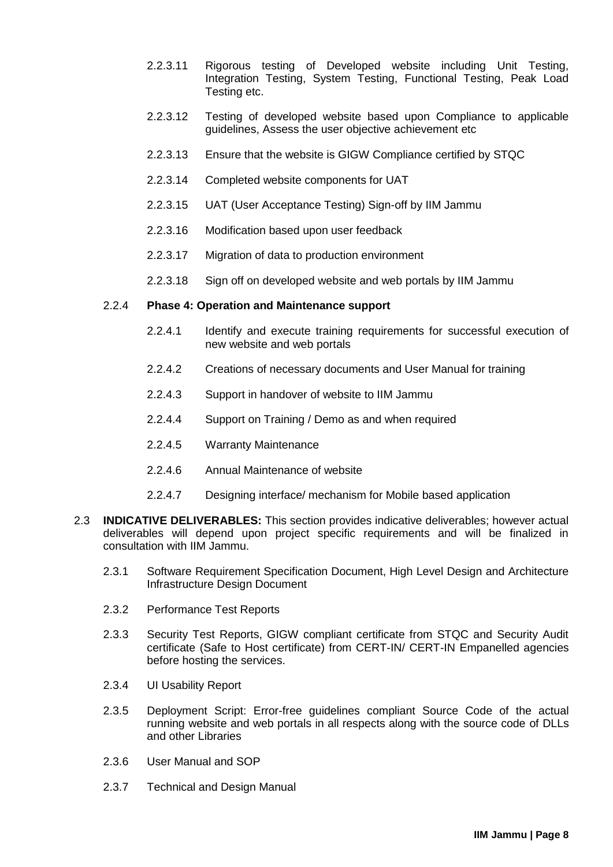- 2.2.3.11 Rigorous testing of Developed website including Unit Testing, Integration Testing, System Testing, Functional Testing, Peak Load Testing etc.
- 2.2.3.12 Testing of developed website based upon Compliance to applicable guidelines, Assess the user objective achievement etc
- 2.2.3.13 Ensure that the website is GIGW Compliance certified by STQC
- 2.2.3.14 Completed website components for UAT
- 2.2.3.15 UAT (User Acceptance Testing) Sign-off by IIM Jammu
- 2.2.3.16 Modification based upon user feedback
- 2.2.3.17 Migration of data to production environment
- 2.2.3.18 Sign off on developed website and web portals by IIM Jammu

### 2.2.4 **Phase 4: Operation and Maintenance support**

- 2.2.4.1 Identify and execute training requirements for successful execution of new website and web portals
- 2.2.4.2 Creations of necessary documents and User Manual for training
- 2.2.4.3 Support in handover of website to IIM Jammu
- 2.2.4.4 Support on Training / Demo as and when required
- 2.2.4.5 Warranty Maintenance
- 2.2.4.6 Annual Maintenance of website
- 2.2.4.7 Designing interface/ mechanism for Mobile based application
- <span id="page-10-0"></span>2.3 **INDICATIVE DELIVERABLES:** This section provides indicative deliverables; however actual deliverables will depend upon project specific requirements and will be finalized in consultation with IIM Jammu.
	- 2.3.1 Software Requirement Specification Document, High Level Design and Architecture Infrastructure Design Document
	- 2.3.2 Performance Test Reports
	- 2.3.3 Security Test Reports, GIGW compliant certificate from STQC and Security Audit certificate (Safe to Host certificate) from CERT-IN/ CERT-IN Empanelled agencies before hosting the services.
	- 2.3.4 UI Usability Report
	- 2.3.5 Deployment Script: Error-free guidelines compliant Source Code of the actual running website and web portals in all respects along with the source code of DLLs and other Libraries
	- 2.3.6 User Manual and SOP
	- 2.3.7 Technical and Design Manual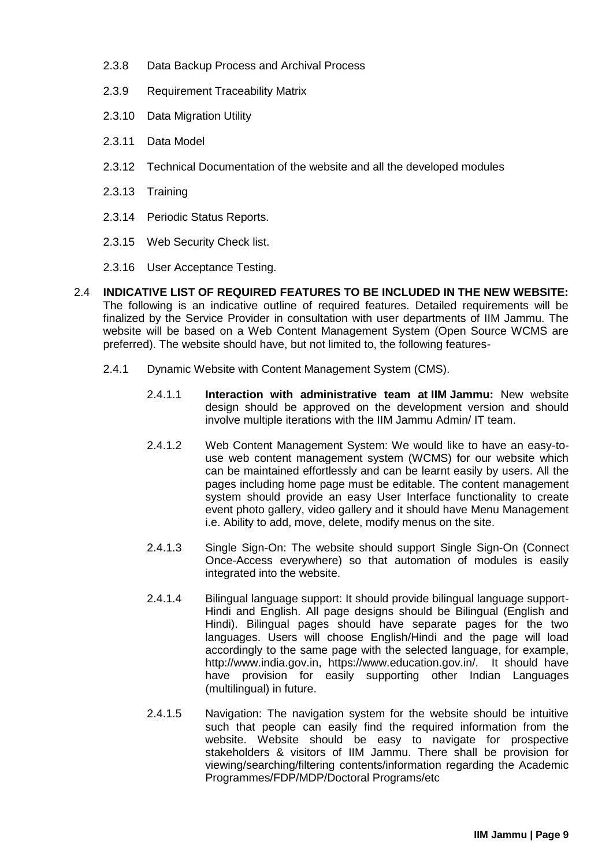- 2.3.8 Data Backup Process and Archival Process
- 2.3.9 Requirement Traceability Matrix
- 2.3.10 Data Migration Utility
- 2.3.11 Data Model
- 2.3.12 Technical Documentation of the website and all the developed modules
- 2.3.13 Training
- 2.3.14 Periodic Status Reports.
- 2.3.15 Web Security Check list.
- 2.3.16 User Acceptance Testing.
- <span id="page-11-0"></span>2.4 **INDICATIVE LIST OF REQUIRED FEATURES TO BE INCLUDED IN THE NEW WEBSITE:** The following is an indicative outline of required features. Detailed requirements will be finalized by the Service Provider in consultation with user departments of IIM Jammu. The website will be based on a Web Content Management System (Open Source WCMS are preferred). The website should have, but not limited to, the following features-
	- 2.4.1 Dynamic Website with Content Management System (CMS).
		- 2.4.1.1 **Interaction with administrative team at IIM Jammu:** New website design should be approved on the development version and should involve multiple iterations with the IIM Jammu Admin/ IT team.
		- 2.4.1.2 Web Content Management System: We would like to have an easy-touse web content management system (WCMS) for our website which can be maintained effortlessly and can be learnt easily by users. All the pages including home page must be editable. The content management system should provide an easy User Interface functionality to create event photo gallery, video gallery and it should have Menu Management i.e. Ability to add, move, delete, modify menus on the site.
		- 2.4.1.3 Single Sign-On: The website should support Single Sign-On (Connect Once-Access everywhere) so that automation of modules is easily integrated into the website.
		- 2.4.1.4 Bilingual language support: It should provide bilingual language support-Hindi and English. All page designs should be Bilingual (English and Hindi). Bilingual pages should have separate pages for the two languages. Users will choose English/Hindi and the page will load accordingly to the same page with the selected language, for example, [http://www.india.gov.in,](http://www.india.gov.in/) https://www.education.gov.in/. It should have have provision for easily supporting other Indian Languages (multilingual) in future.
		- 2.4.1.5 Navigation: The navigation system for the website should be intuitive such that people can easily find the required information from the website. Website should be easy to navigate for prospective stakeholders & visitors of IIM Jammu. There shall be provision for viewing/searching/filtering contents/information regarding the Academic Programmes/FDP/MDP/Doctoral Programs/etc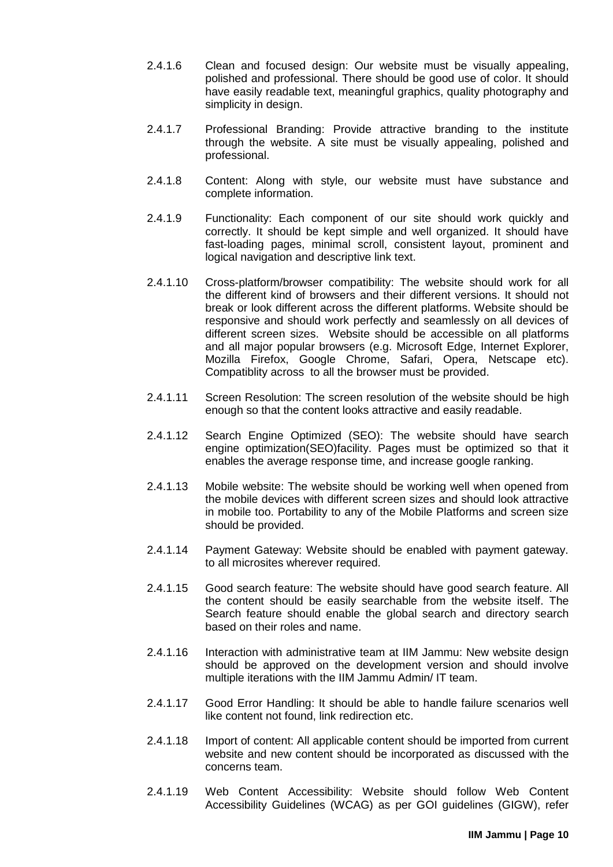- 2.4.1.6 Clean and focused design: Our website must be visually appealing, polished and professional. There should be good use of color. It should have easily readable text, meaningful graphics, quality photography and simplicity in design.
- 2.4.1.7 Professional Branding: Provide attractive branding to the institute through the website. A site must be visually appealing, polished and professional.
- 2.4.1.8 Content: Along with style, our website must have substance and complete information.
- 2.4.1.9 Functionality: Each component of our site should work quickly and correctly. It should be kept simple and well organized. It should have fast-loading pages, minimal scroll, consistent layout, prominent and logical navigation and descriptive link text.
- 2.4.1.10 Cross-platform/browser compatibility: The website should work for all the different kind of browsers and their different versions. It should not break or look different across the different platforms. Website should be responsive and should work perfectly and seamlessly on all devices of different screen sizes. Website should be accessible on all platforms and all major popular browsers (e.g. Microsoft Edge, Internet Explorer, Mozilla Firefox, Google Chrome, Safari, Opera, Netscape etc). Compatiblity across to all the browser must be provided.
- 2.4.1.11 Screen Resolution: The screen resolution of the website should be high enough so that the content looks attractive and easily readable.
- 2.4.1.12 Search Engine Optimized (SEO): The website should have search engine optimization(SEO)facility. Pages must be optimized so that it enables the average response time, and increase google ranking.
- 2.4.1.13 Mobile website: The website should be working well when opened from the mobile devices with different screen sizes and should look attractive in mobile too. Portability to any of the Mobile Platforms and screen size should be provided.
- 2.4.1.14 Payment Gateway: Website should be enabled with payment gateway. to all microsites wherever required.
- 2.4.1.15 Good search feature: The website should have good search feature. All the content should be easily searchable from the website itself. The Search feature should enable the global search and directory search based on their roles and name.
- 2.4.1.16 Interaction with administrative team at IIM Jammu: New website design should be approved on the development version and should involve multiple iterations with the IIM Jammu Admin/ IT team.
- 2.4.1.17 Good Error Handling: It should be able to handle failure scenarios well like content not found, link redirection etc.
- 2.4.1.18 Import of content: All applicable content should be imported from current website and new content should be incorporated as discussed with the concerns team.
- 2.4.1.19 Web Content Accessibility: Website should follow Web Content Accessibility Guidelines (WCAG) as per GOI guidelines (GIGW), refe[r](http://guidelines.gov.in/)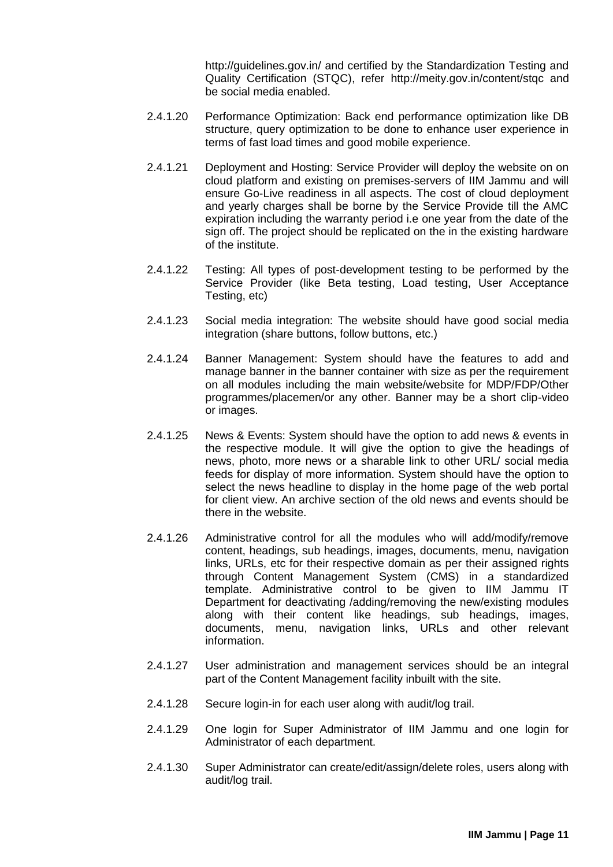<http://guidelines.gov.in/> [an](http://guidelines.gov.in/)d certified by the Standardization Testing and Quality Certification (STQC), refer <http://meity.gov.in/content/stqc> [an](http://meity.gov.in/content/stqc)d be social media enabled.

- 2.4.1.20 Performance Optimization: Back end performance optimization like DB structure, query optimization to be done to enhance user experience in terms of fast load times and good mobile experience.
- 2.4.1.21 Deployment and Hosting: Service Provider will deploy the website on on cloud platform and existing on premises-servers of IIM Jammu and will ensure Go-Live readiness in all aspects. The cost of cloud deployment and yearly charges shall be borne by the Service Provide till the AMC expiration including the warranty period i.e one year from the date of the sign off. The project should be replicated on the in the existing hardware of the institute.
- 2.4.1.22 Testing: All types of post-development testing to be performed by the Service Provider (like Beta testing, Load testing, User Acceptance Testing, etc)
- 2.4.1.23 Social media integration: The website should have good social media integration (share buttons, follow buttons, etc.)
- 2.4.1.24 Banner Management: System should have the features to add and manage banner in the banner container with size as per the requirement on all modules including the main website/website for MDP/FDP/Other programmes/placemen/or any other. Banner may be a short clip-video or images.
- 2.4.1.25 News & Events: System should have the option to add news & events in the respective module. It will give the option to give the headings of news, photo, more news or a sharable link to other URL/ social media feeds for display of more information. System should have the option to select the news headline to display in the home page of the web portal for client view. An archive section of the old news and events should be there in the website.
- 2.4.1.26 Administrative control for all the modules who will add/modify/remove content, headings, sub headings, images, documents, menu, navigation links, URLs, etc for their respective domain as per their assigned rights through Content Management System (CMS) in a standardized template. Administrative control to be given to IIM Jammu IT Department for deactivating /adding/removing the new/existing modules along with their content like headings, sub headings, images, documents, menu, navigation links, URLs and other relevant information.
- 2.4.1.27 User administration and management services should be an integral part of the Content Management facility inbuilt with the site.
- 2.4.1.28 Secure login-in for each user along with audit/log trail.
- 2.4.1.29 One login for Super Administrator of IIM Jammu and one login for Administrator of each department.
- 2.4.1.30 Super Administrator can create/edit/assign/delete roles, users along with audit/log trail.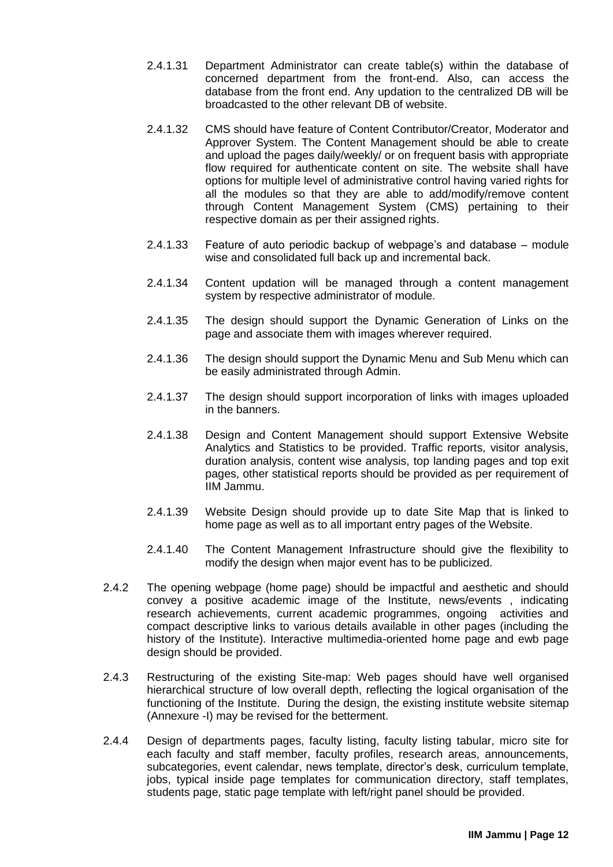- 2.4.1.31 Department Administrator can create table(s) within the database of concerned department from the front-end. Also, can access the database from the front end. Any updation to the centralized DB will be broadcasted to the other relevant DB of website.
- 2.4.1.32 CMS should have feature of Content Contributor/Creator, Moderator and Approver System. The Content Management should be able to create and upload the pages daily/weekly/ or on frequent basis with appropriate flow required for authenticate content on site. The website shall have options for multiple level of administrative control having varied rights for all the modules so that they are able to add/modify/remove content through Content Management System (CMS) pertaining to their respective domain as per their assigned rights.
- 2.4.1.33 Feature of auto periodic backup of webpage's and database module wise and consolidated full back up and incremental back.
- 2.4.1.34 Content updation will be managed through a content management system by respective administrator of module.
- 2.4.1.35 The design should support the Dynamic Generation of Links on the page and associate them with images wherever required.
- 2.4.1.36 The design should support the Dynamic Menu and Sub Menu which can be easily administrated through Admin.
- 2.4.1.37 The design should support incorporation of links with images uploaded in the banners.
- 2.4.1.38 Design and Content Management should support Extensive Website Analytics and Statistics to be provided. Traffic reports, visitor analysis, duration analysis, content wise analysis, top landing pages and top exit pages, other statistical reports should be provided as per requirement of IIM Jammu.
- 2.4.1.39 Website Design should provide up to date Site Map that is linked to home page as well as to all important entry pages of the Website.
- 2.4.1.40 The Content Management Infrastructure should give the flexibility to modify the design when major event has to be publicized.
- 2.4.2 The opening webpage (home page) should be impactful and aesthetic and should convey a positive academic image of the Institute, news/events , indicating research achievements, current academic programmes, ongoing activities and compact descriptive links to various details available in other pages (including the history of the Institute). Interactive multimedia-oriented home page and ewb page design should be provided.
- 2.4.3 Restructuring of the existing Site-map: Web pages should have well organised hierarchical structure of low overall depth, reflecting the logical organisation of the functioning of the Institute. During the design, the existing institute website sitemap (Annexure -I) may be revised for the betterment.
- 2.4.4 Design of departments pages, faculty listing, faculty listing tabular, micro site for each faculty and staff member, faculty profiles, research areas, announcements, subcategories, event calendar, news template, director's desk, curriculum template, jobs, typical inside page templates for communication directory, staff templates, students page, static page template with left/right panel should be provided.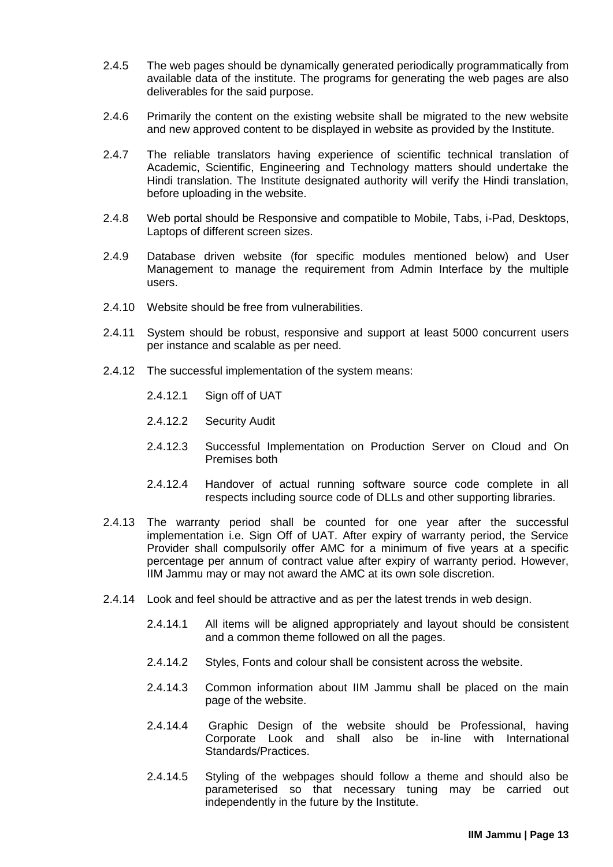- 2.4.5 The web pages should be dynamically generated periodically programmatically from available data of the institute. The programs for generating the web pages are also deliverables for the said purpose.
- 2.4.6 Primarily the content on the existing website shall be migrated to the new website and new approved content to be displayed in website as provided by the Institute.
- 2.4.7 The reliable translators having experience of scientific technical translation of Academic, Scientific, Engineering and Technology matters should undertake the Hindi translation. The Institute designated authority will verify the Hindi translation, before uploading in the website.
- 2.4.8 Web portal should be Responsive and compatible to Mobile, Tabs, i-Pad, Desktops, Laptops of different screen sizes.
- 2.4.9 Database driven website (for specific modules mentioned below) and User Management to manage the requirement from Admin Interface by the multiple users.
- 2.4.10 Website should be free from vulnerabilities.
- 2.4.11 System should be robust, responsive and support at least 5000 concurrent users per instance and scalable as per need.
- 2.4.12 The successful implementation of the system means:
	- 2.4.12.1 Sign off of UAT
	- 2.4.12.2 Security Audit
	- 2.4.12.3 Successful Implementation on Production Server on Cloud and On Premises both
	- 2.4.12.4 Handover of actual running software source code complete in all respects including source code of DLLs and other supporting libraries.
- 2.4.13 The warranty period shall be counted for one year after the successful implementation i.e. Sign Off of UAT. After expiry of warranty period, the Service Provider shall compulsorily offer AMC for a minimum of five years at a specific percentage per annum of contract value after expiry of warranty period. However, IIM Jammu may or may not award the AMC at its own sole discretion.
- 2.4.14 Look and feel should be attractive and as per the latest trends in web design.
	- 2.4.14.1 All items will be aligned appropriately and layout should be consistent and a common theme followed on all the pages.
	- 2.4.14.2 Styles, Fonts and colour shall be consistent across the website.
	- 2.4.14.3 Common information about IIM Jammu shall be placed on the main page of the website.
	- 2.4.14.4 Graphic Design of the website should be Professional, having Corporate Look and shall also be in-line with International Standards/Practices.
	- 2.4.14.5 Styling of the webpages should follow a theme and should also be parameterised so that necessary tuning may be carried out independently in the future by the Institute.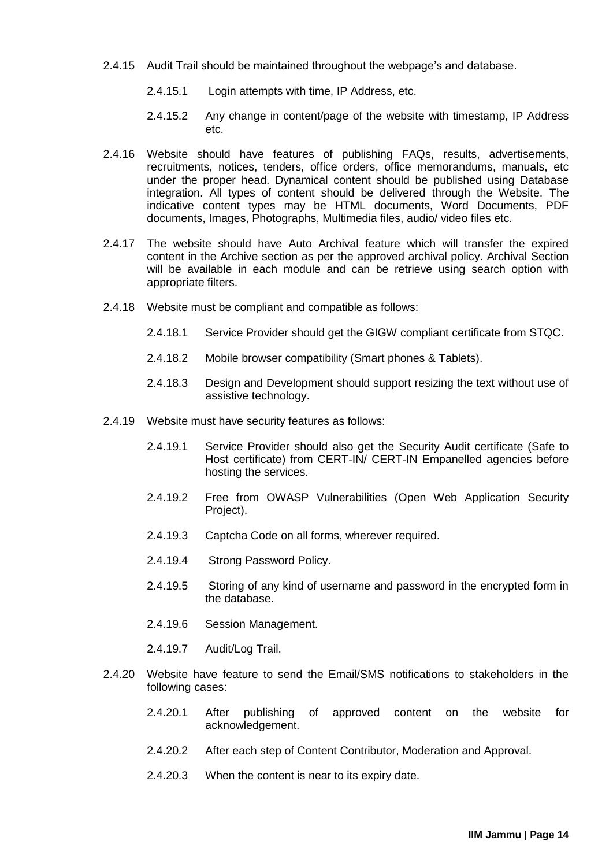- 2.4.15 Audit Trail should be maintained throughout the webpage's and database.
	- 2.4.15.1 Login attempts with time, IP Address, etc.
	- 2.4.15.2 Any change in content/page of the website with timestamp, IP Address etc.
- 2.4.16 Website should have features of publishing FAQs, results, advertisements, recruitments, notices, tenders, office orders, office memorandums, manuals, etc under the proper head. Dynamical content should be published using Database integration. All types of content should be delivered through the Website. The indicative content types may be HTML documents, Word Documents, PDF documents, Images, Photographs, Multimedia files, audio/ video files etc.
- 2.4.17 The website should have Auto Archival feature which will transfer the expired content in the Archive section as per the approved archival policy. Archival Section will be available in each module and can be retrieve using search option with appropriate filters.
- 2.4.18 Website must be compliant and compatible as follows:
	- 2.4.18.1 Service Provider should get the GIGW compliant certificate from STQC.
	- 2.4.18.2 Mobile browser compatibility (Smart phones & Tablets).
	- 2.4.18.3 Design and Development should support resizing the text without use of assistive technology.
- 2.4.19 Website must have security features as follows:
	- 2.4.19.1 Service Provider should also get the Security Audit certificate (Safe to Host certificate) from CERT-IN/ CERT-IN Empanelled agencies before hosting the services.
	- 2.4.19.2 Free from OWASP Vulnerabilities (Open Web Application Security Project).
	- 2.4.19.3 Captcha Code on all forms, wherever required.
	- 2.4.19.4 Strong Password Policy.
	- 2.4.19.5 Storing of any kind of username and password in the encrypted form in the database.
	- 2.4.19.6 Session Management.
	- 2.4.19.7 Audit/Log Trail.
- 2.4.20 Website have feature to send the Email/SMS notifications to stakeholders in the following cases:
	- 2.4.20.1 After publishing of approved content on the website for acknowledgement.
	- 2.4.20.2 After each step of Content Contributor, Moderation and Approval.
	- 2.4.20.3 When the content is near to its expiry date.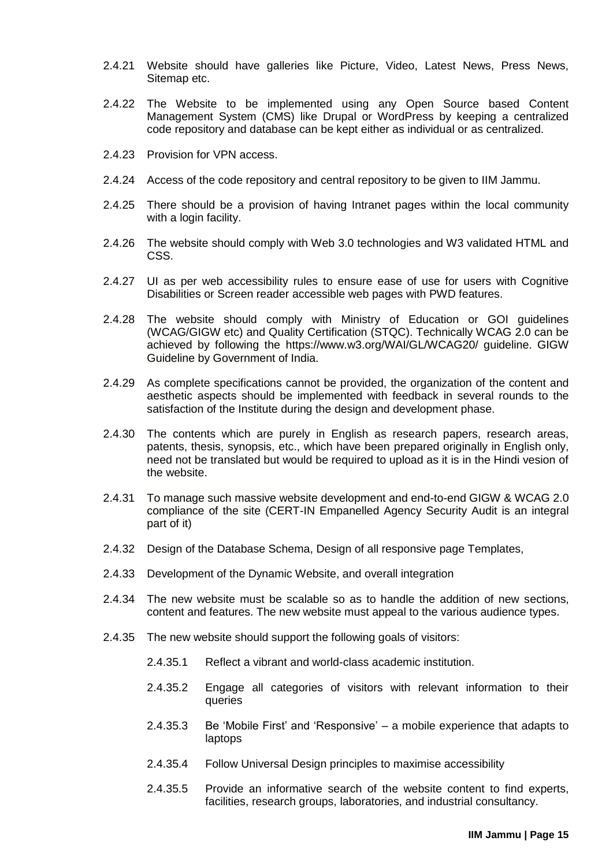- 2.4.21 Website should have galleries like Picture, Video, Latest News, Press News, Sitemap etc.
- 2.4.22 The Website to be implemented using any Open Source based Content Management System (CMS) like Drupal or WordPress by keeping a centralized code repository and database can be kept either as individual or as centralized.
- 2.4.23 Provision for VPN access.
- 2.4.24 Access of the code repository and central repository to be given to IIM Jammu.
- 2.4.25 There should be a provision of having Intranet pages within the local community with a login facility.
- 2.4.26 The website should comply with Web 3.0 technologies and W3 validated HTML and CSS.
- 2.4.27 UI as per web accessibility rules to ensure ease of use for users with Cognitive Disabilities or Screen reader accessible web pages with PWD features.
- 2.4.28 The website should comply with Ministry of Education or GOI guidelines (WCAG/GIGW etc) and Quality Certification (STQC). Technically WCAG 2.0 can be achieved by following th[e](https://www.w3.org/WAI/GL/WCAG20/) <https://www.w3.org/WAI/GL/WCAG20/> guideline. GIGW Guideline by Government of India.
- 2.4.29 As complete specifications cannot be provided, the organization of the content and aesthetic aspects should be implemented with feedback in several rounds to the satisfaction of the Institute during the design and development phase.
- 2.4.30 The contents which are purely in English as research papers, research areas, patents, thesis, synopsis, etc., which have been prepared originally in English only, need not be translated but would be required to upload as it is in the Hindi vesion of the website.
- 2.4.31 To manage such massive website development and end-to-end GIGW & WCAG 2.0 compliance of the site (CERT-IN Empanelled Agency Security Audit is an integral part of it)
- 2.4.32 Design of the Database Schema, Design of all responsive page Templates,
- 2.4.33 Development of the Dynamic Website, and overall integration
- 2.4.34 The new website must be scalable so as to handle the addition of new sections, content and features. The new website must appeal to the various audience types.
- 2.4.35 The new website should support the following goals of visitors:
	- 2.4.35.1 Reflect a vibrant and world-class academic institution.
	- 2.4.35.2 Engage all categories of visitors with relevant information to their queries
	- 2.4.35.3 Be 'Mobile First' and 'Responsive' a mobile experience that adapts to laptops
	- 2.4.35.4 Follow Universal Design principles to maximise accessibility
	- 2.4.35.5 Provide an informative search of the website content to find experts, facilities, research groups, laboratories, and industrial consultancy.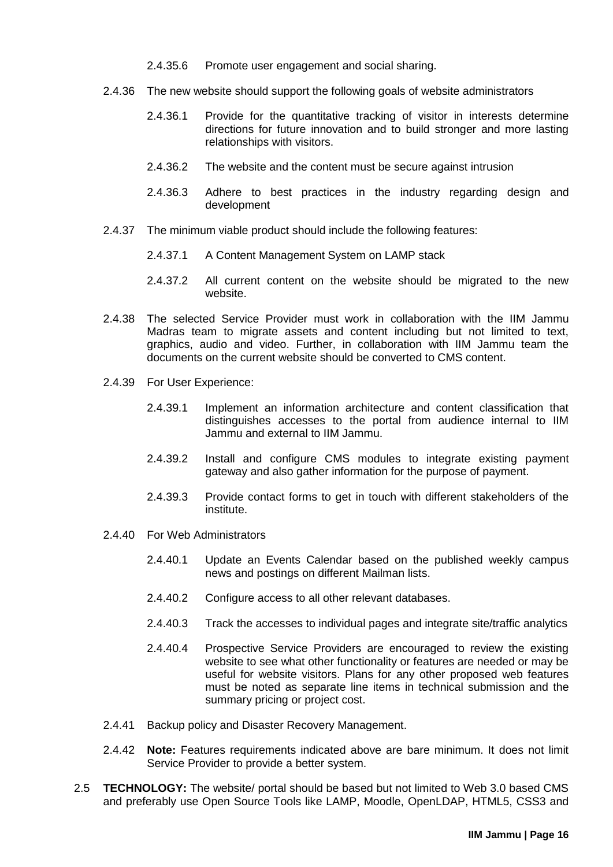- 2.4.35.6 Promote user engagement and social sharing.
- 2.4.36 The new website should support the following goals of website administrators
	- 2.4.36.1 Provide for the quantitative tracking of visitor in interests determine directions for future innovation and to build stronger and more lasting relationships with visitors.
	- 2.4.36.2 The website and the content must be secure against intrusion
	- 2.4.36.3 Adhere to best practices in the industry regarding design and development
- 2.4.37 The minimum viable product should include the following features:
	- 2.4.37.1 A Content Management System on LAMP stack
	- 2.4.37.2 All current content on the website should be migrated to the new website.
- 2.4.38 The selected Service Provider must work in collaboration with the IIM Jammu Madras team to migrate assets and content including but not limited to text, graphics, audio and video. Further, in collaboration with IIM Jammu team the documents on the current website should be converted to CMS content.
- 2.4.39 For User Experience:
	- 2.4.39.1 Implement an information architecture and content classification that distinguishes accesses to the portal from audience internal to IIM Jammu and external to IIM Jammu.
	- 2.4.39.2 Install and configure CMS modules to integrate existing payment gateway and also gather information for the purpose of payment.
	- 2.4.39.3 Provide contact forms to get in touch with different stakeholders of the institute.
- 2.4.40 For Web Administrators
	- 2.4.40.1 Update an Events Calendar based on the published weekly campus news and postings on different Mailman lists.
	- 2.4.40.2 Configure access to all other relevant databases.
	- 2.4.40.3 Track the accesses to individual pages and integrate site/traffic analytics
	- 2.4.40.4 Prospective Service Providers are encouraged to review the existing website to see what other functionality or features are needed or may be useful for website visitors. Plans for any other proposed web features must be noted as separate line items in technical submission and the summary pricing or project cost.
- 2.4.41 Backup policy and Disaster Recovery Management.
- 2.4.42 **Note:** Features requirements indicated above are bare minimum. It does not limit Service Provider to provide a better system.
- <span id="page-18-0"></span>2.5 **TECHNOLOGY:** The website/ portal should be based but not limited to Web 3.0 based CMS and preferably use Open Source Tools like LAMP, Moodle, OpenLDAP, HTML5, CSS3 and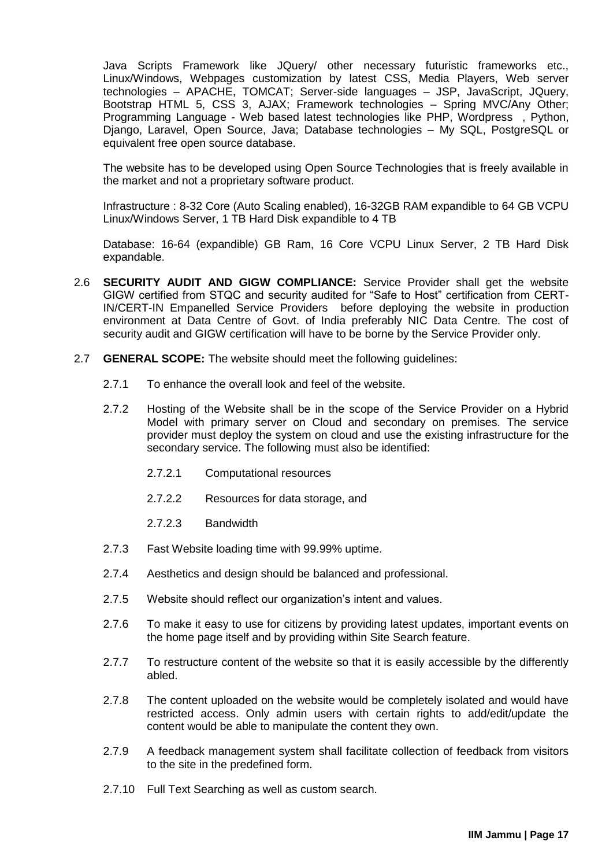Java Scripts Framework like JQuery/ other necessary futuristic frameworks etc., Linux/Windows, Webpages customization by latest CSS, Media Players, Web server technologies – APACHE, TOMCAT; Server-side languages – JSP, JavaScript, JQuery, Bootstrap HTML 5, CSS 3, AJAX; Framework technologies – Spring MVC/Any Other; Programming Language - Web based latest technologies like PHP, Wordpress , Python, Django, Laravel, Open Source, Java; Database technologies – My SQL, PostgreSQL or equivalent free open source database.

The website has to be developed using Open Source Technologies that is freely available in the market and not a proprietary software product.

Infrastructure : 8-32 Core (Auto Scaling enabled), 16-32GB RAM expandible to 64 GB VCPU Linux/Windows Server, 1 TB Hard Disk expandible to 4 TB

Database: 16-64 (expandible) GB Ram, 16 Core VCPU Linux Server, 2 TB Hard Disk expandable.

- <span id="page-19-0"></span>2.6 **SECURITY AUDIT AND GIGW COMPLIANCE:** Service Provider shall get the website GIGW certified from STQC and security audited for "Safe to Host" certification from CERT-IN/CERT-IN Empanelled Service Providers before deploying the website in production environment at Data Centre of Govt. of India preferably NIC Data Centre. The cost of security audit and GIGW certification will have to be borne by the Service Provider only.
- <span id="page-19-1"></span>2.7 **GENERAL SCOPE:** The website should meet the following guidelines:
	- 2.7.1 To enhance the overall look and feel of the website.
	- 2.7.2 Hosting of the Website shall be in the scope of the Service Provider on a Hybrid Model with primary server on Cloud and secondary on premises. The service provider must deploy the system on cloud and use the existing infrastructure for the secondary service. The following must also be identified:
		- 2.7.2.1 Computational resources
		- 2.7.2.2 Resources for data storage, and
		- 2.7.2.3 Bandwidth
	- 2.7.3 Fast Website loading time with 99.99% uptime.
	- 2.7.4 Aesthetics and design should be balanced and professional.
	- 2.7.5 Website should reflect our organization's intent and values.
	- 2.7.6 To make it easy to use for citizens by providing latest updates, important events on the home page itself and by providing within Site Search feature.
	- 2.7.7 To restructure content of the website so that it is easily accessible by the differently abled.
	- 2.7.8 The content uploaded on the website would be completely isolated and would have restricted access. Only admin users with certain rights to add/edit/update the content would be able to manipulate the content they own.
	- 2.7.9 A feedback management system shall facilitate collection of feedback from visitors to the site in the predefined form.
	- 2.7.10 Full Text Searching as well as custom search.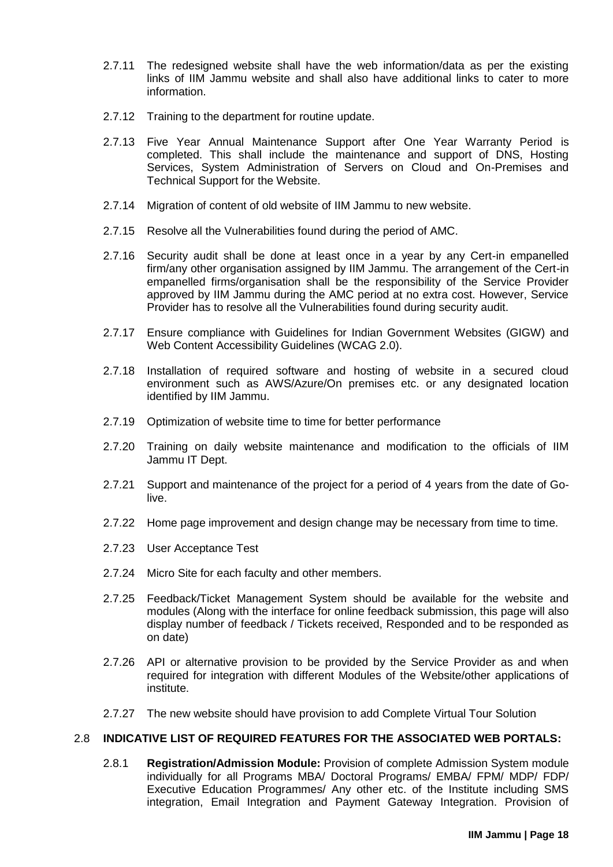- 2.7.11 The redesigned website shall have the web information/data as per the existing links of IIM Jammu website and shall also have additional links to cater to more information.
- 2.7.12 Training to the department for routine update.
- 2.7.13 Five Year Annual Maintenance Support after One Year Warranty Period is completed. This shall include the maintenance and support of DNS, Hosting Services, System Administration of Servers on Cloud and On-Premises and Technical Support for the Website.
- 2.7.14 Migration of content of old website of IIM Jammu to new website.
- 2.7.15 Resolve all the Vulnerabilities found during the period of AMC.
- 2.7.16 Security audit shall be done at least once in a year by any Cert-in empanelled firm/any other organisation assigned by IIM Jammu. The arrangement of the Cert-in empanelled firms/organisation shall be the responsibility of the Service Provider approved by IIM Jammu during the AMC period at no extra cost. However, Service Provider has to resolve all the Vulnerabilities found during security audit.
- 2.7.17 Ensure compliance with Guidelines for Indian Government Websites (GIGW) and Web Content Accessibility Guidelines (WCAG 2.0).
- 2.7.18 Installation of required software and hosting of website in a secured cloud environment such as AWS/Azure/On premises etc. or any designated location identified by IIM Jammu.
- 2.7.19 Optimization of website time to time for better performance
- 2.7.20 Training on daily website maintenance and modification to the officials of IIM Jammu IT Dept.
- 2.7.21 Support and maintenance of the project for a period of 4 years from the date of Golive.
- 2.7.22 Home page improvement and design change may be necessary from time to time.
- 2.7.23 User Acceptance Test
- 2.7.24 Micro Site for each faculty and other members.
- 2.7.25 Feedback/Ticket Management System should be available for the website and modules (Along with the interface for online feedback submission, this page will also display number of feedback / Tickets received, Responded and to be responded as on date)
- 2.7.26 API or alternative provision to be provided by the Service Provider as and when required for integration with different Modules of the Website/other applications of institute.
- 2.7.27 The new website should have provision to add Complete Virtual Tour Solution

#### <span id="page-20-0"></span>2.8 **INDICATIVE LIST OF REQUIRED FEATURES FOR THE ASSOCIATED WEB PORTALS:**

2.8.1 **Registration/Admission Module:** Provision of complete Admission System module individually for all Programs MBA/ Doctoral Programs/ EMBA/ FPM/ MDP/ FDP/ Executive Education Programmes/ Any other etc. of the Institute including SMS integration, Email Integration and Payment Gateway Integration. Provision of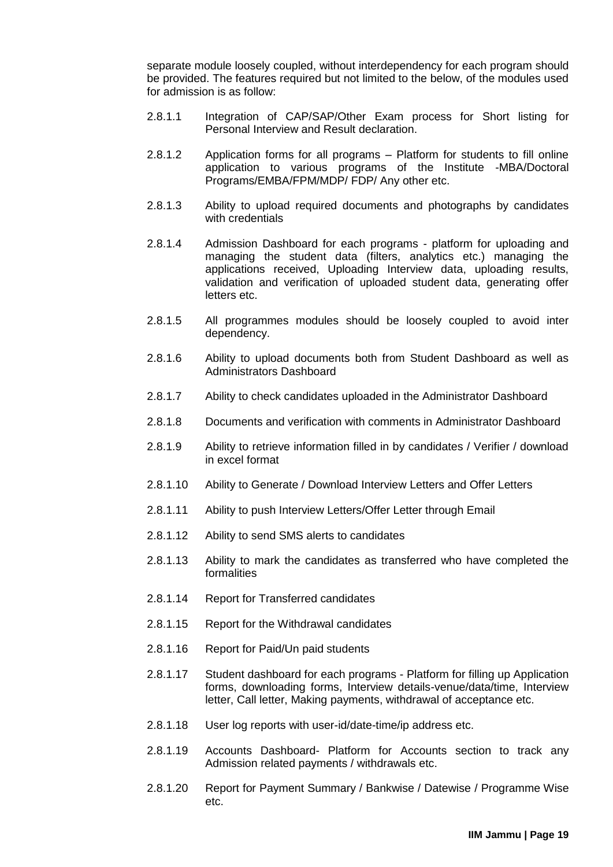separate module loosely coupled, without interdependency for each program should be provided. The features required but not limited to the below, of the modules used for admission is as follow:

- 2.8.1.1 Integration of CAP/SAP/Other Exam process for Short listing for Personal Interview and Result declaration.
- 2.8.1.2 Application forms for all programs Platform for students to fill online application to various programs of the Institute -MBA/Doctoral Programs/EMBA/FPM/MDP/ FDP/ Any other etc.
- 2.8.1.3 Ability to upload required documents and photographs by candidates with credentials
- 2.8.1.4 Admission Dashboard for each programs platform for uploading and managing the student data (filters, analytics etc.) managing the applications received, Uploading Interview data, uploading results, validation and verification of uploaded student data, generating offer letters etc.
- 2.8.1.5 All programmes modules should be loosely coupled to avoid inter dependency.
- 2.8.1.6 Ability to upload documents both from Student Dashboard as well as Administrators Dashboard
- 2.8.1.7 Ability to check candidates uploaded in the Administrator Dashboard
- 2.8.1.8 Documents and verification with comments in Administrator Dashboard
- 2.8.1.9 Ability to retrieve information filled in by candidates / Verifier / download in excel format
- 2.8.1.10 Ability to Generate / Download Interview Letters and Offer Letters
- 2.8.1.11 Ability to push Interview Letters/Offer Letter through Email
- 2.8.1.12 Ability to send SMS alerts to candidates
- 2.8.1.13 Ability to mark the candidates as transferred who have completed the formalities
- 2.8.1.14 Report for Transferred candidates
- 2.8.1.15 Report for the Withdrawal candidates
- 2.8.1.16 Report for Paid/Un paid students
- 2.8.1.17 Student dashboard for each programs Platform for filling up Application forms, downloading forms, Interview details-venue/data/time, Interview letter, Call letter, Making payments, withdrawal of acceptance etc.
- 2.8.1.18 User log reports with user-id/date-time/ip address etc.
- 2.8.1.19 Accounts Dashboard- Platform for Accounts section to track any Admission related payments / withdrawals etc.
- 2.8.1.20 Report for Payment Summary / Bankwise / Datewise / Programme Wise etc.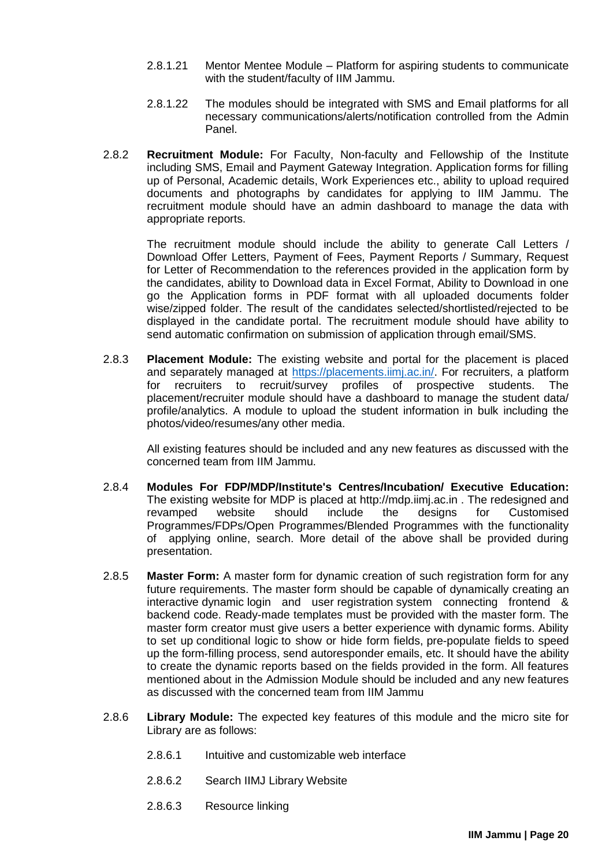- 2.8.1.21 Mentor Mentee Module Platform for aspiring students to communicate with the student/faculty of IIM Jammu.
- 2.8.1.22 The modules should be integrated with SMS and Email platforms for all necessary communications/alerts/notification controlled from the Admin Panel.
- 2.8.2 **Recruitment Module:** For Faculty, Non-faculty and Fellowship of the Institute including SMS, Email and Payment Gateway Integration. Application forms for filling up of Personal, Academic details, Work Experiences etc., ability to upload required documents and photographs by candidates for applying to IIM Jammu. The recruitment module should have an admin dashboard to manage the data with appropriate reports.

The recruitment module should include the ability to generate Call Letters / Download Offer Letters, Payment of Fees, Payment Reports / Summary, Request for Letter of Recommendation to the references provided in the application form by the candidates, ability to Download data in Excel Format, Ability to Download in one go the Application forms in PDF format with all uploaded documents folder wise/zipped folder. The result of the candidates selected/shortlisted/rejected to be displayed in the candidate portal. The recruitment module should have ability to send automatic confirmation on submission of application through email/SMS.

2.8.3 **Placement Module:** The existing website and portal for the placement is placed and separately managed at [https://placements.iimj.ac.in/.](https://placements.iimj.ac.in/) For recruiters, a platform for recruiters to recruit/survey profiles of prospective students. The placement/recruiter module should have a dashboard to manage the student data/ profile/analytics. A module to upload the student information in bulk including the photos/video/resumes/any other media.

All existing features should be included and any new features as discussed with the concerned team from IIM Jammu.

- 2.8.4 **Modules For FDP/MDP/Institute's Centres/Incubation/ Executive Education:**  The existing website for MDP is placed at http://mdp.iimj.ac.in . The redesigned and revamped website should include the designs for Customised Programmes/FDPs/Open Programmes/Blended Programmes with the functionality of applying online, search. More detail of the above shall be provided during presentation.
- 2.8.5 **Master Form:** A master form for dynamic creation of such registration form for any future requirements. The master form should be capable of dynamically creating an interactive dynamic login and user registration system connecting frontend & backend code. Ready-made templates must be provided with the master form. The master form creator must give users a better experience with dynamic forms. Ability to set up conditional logic to show or hide form fields, pre-populate fields to speed up the form-filling process, send autoresponder emails, etc. It should have the ability to create the dynamic reports based on the fields provided in the form. All features mentioned about in the Admission Module should be included and any new features as discussed with the concerned team from IIM Jammu
- 2.8.6 **Library Module:** The expected key features of this module and the micro site for Library are as follows:
	- 2.8.6.1 Intuitive and customizable web interface
	- 2.8.6.2 Search IIMJ Library Website
	- 2.8.6.3 Resource linking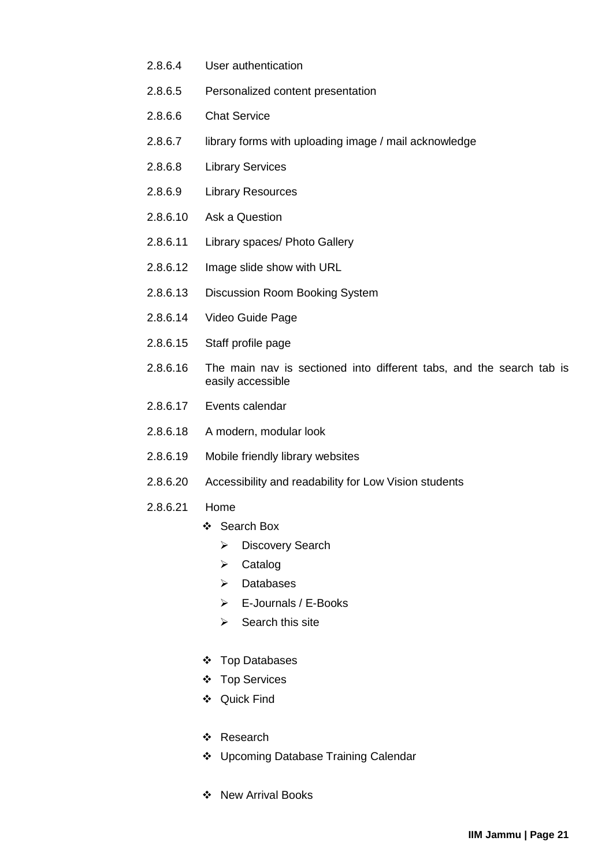- 2.8.6.4 User authentication
- 2.8.6.5 Personalized content presentation
- 2.8.6.6 Chat Service
- 2.8.6.7 library forms with uploading image / mail acknowledge
- 2.8.6.8 Library Services
- 2.8.6.9 Library Resources
- 2.8.6.10 Ask a Question
- 2.8.6.11 Library spaces/ Photo Gallery
- 2.8.6.12 Image slide show with URL
- 2.8.6.13 Discussion Room Booking System
- 2.8.6.14 Video Guide Page
- 2.8.6.15 Staff profile page
- 2.8.6.16 The main nav is sectioned into different tabs, and the search tab is easily accessible
- 2.8.6.17 Events calendar
- 2.8.6.18 A modern, modular look
- 2.8.6.19 Mobile friendly library websites
- 2.8.6.20 Accessibility and readability for Low Vision students
- 2.8.6.21 Home
	- ❖ Search Box
		- > Discovery Search
		- $\triangleright$  Catalog
		- $\triangleright$  Databases
		- E-Journals / E-Books
		- $\triangleright$  Search this site
	- Top Databases
	- Top Services
	- Quick Find
	- Research
	- Upcoming Database Training Calendar
	- ❖ New Arrival Books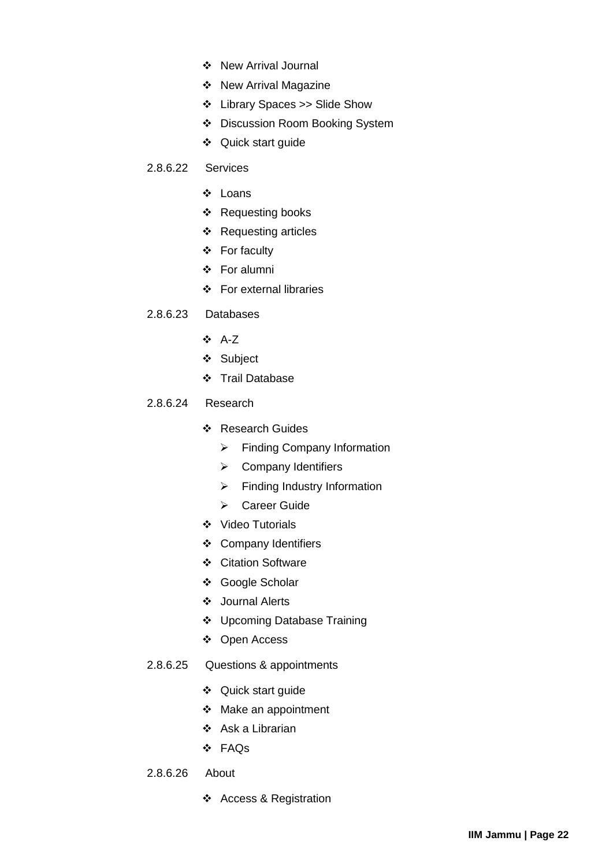- New Arrival Journal
- ❖ New Arrival Magazine
- Library Spaces >> Slide Show
- Discussion Room Booking System
- Quick start guide
- 2.8.6.22 Services
	- Loans
	- ❖ Requesting books
	- Requesting articles
	- For faculty
	- For alumni
	- For external libraries
- 2.8.6.23 Databases
	- A-Z
	- Subject
	- Trail Database
- 2.8.6.24 Research
	- Research Guides
		- $\triangleright$  Finding Company Information
		- $\triangleright$  Company Identifiers
		- $\triangleright$  Finding Industry Information
		- ▶ Career Guide
	- ❖ Video Tutorials
	- Company Identifiers
	- ❖ Citation Software
	- Google Scholar
	- Journal Alerts
	- Upcoming Database Training
	- Open Access
- 2.8.6.25 Questions & appointments
	- ❖ Quick start guide
	- Make an appointment
	- $\div$  Ask a Librarian
	- FAQs
- 2.8.6.26 About
	- ❖ Access & Registration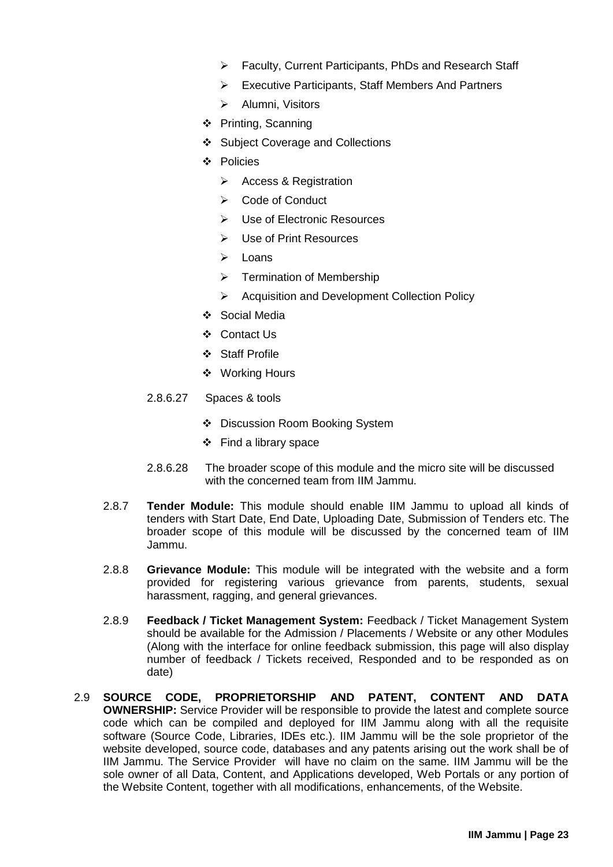- Faculty, Current Participants, PhDs and Research Staff
- Executive Participants, Staff Members And Partners
- > Alumni, Visitors
- ❖ Printing, Scanning
- Subject Coverage and Collections
- Policies
	- $\triangleright$  Access & Registration
	- **►** Code of Conduct
	- Use of Electronic Resources
	- $\triangleright$  Use of Print Resources
	- $\triangleright$  Loans
	- $\triangleright$  Termination of Membership
	- ▶ Acquisition and Development Collection Policy
- ❖ Social Media
- ❖ Contact Us
- Staff Profile
- Working Hours
- 2.8.6.27 Spaces & tools
	- Discussion Room Booking System
	- $\div$  Find a library space
- 2.8.6.28 The broader scope of this module and the micro site will be discussed with the concerned team from IIM Jammu.
- 2.8.7 **Tender Module:** This module should enable IIM Jammu to upload all kinds of tenders with Start Date, End Date, Uploading Date, Submission of Tenders etc. The broader scope of this module will be discussed by the concerned team of IIM Jammu.
- 2.8.8 **Grievance Module:** This module will be integrated with the website and a form provided for registering various grievance from parents, students, sexual harassment, ragging, and general grievances.
- 2.8.9 **Feedback / Ticket Management System:** Feedback / Ticket Management System should be available for the Admission / Placements / Website or any other Modules (Along with the interface for online feedback submission, this page will also display number of feedback / Tickets received, Responded and to be responded as on date)
- <span id="page-25-0"></span>2.9 **SOURCE CODE, PROPRIETORSHIP AND PATENT, CONTENT AND DATA OWNERSHIP:** Service Provider will be responsible to provide the latest and complete source code which can be compiled and deployed for IIM Jammu along with all the requisite software (Source Code, Libraries, IDEs etc.). IIM Jammu will be the sole proprietor of the website developed, source code, databases and any patents arising out the work shall be of IIM Jammu. The Service Provider will have no claim on the same. IIM Jammu will be the sole owner of all Data, Content, and Applications developed, Web Portals or any portion of the Website Content, together with all modifications, enhancements, of the Website.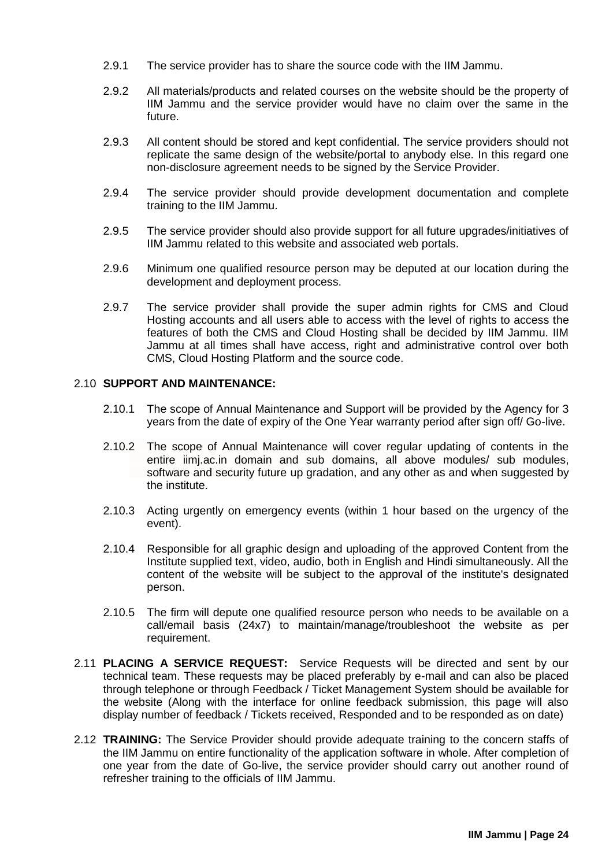- 2.9.1 The service provider has to share the source code with the IIM Jammu.
- 2.9.2 All materials/products and related courses on the website should be the property of IIM Jammu and the service provider would have no claim over the same in the future.
- 2.9.3 All content should be stored and kept confidential. The service providers should not replicate the same design of the website/portal to anybody else. In this regard one non-disclosure agreement needs to be signed by the Service Provider.
- 2.9.4 The service provider should provide development documentation and complete training to the IIM Jammu.
- 2.9.5 The service provider should also provide support for all future upgrades/initiatives of IIM Jammu related to this website and associated web portals.
- 2.9.6 Minimum one qualified resource person may be deputed at our location during the development and deployment process.
- 2.9.7 The service provider shall provide the super admin rights for CMS and Cloud Hosting accounts and all users able to access with the level of rights to access the features of both the CMS and Cloud Hosting shall be decided by IIM Jammu. IIM Jammu at all times shall have access, right and administrative control over both CMS, Cloud Hosting Platform and the source code.

### <span id="page-26-0"></span>2.10 **SUPPORT AND MAINTENANCE:**

- 2.10.1 The scope of Annual Maintenance and Support will be provided by the Agency for 3 years from the date of expiry of the One Year warranty period after sign off/ Go-live.
- 2.10.2 The scope of Annual Maintenance will cover regular updating of contents in the entire iimj.ac.in domain and sub domains, all above modules/ sub modules, software and security future up gradation, and any other as and when suggested by the institute.
- 2.10.3 Acting urgently on emergency events (within 1 hour based on the urgency of the event).
- 2.10.4 Responsible for all graphic design and uploading of the approved Content from the Institute supplied text, video, audio, both in English and Hindi simultaneously. All the content of the website will be subject to the approval of the institute's designated person.
- 2.10.5 The firm will depute one qualified resource person who needs to be available on a call/email basis (24x7) to maintain/manage/troubleshoot the website as per requirement.
- <span id="page-26-1"></span>2.11 **PLACING A SERVICE REQUEST:** Service Requests will be directed and sent by our technical team. These requests may be placed preferably by e-mail and can also be placed through telephone or through Feedback / Ticket Management System should be available for the website (Along with the interface for online feedback submission, this page will also display number of feedback / Tickets received, Responded and to be responded as on date)
- <span id="page-26-2"></span>2.12 **TRAINING:** The Service Provider should provide adequate training to the concern staffs of the IIM Jammu on entire functionality of the application software in whole. After completion of one year from the date of Go-live, the service provider should carry out another round of refresher training to the officials of IIM Jammu.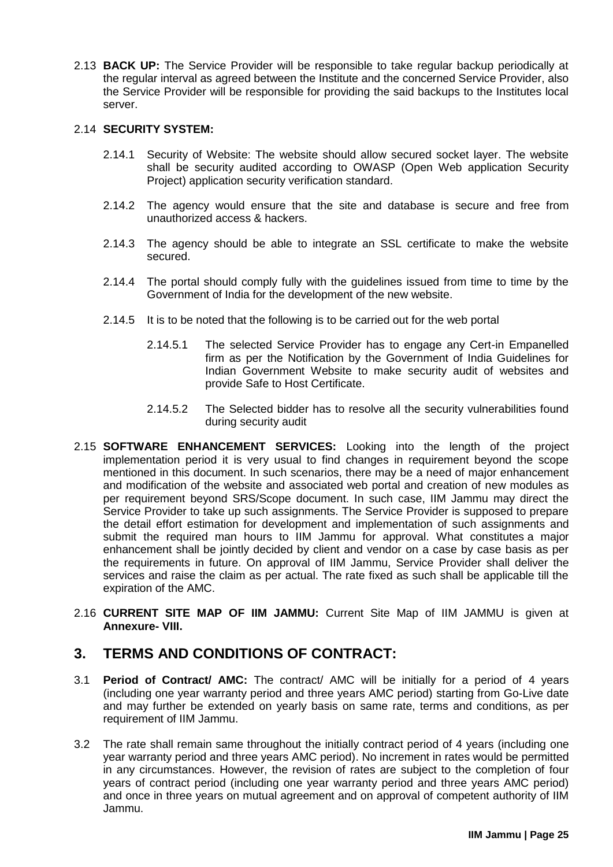<span id="page-27-0"></span>2.13 **BACK UP:** The Service Provider will be responsible to take regular backup periodically at the regular interval as agreed between the Institute and the concerned Service Provider, also the Service Provider will be responsible for providing the said backups to the Institutes local server.

### <span id="page-27-1"></span>2.14 **SECURITY SYSTEM:**

- 2.14.1 Security of Website: The website should allow secured socket layer. The website shall be security audited according to OWASP (Open Web application Security Project) application security verification standard.
- 2.14.2 The agency would ensure that the site and database is secure and free from unauthorized access & hackers.
- 2.14.3 The agency should be able to integrate an SSL certificate to make the website secured.
- 2.14.4 The portal should comply fully with the guidelines issued from time to time by the Government of India for the development of the new website.
- 2.14.5 It is to be noted that the following is to be carried out for the web portal
	- 2.14.5.1 The selected Service Provider has to engage any Cert-in Empanelled firm as per the Notification by the Government of India Guidelines for Indian Government Website to make security audit of websites and provide Safe to Host Certificate.
	- 2.14.5.2 The Selected bidder has to resolve all the security vulnerabilities found during security audit
- <span id="page-27-2"></span>2.15 **SOFTWARE ENHANCEMENT SERVICES:** Looking into the length of the project implementation period it is very usual to find changes in requirement beyond the scope mentioned in this document. In such scenarios, there may be a need of major enhancement and modification of the website and associated web portal and creation of new modules as per requirement beyond SRS/Scope document. In such case, IIM Jammu may direct the Service Provider to take up such assignments. The Service Provider is supposed to prepare the detail effort estimation for development and implementation of such assignments and submit the required man hours to IIM Jammu for approval. What constitutes a major enhancement shall be jointly decided by client and vendor on a case by case basis as per the requirements in future. On approval of IIM Jammu, Service Provider shall deliver the services and raise the claim as per actual. The rate fixed as such shall be applicable till the expiration of the AMC.
- <span id="page-27-3"></span>2.16 **CURRENT SITE MAP OF IIM JAMMU:** Current Site Map of IIM JAMMU is given at **Annexure- VIII.**

# <span id="page-27-4"></span>**3. TERMS AND CONDITIONS OF CONTRACT:**

- 3.1 **Period of Contract/ AMC:** The contract/ AMC will be initially for a period of 4 years (including one year warranty period and three years AMC period) starting from Go-Live date and may further be extended on yearly basis on same rate, terms and conditions, as per requirement of IIM Jammu.
- 3.2 The rate shall remain same throughout the initially contract period of 4 years (including one year warranty period and three years AMC period). No increment in rates would be permitted in any circumstances. However, the revision of rates are subject to the completion of four years of contract period (including one year warranty period and three years AMC period) and once in three years on mutual agreement and on approval of competent authority of IIM Jammu.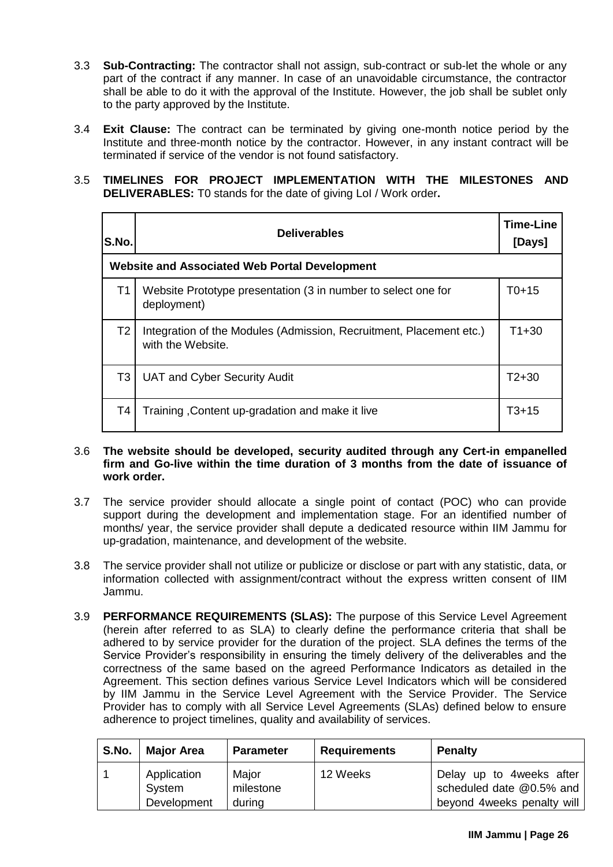- 3.3 **Sub-Contracting:** The contractor shall not assign, sub-contract or sub-let the whole or any part of the contract if any manner. In case of an unavoidable circumstance, the contractor shall be able to do it with the approval of the Institute. However, the job shall be sublet only to the party approved by the Institute.
- 3.4 **Exit Clause:** The contract can be terminated by giving one-month notice period by the Institute and three-month notice by the contractor. However, in any instant contract will be terminated if service of the vendor is not found satisfactory.

### 3.5 **TIMELINES FOR PROJECT IMPLEMENTATION WITH THE MILESTONES AND DELIVERABLES:** T0 stands for the date of giving LoI / Work order**.**

| S.No.          | <b>Deliverables</b>                                                                      | <b>Time-Line</b><br>[Days] |
|----------------|------------------------------------------------------------------------------------------|----------------------------|
|                | <b>Website and Associated Web Portal Development</b>                                     |                            |
| Τ1             | Website Prototype presentation (3 in number to select one for<br>deployment)             | $T_{0+15}$                 |
| T <sub>2</sub> | Integration of the Modules (Admission, Recruitment, Placement etc.)<br>with the Website. | $T1+30$                    |
| T <sub>3</sub> | <b>UAT and Cyber Security Audit</b>                                                      | $T2+30$                    |
| Τ4             | Training, Content up-gradation and make it live                                          | T3+15                      |

#### 3.6 **The website should be developed, security audited through any Cert-in empanelled firm and Go-live within the time duration of 3 months from the date of issuance of work order.**

- 3.7 The service provider should allocate a single point of contact (POC) who can provide support during the development and implementation stage. For an identified number of months/ year, the service provider shall depute a dedicated resource within IIM Jammu for up-gradation, maintenance, and development of the website.
- 3.8 The service provider shall not utilize or publicize or disclose or part with any statistic, data, or information collected with assignment/contract without the express written consent of IIM Jammu.
- 3.9 **PERFORMANCE REQUIREMENTS (SLAS):** The purpose of this Service Level Agreement (herein after referred to as SLA) to clearly define the performance criteria that shall be adhered to by service provider for the duration of the project. SLA defines the terms of the Service Provider's responsibility in ensuring the timely delivery of the deliverables and the correctness of the same based on the agreed Performance Indicators as detailed in the Agreement. This section defines various Service Level Indicators which will be considered by IIM Jammu in the Service Level Agreement with the Service Provider. The Service Provider has to comply with all Service Level Agreements (SLAs) defined below to ensure adherence to project timelines, quality and availability of services.

| S.No. | <b>Major Area</b>                    | <b>Parameter</b>             | <b>Requirements</b> | Penalty                                                                              |
|-------|--------------------------------------|------------------------------|---------------------|--------------------------------------------------------------------------------------|
|       | Application<br>System<br>Development | Major<br>milestone<br>during | 12 Weeks            | Delay up to 4 weeks after<br>scheduled date @0.5% and<br>beyond 4 weeks penalty will |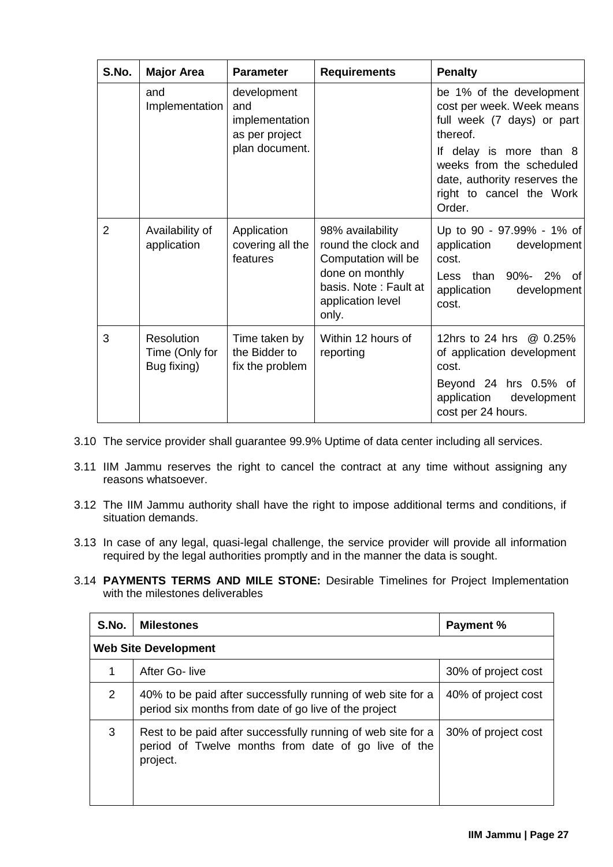| S.No.          | <b>Major Area</b>                           | <b>Parameter</b>                                       | <b>Requirements</b>                                                                                                                      | <b>Penalty</b>                                                                                                                              |
|----------------|---------------------------------------------|--------------------------------------------------------|------------------------------------------------------------------------------------------------------------------------------------------|---------------------------------------------------------------------------------------------------------------------------------------------|
|                | and<br>Implementation                       | development<br>and<br>implementation<br>as per project |                                                                                                                                          | be 1% of the development<br>cost per week. Week means<br>full week (7 days) or part<br>thereof.                                             |
|                |                                             | plan document.                                         |                                                                                                                                          | If delay is more than 8<br>weeks from the scheduled<br>date, authority reserves the<br>right to cancel the Work<br>Order.                   |
| $\overline{2}$ | Availability of<br>application              | Application<br>covering all the<br>features            | 98% availability<br>round the clock and<br>Computation will be<br>done on monthly<br>basis. Note: Fault at<br>application level<br>only. | Up to 90 - 97.99% - 1% of<br>application<br>development<br>cost.<br>than<br>90%- 2% of<br>Less<br>application<br>development<br>cost.       |
| 3              | Resolution<br>Time (Only for<br>Bug fixing) | Time taken by<br>the Bidder to<br>fix the problem      | Within 12 hours of<br>reporting                                                                                                          | 12hrs to 24 hrs @ 0.25%<br>of application development<br>cost.<br>Beyond 24 hrs 0.5% of<br>application<br>development<br>cost per 24 hours. |

- 3.10 The service provider shall guarantee 99.9% Uptime of data center including all services.
- 3.11 IIM Jammu reserves the right to cancel the contract at any time without assigning any reasons whatsoever.
- 3.12 The IIM Jammu authority shall have the right to impose additional terms and conditions, if situation demands.
- 3.13 In case of any legal, quasi-legal challenge, the service provider will provide all information required by the legal authorities promptly and in the manner the data is sought.
- 3.14 **PAYMENTS TERMS AND MILE STONE:** Desirable Timelines for Project Implementation with the milestones deliverables

| S.No.          | <b>Milestones</b>                                                                                                               | <b>Payment %</b>    |
|----------------|---------------------------------------------------------------------------------------------------------------------------------|---------------------|
|                | <b>Web Site Development</b>                                                                                                     |                     |
| 1              | After Go-live                                                                                                                   | 30% of project cost |
| $\overline{2}$ | 40% to be paid after successfully running of web site for a<br>period six months from date of go live of the project            | 40% of project cost |
| 3              | Rest to be paid after successfully running of web site for a<br>period of Twelve months from date of go live of the<br>project. | 30% of project cost |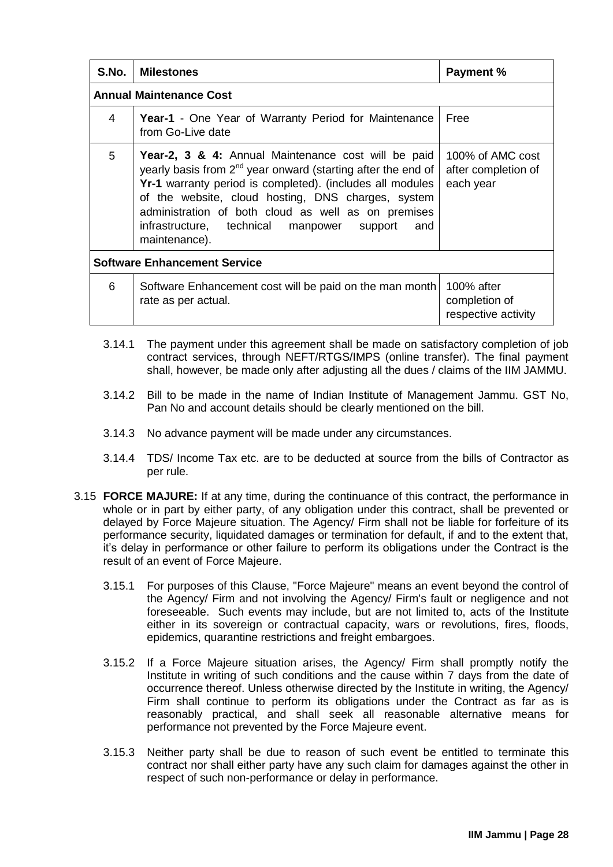| S.No.                               | <b>Milestones</b>                                                                                                                                                                                                                                                                                                                                                        | <b>Payment %</b>                                     |  |  |  |
|-------------------------------------|--------------------------------------------------------------------------------------------------------------------------------------------------------------------------------------------------------------------------------------------------------------------------------------------------------------------------------------------------------------------------|------------------------------------------------------|--|--|--|
|                                     | <b>Annual Maintenance Cost</b>                                                                                                                                                                                                                                                                                                                                           |                                                      |  |  |  |
| 4                                   | <b>Year-1</b> - One Year of Warranty Period for Maintenance<br>from Go-Live date                                                                                                                                                                                                                                                                                         | Free                                                 |  |  |  |
| 5                                   | Year-2, 3 & 4: Annual Maintenance cost will be paid<br>yearly basis from $2^{nd}$ year onward (starting after the end of<br>Yr-1 warranty period is completed). (includes all modules<br>of the website, cloud hosting, DNS charges, system<br>administration of both cloud as well as on premises<br>infrastructure, technical manpower support<br>and<br>maintenance). | 100% of AMC cost<br>after completion of<br>each year |  |  |  |
| <b>Software Enhancement Service</b> |                                                                                                                                                                                                                                                                                                                                                                          |                                                      |  |  |  |
| 6                                   | Software Enhancement cost will be paid on the man month<br>rate as per actual.                                                                                                                                                                                                                                                                                           | 100% after<br>completion of<br>respective activity   |  |  |  |

- 3.14.1 The payment under this agreement shall be made on satisfactory completion of job contract services, through NEFT/RTGS/IMPS (online transfer). The final payment shall, however, be made only after adjusting all the dues / claims of the IIM JAMMU.
- 3.14.2 Bill to be made in the name of Indian Institute of Management Jammu. GST No, Pan No and account details should be clearly mentioned on the bill.
- 3.14.3 No advance payment will be made under any circumstances.
- 3.14.4 TDS/ Income Tax etc. are to be deducted at source from the bills of Contractor as per rule.
- 3.15 **FORCE MAJURE:** If at any time, during the continuance of this contract, the performance in whole or in part by either party, of any obligation under this contract, shall be prevented or delayed by Force Majeure situation. The Agency/ Firm shall not be liable for forfeiture of its performance security, liquidated damages or termination for default, if and to the extent that, it's delay in performance or other failure to perform its obligations under the Contract is the result of an event of Force Majeure.
	- 3.15.1 For purposes of this Clause, "Force Majeure" means an event beyond the control of the Agency/ Firm and not involving the Agency/ Firm's fault or negligence and not foreseeable. Such events may include, but are not limited to, acts of the Institute either in its sovereign or contractual capacity, wars or revolutions, fires, floods, epidemics, quarantine restrictions and freight embargoes.
	- 3.15.2 If a Force Majeure situation arises, the Agency/ Firm shall promptly notify the Institute in writing of such conditions and the cause within 7 days from the date of occurrence thereof. Unless otherwise directed by the Institute in writing, the Agency/ Firm shall continue to perform its obligations under the Contract as far as is reasonably practical, and shall seek all reasonable alternative means for performance not prevented by the Force Majeure event.
	- 3.15.3 Neither party shall be due to reason of such event be entitled to terminate this contract nor shall either party have any such claim for damages against the other in respect of such non-performance or delay in performance.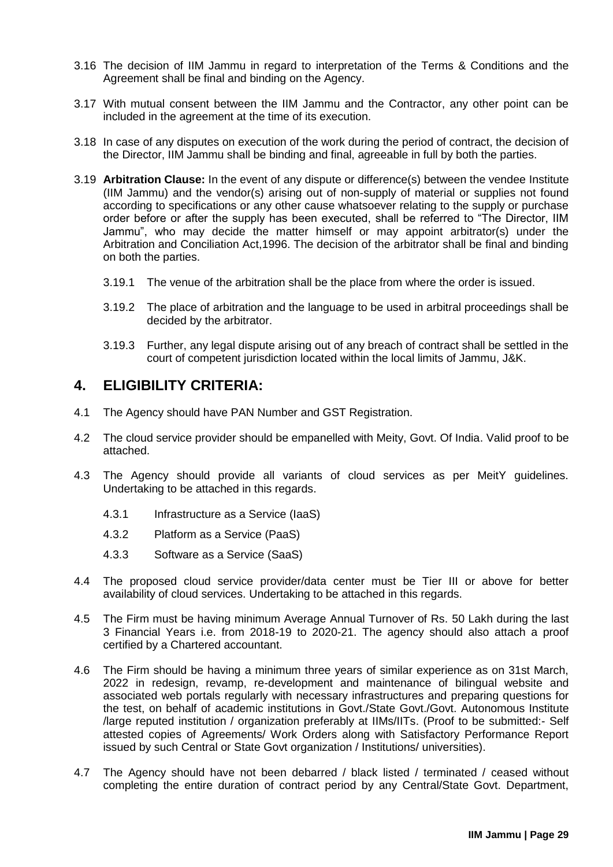- 3.16 The decision of IIM Jammu in regard to interpretation of the Terms & Conditions and the Agreement shall be final and binding on the Agency.
- 3.17 With mutual consent between the IIM Jammu and the Contractor, any other point can be included in the agreement at the time of its execution.
- 3.18 In case of any disputes on execution of the work during the period of contract, the decision of the Director, IIM Jammu shall be binding and final, agreeable in full by both the parties.
- 3.19 **Arbitration Clause:** In the event of any dispute or difference(s) between the vendee Institute (IIM Jammu) and the vendor(s) arising out of non-supply of material or supplies not found according to specifications or any other cause whatsoever relating to the supply or purchase order before or after the supply has been executed, shall be referred to "The Director, IIM Jammu", who may decide the matter himself or may appoint arbitrator(s) under the Arbitration and Conciliation Act,1996. The decision of the arbitrator shall be final and binding on both the parties.
	- 3.19.1 The venue of the arbitration shall be the place from where the order is issued.
	- 3.19.2 The place of arbitration and the language to be used in arbitral proceedings shall be decided by the arbitrator.
	- 3.19.3 Further, any legal dispute arising out of any breach of contract shall be settled in the court of competent jurisdiction located within the local limits of Jammu, J&K.

## <span id="page-31-0"></span>**4. ELIGIBILITY CRITERIA:**

- 4.1 The Agency should have PAN Number and GST Registration.
- 4.2 The cloud service provider should be empanelled with Meity, Govt. Of India. Valid proof to be attached.
- 4.3 The Agency should provide all variants of cloud services as per MeitY guidelines. Undertaking to be attached in this regards.
	- 4.3.1 Infrastructure as a Service (IaaS)
	- 4.3.2 Platform as a Service (PaaS)
	- 4.3.3 Software as a Service (SaaS)
- 4.4 The proposed cloud service provider/data center must be Tier III or above for better availability of cloud services. Undertaking to be attached in this regards.
- 4.5 The Firm must be having minimum Average Annual Turnover of Rs. 50 Lakh during the last 3 Financial Years i.e. from 2018-19 to 2020-21. The agency should also attach a proof certified by a Chartered accountant.
- 4.6 The Firm should be having a minimum three years of similar experience as on 31st March, 2022 in redesign, revamp, re-development and maintenance of bilingual website and associated web portals regularly with necessary infrastructures and preparing questions for the test, on behalf of academic institutions in Govt./State Govt./Govt. Autonomous Institute /large reputed institution / organization preferably at IIMs/IITs. (Proof to be submitted:- Self attested copies of Agreements/ Work Orders along with Satisfactory Performance Report issued by such Central or State Govt organization / Institutions/ universities).
- 4.7 The Agency should have not been debarred / black listed / terminated / ceased without completing the entire duration of contract period by any Central/State Govt. Department,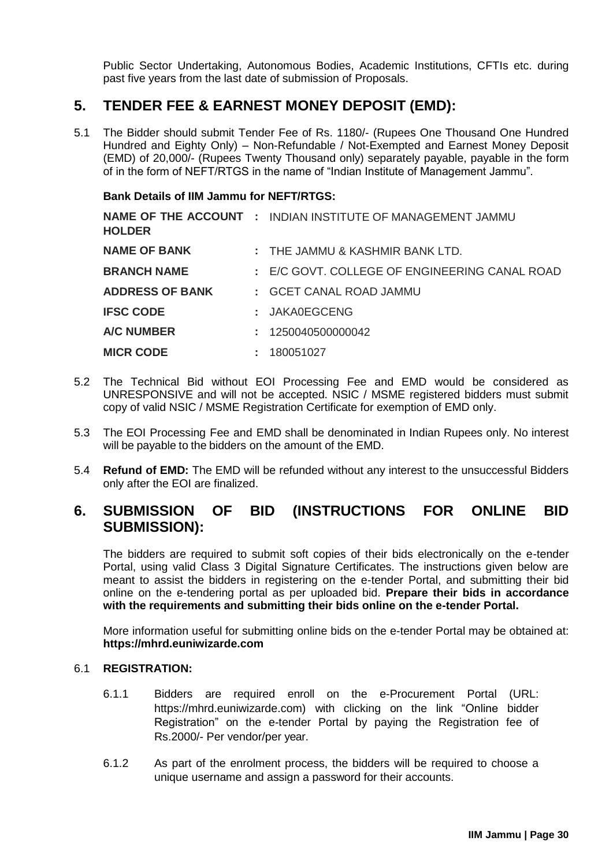Public Sector Undertaking, Autonomous Bodies, Academic Institutions, CFTIs etc. during past five years from the last date of submission of Proposals.

## <span id="page-32-0"></span>**5. TENDER FEE & EARNEST MONEY DEPOSIT (EMD):**

5.1 The Bidder should submit Tender Fee of Rs. 1180/- (Rupees One Thousand One Hundred Hundred and Eighty Only) – Non-Refundable / Not-Exempted and Earnest Money Deposit (EMD) of 20,000/- (Rupees Twenty Thousand only) separately payable, payable in the form of in the form of NEFT/RTGS in the name of "Indian Institute of Management Jammu".

### **Bank Details of IIM Jammu for NEFT/RTGS:**

| <b>HOLDER</b>          | <b>NAME OF THE ACCOUNT : INDIAN INSTITUTE OF MANAGEMENT JAMMU</b> |
|------------------------|-------------------------------------------------------------------|
| <b>NAME OF BANK</b>    | : THE JAMMU & KASHMIR BANK LTD.                                   |
| <b>BRANCH NAME</b>     | : E/C GOVT. COLLEGE OF ENGINEERING CANAL ROAD                     |
| <b>ADDRESS OF BANK</b> | : GCET CANAL ROAD JAMMU                                           |
| <b>IFSC CODE</b>       | : JAKA0EGCENG                                                     |
| <b>A/C NUMBER</b>      | : 1250040500000042                                                |
| <b>MICR CODE</b>       | : 180051027                                                       |

- 5.2 The Technical Bid without EOI Processing Fee and EMD would be considered as UNRESPONSIVE and will not be accepted. NSIC / MSME registered bidders must submit copy of valid NSIC / MSME Registration Certificate for exemption of EMD only.
- 5.3 The EOI Processing Fee and EMD shall be denominated in Indian Rupees only. No interest will be payable to the bidders on the amount of the EMD.
- 5.4 **Refund of EMD:** The EMD will be refunded without any interest to the unsuccessful Bidders only after the EOI are finalized.

# <span id="page-32-1"></span>**6. SUBMISSION OF BID (INSTRUCTIONS FOR ONLINE BID SUBMISSION):**

The bidders are required to submit soft copies of their bids electronically on the e-tender Portal, using valid Class 3 Digital Signature Certificates. The instructions given below are meant to assist the bidders in registering on the e-tender Portal, and submitting their bid online on the e-tendering portal as per uploaded bid. **Prepare their bids in accordance with the requirements and submitting their bids online on the e-tender Portal.** 

More information useful for submitting online bids on the e-tender Portal may be obtained at: **https://mhrd.euniwizarde.com**

#### <span id="page-32-2"></span>6.1 **REGISTRATION:**

- 6.1.1 Bidders are required enroll on the e-Procurement Portal (URL: https://mhrd.euniwizarde.com) with clicking on the link "Online bidder Registration" on the e-tender Portal by paying the Registration fee of Rs.2000/- Per vendor/per year.
- 6.1.2 As part of the enrolment process, the bidders will be required to choose a unique username and assign a password for their accounts.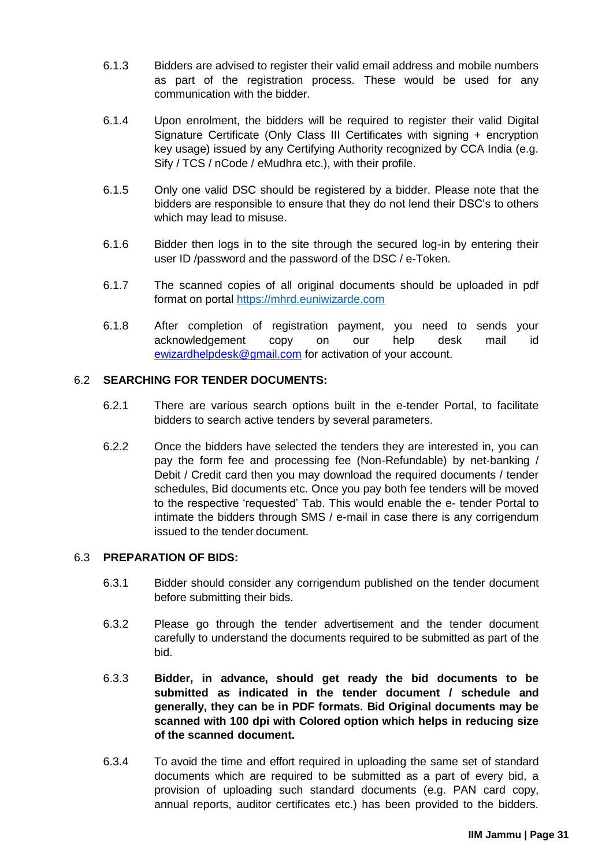- 6.1.3 Bidders are advised to register their valid email address and mobile numbers as part of the registration process. These would be used for any communication with the bidder.
- 6.1.4 Upon enrolment, the bidders will be required to register their valid Digital Signature Certificate (Only Class III Certificates with signing + encryption key usage) issued by any Certifying Authority recognized by CCA India (e.g. Sify / TCS / nCode / eMudhra etc.), with their profile.
- 6.1.5 Only one valid DSC should be registered by a bidder. Please note that the bidders are responsible to ensure that they do not lend their DSC's to others which may lead to misuse.
- 6.1.6 Bidder then logs in to the site through the secured log-in by entering their user ID /password and the password of the DSC / e-Token.
- 6.1.7 The scanned copies of all original documents should be uploaded in pdf format on portal [https://mhrd.euniwizarde.com](https://mhrd.euniwizarde.com/)
- 6.1.8 After completion of registration payment, you need to sends your acknowledgement copy on our help desk mail id [ewizardhelpdesk@gmail.com](mailto:ewizardhelpdesk@gmail.com) for activation of your account.

### <span id="page-33-0"></span>6.2 **SEARCHING FOR TENDER DOCUMENTS:**

- 6.2.1 There are various search options built in the e-tender Portal, to facilitate bidders to search active tenders by several parameters.
- 6.2.2 Once the bidders have selected the tenders they are interested in, you can pay the form fee and processing fee (Non-Refundable) by net-banking / Debit / Credit card then you may download the required documents / tender schedules, Bid documents etc. Once you pay both fee tenders will be moved to the respective 'requested' Tab. This would enable the e- tender Portal to intimate the bidders through SMS / e-mail in case there is any corrigendum issued to the tender document.

### <span id="page-33-1"></span>6.3 **PREPARATION OF BIDS:**

- 6.3.1 Bidder should consider any corrigendum published on the tender document before submitting their bids.
- 6.3.2 Please go through the tender advertisement and the tender document carefully to understand the documents required to be submitted as part of the bid.
- 6.3.3 **Bidder, in advance, should get ready the bid documents to be submitted as indicated in the tender document / schedule and generally, they can be in PDF formats. Bid Original documents may be scanned with 100 dpi with Colored option which helps in reducing size of the scanned document.**
- 6.3.4 To avoid the time and effort required in uploading the same set of standard documents which are required to be submitted as a part of every bid, a provision of uploading such standard documents (e.g. PAN card copy, annual reports, auditor certificates etc.) has been provided to the bidders.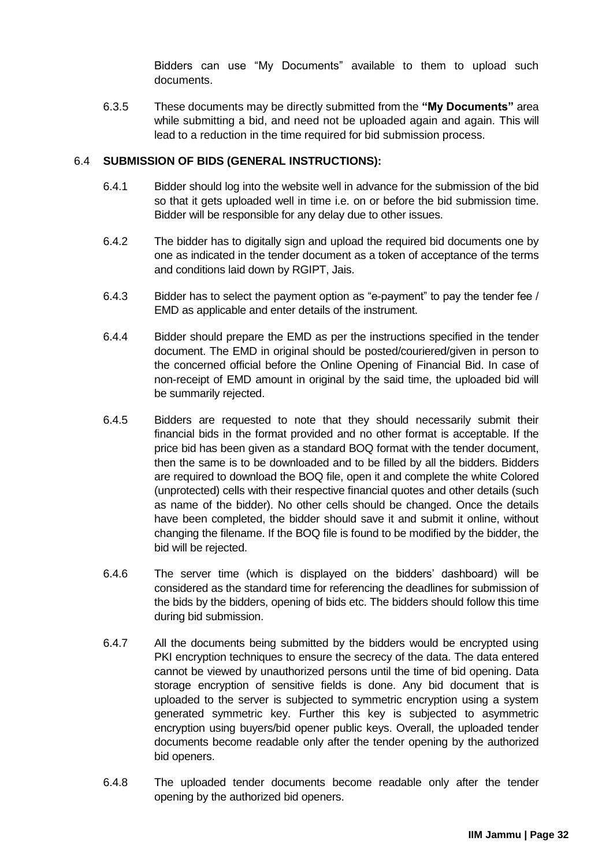Bidders can use "My Documents" available to them to upload such documents.

6.3.5 These documents may be directly submitted from the **"My Documents"** area while submitting a bid, and need not be uploaded again and again. This will lead to a reduction in the time required for bid submission process.

### <span id="page-34-0"></span>6.4 **SUBMISSION OF BIDS (GENERAL INSTRUCTIONS):**

- 6.4.1 Bidder should log into the website well in advance for the submission of the bid so that it gets uploaded well in time i.e. on or before the bid submission time. Bidder will be responsible for any delay due to other issues.
- 6.4.2 The bidder has to digitally sign and upload the required bid documents one by one as indicated in the tender document as a token of acceptance of the terms and conditions laid down by RGIPT, Jais.
- 6.4.3 Bidder has to select the payment option as "e-payment" to pay the tender fee / EMD as applicable and enter details of the instrument.
- 6.4.4 Bidder should prepare the EMD as per the instructions specified in the tender document. The EMD in original should be posted/couriered/given in person to the concerned official before the Online Opening of Financial Bid. In case of non-receipt of EMD amount in original by the said time, the uploaded bid will be summarily rejected.
- 6.4.5 Bidders are requested to note that they should necessarily submit their financial bids in the format provided and no other format is acceptable. If the price bid has been given as a standard BOQ format with the tender document, then the same is to be downloaded and to be filled by all the bidders. Bidders are required to download the BOQ file, open it and complete the white Colored (unprotected) cells with their respective financial quotes and other details (such as name of the bidder). No other cells should be changed. Once the details have been completed, the bidder should save it and submit it online, without changing the filename. If the BOQ file is found to be modified by the bidder, the bid will be rejected.
- 6.4.6 The server time (which is displayed on the bidders' dashboard) will be considered as the standard time for referencing the deadlines for submission of the bids by the bidders, opening of bids etc. The bidders should follow this time during bid submission.
- 6.4.7 All the documents being submitted by the bidders would be encrypted using PKI encryption techniques to ensure the secrecy of the data. The data entered cannot be viewed by unauthorized persons until the time of bid opening. Data storage encryption of sensitive fields is done. Any bid document that is uploaded to the server is subjected to symmetric encryption using a system generated symmetric key. Further this key is subjected to asymmetric encryption using buyers/bid opener public keys. Overall, the uploaded tender documents become readable only after the tender opening by the authorized bid openers.
- 6.4.8 The uploaded tender documents become readable only after the tender opening by the authorized bid openers.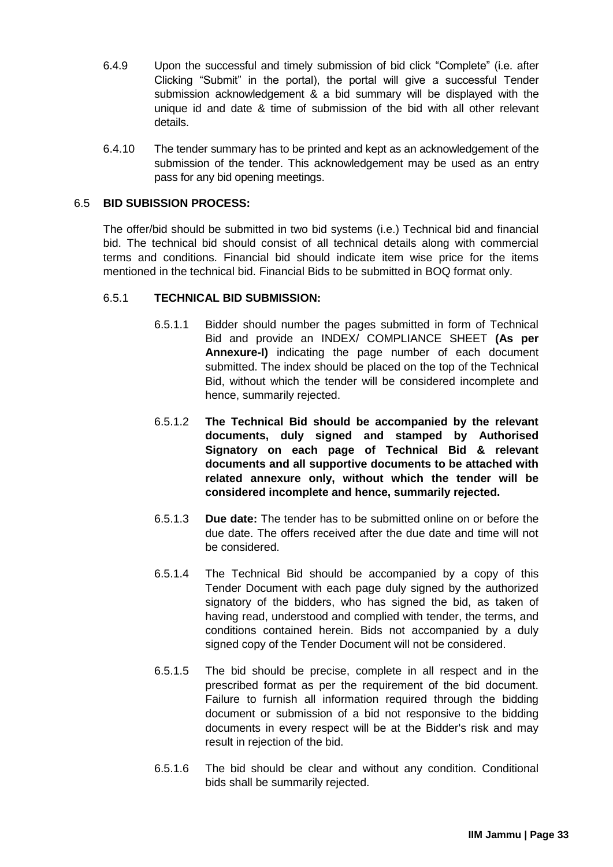- 6.4.9 Upon the successful and timely submission of bid click "Complete" (i.e. after Clicking "Submit" in the portal), the portal will give a successful Tender submission acknowledgement & a bid summary will be displayed with the unique id and date & time of submission of the bid with all other relevant details.
- 6.4.10 The tender summary has to be printed and kept as an acknowledgement of the submission of the tender. This acknowledgement may be used as an entry pass for any bid opening meetings.

### <span id="page-35-0"></span>6.5 **BID SUBISSION PROCESS:**

The offer/bid should be submitted in two bid systems (i.e.) Technical bid and financial bid. The technical bid should consist of all technical details along with commercial terms and conditions. Financial bid should indicate item wise price for the items mentioned in the technical bid. Financial Bids to be submitted in BOQ format only.

### <span id="page-35-1"></span>6.5.1 **TECHNICAL BID SUBMISSION:**

- 6.5.1.1 Bidder should number the pages submitted in form of Technical Bid and provide an INDEX/ COMPLIANCE SHEET **(As per Annexure-I)** indicating the page number of each document submitted. The index should be placed on the top of the Technical Bid, without which the tender will be considered incomplete and hence, summarily rejected.
- 6.5.1.2 **The Technical Bid should be accompanied by the relevant documents, duly signed and stamped by Authorised Signatory on each page of Technical Bid & relevant documents and all supportive documents to be attached with related annexure only, without which the tender will be considered incomplete and hence, summarily rejected.**
- 6.5.1.3 **Due date:** The tender has to be submitted online on or before the due date. The offers received after the due date and time will not be considered.
- 6.5.1.4 The Technical Bid should be accompanied by a copy of this Tender Document with each page duly signed by the authorized signatory of the bidders, who has signed the bid, as taken of having read, understood and complied with tender, the terms, and conditions contained herein. Bids not accompanied by a duly signed copy of the Tender Document will not be considered.
- 6.5.1.5 The bid should be precise, complete in all respect and in the prescribed format as per the requirement of the bid document. Failure to furnish all information required through the bidding document or submission of a bid not responsive to the bidding documents in every respect will be at the Bidder's risk and may result in rejection of the bid.
- 6.5.1.6 The bid should be clear and without any condition. Conditional bids shall be summarily rejected.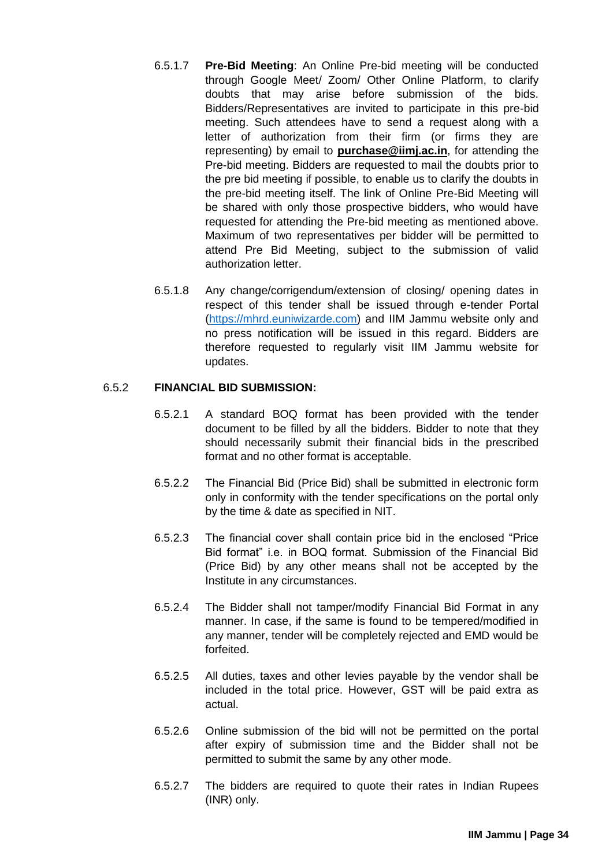- 6.5.1.7 **Pre-Bid Meeting**: An Online Pre-bid meeting will be conducted through Google Meet/ Zoom/ Other Online Platform, to clarify doubts that may arise before submission of the bids. Bidders/Representatives are invited to participate in this pre-bid meeting. Such attendees have to send a request along with a letter of authorization from their firm (or firms they are representing) by email to **purchase@iimj.ac.in**, for attending the Pre-bid meeting. Bidders are requested to mail the doubts prior to the pre bid meeting if possible, to enable us to clarify the doubts in the pre-bid meeting itself. The link of Online Pre-Bid Meeting will be shared with only those prospective bidders, who would have requested for attending the Pre-bid meeting as mentioned above. Maximum of two representatives per bidder will be permitted to attend Pre Bid Meeting, subject to the submission of valid authorization letter.
- 6.5.1.8 Any change/corrigendum/extension of closing/ opening dates in respect of this tender shall be issued through e-tender Portal [\(https://mhrd.euniwizarde.com\)](https://mhrd.euniwizarde.com/) and IIM Jammu website only and no press notification will be issued in this regard. Bidders are therefore requested to regularly visit IIM Jammu website for updates.

### <span id="page-36-0"></span>6.5.2 **FINANCIAL BID SUBMISSION:**

- 6.5.2.1 A standard BOQ format has been provided with the tender document to be filled by all the bidders. Bidder to note that they should necessarily submit their financial bids in the prescribed format and no other format is acceptable.
- 6.5.2.2 The Financial Bid (Price Bid) shall be submitted in electronic form only in conformity with the tender specifications on the portal only by the time & date as specified in NIT.
- 6.5.2.3 The financial cover shall contain price bid in the enclosed "Price Bid format" i.e. in BOQ format. Submission of the Financial Bid (Price Bid) by any other means shall not be accepted by the Institute in any circumstances.
- 6.5.2.4 The Bidder shall not tamper/modify Financial Bid Format in any manner. In case, if the same is found to be tempered/modified in any manner, tender will be completely rejected and EMD would be forfeited.
- 6.5.2.5 All duties, taxes and other levies payable by the vendor shall be included in the total price. However, GST will be paid extra as actual.
- 6.5.2.6 Online submission of the bid will not be permitted on the portal after expiry of submission time and the Bidder shall not be permitted to submit the same by any other mode.
- 6.5.2.7 The bidders are required to quote their rates in Indian Rupees (INR) only.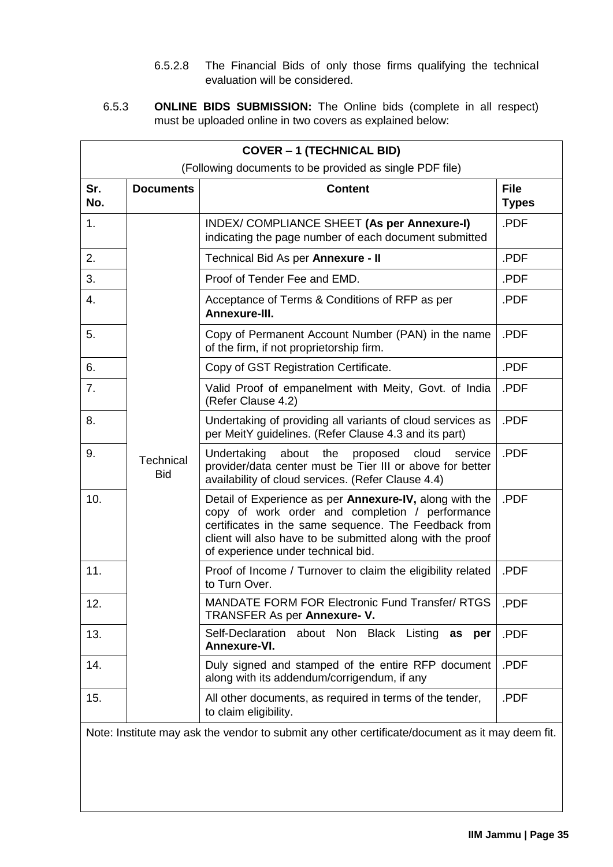- 6.5.2.8 The Financial Bids of only those firms qualifying the technical evaluation will be considered.
- <span id="page-37-0"></span>6.5.3 **ONLINE BIDS SUBMISSION:** The Online bids (complete in all respect) must be uploaded online in two covers as explained below:

| <b>COVER - 1 (TECHNICAL BID)</b>                                                                |                         |                                                                                                                                                                                                                                                                        |                             |  |  |
|-------------------------------------------------------------------------------------------------|-------------------------|------------------------------------------------------------------------------------------------------------------------------------------------------------------------------------------------------------------------------------------------------------------------|-----------------------------|--|--|
| (Following documents to be provided as single PDF file)                                         |                         |                                                                                                                                                                                                                                                                        |                             |  |  |
| Sr.<br>No.                                                                                      | <b>Documents</b>        | <b>Content</b>                                                                                                                                                                                                                                                         | <b>File</b><br><b>Types</b> |  |  |
| 1.                                                                                              |                         | INDEX/ COMPLIANCE SHEET (As per Annexure-I)<br>indicating the page number of each document submitted                                                                                                                                                                   | .PDF                        |  |  |
| 2.                                                                                              |                         | Technical Bid As per Annexure - II                                                                                                                                                                                                                                     | .PDF                        |  |  |
| 3.                                                                                              |                         | Proof of Tender Fee and EMD.                                                                                                                                                                                                                                           | .PDF                        |  |  |
| 4.                                                                                              |                         | Acceptance of Terms & Conditions of RFP as per<br>Annexure-III.                                                                                                                                                                                                        | .PDF                        |  |  |
| 5.                                                                                              |                         | Copy of Permanent Account Number (PAN) in the name<br>of the firm, if not proprietorship firm.                                                                                                                                                                         | .PDF                        |  |  |
| 6.                                                                                              |                         | Copy of GST Registration Certificate.                                                                                                                                                                                                                                  | .PDF                        |  |  |
| 7.                                                                                              |                         | Valid Proof of empanelment with Meity, Govt. of India<br>(Refer Clause 4.2)                                                                                                                                                                                            | .PDF                        |  |  |
| 8.                                                                                              |                         | Undertaking of providing all variants of cloud services as<br>per MeitY guidelines. (Refer Clause 4.3 and its part)                                                                                                                                                    | .PDF                        |  |  |
| 9.                                                                                              | Technical<br><b>Bid</b> | Undertaking<br>about<br>the<br>proposed<br>cloud<br>service<br>provider/data center must be Tier III or above for better<br>availability of cloud services. (Refer Clause 4.4)                                                                                         | .PDF                        |  |  |
| 10.                                                                                             |                         | Detail of Experience as per Annexure-IV, along with the<br>copy of work order and completion / performance<br>certificates in the same sequence. The Feedback from<br>client will also have to be submitted along with the proof<br>of experience under technical bid. | .PDF                        |  |  |
| 11.                                                                                             |                         | Proof of Income / Turnover to claim the eligibility related<br>to Turn Over.                                                                                                                                                                                           | .PDF                        |  |  |
| 12.                                                                                             |                         | MANDATE FORM FOR Electronic Fund Transfer/ RTGS<br>TRANSFER As per Annexure- V.                                                                                                                                                                                        | .PDF                        |  |  |
| 13.                                                                                             |                         | Self-Declaration about Non Black Listing<br>as<br>per<br>Annexure-VI.                                                                                                                                                                                                  | .PDF                        |  |  |
| 14.                                                                                             |                         | Duly signed and stamped of the entire RFP document<br>along with its addendum/corrigendum, if any                                                                                                                                                                      | .PDF                        |  |  |
| 15.                                                                                             |                         | All other documents, as required in terms of the tender,<br>to claim eligibility.                                                                                                                                                                                      | .PDF                        |  |  |
| Note: Institute may ask the vendor to submit any other certificate/document as it may deem fit. |                         |                                                                                                                                                                                                                                                                        |                             |  |  |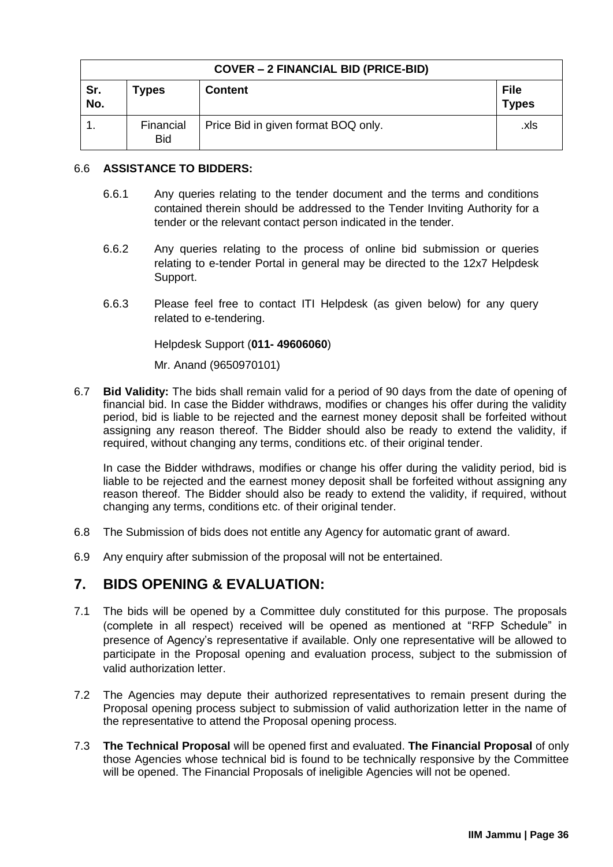| <b>COVER – 2 FINANCIAL BID (PRICE-BID)</b> |                         |                                     |                             |  |  |
|--------------------------------------------|-------------------------|-------------------------------------|-----------------------------|--|--|
| Sr.<br>No.                                 | <b>Types</b>            | <b>Content</b>                      | <b>File</b><br><b>Types</b> |  |  |
|                                            | Financial<br><b>Bid</b> | Price Bid in given format BOQ only. | .xls                        |  |  |

### <span id="page-38-0"></span>6.6 **ASSISTANCE TO BIDDERS:**

- 6.6.1 Any queries relating to the tender document and the terms and conditions contained therein should be addressed to the Tender Inviting Authority for a tender or the relevant contact person indicated in the tender.
- 6.6.2 Any queries relating to the process of online bid submission or queries relating to e-tender Portal in general may be directed to the 12x7 Helpdesk Support.
- 6.6.3 Please feel free to contact ITI Helpdesk (as given below) for any query related to e-tendering.

Helpdesk Support (**011- 49606060**)

Mr. Anand (9650970101)

6.7 **Bid Validity:** The bids shall remain valid for a period of 90 days from the date of opening of financial bid. In case the Bidder withdraws, modifies or changes his offer during the validity period, bid is liable to be rejected and the earnest money deposit shall be forfeited without assigning any reason thereof. The Bidder should also be ready to extend the validity, if required, without changing any terms, conditions etc. of their original tender.

In case the Bidder withdraws, modifies or change his offer during the validity period, bid is liable to be rejected and the earnest money deposit shall be forfeited without assigning any reason thereof. The Bidder should also be ready to extend the validity, if required, without changing any terms, conditions etc. of their original tender.

- 6.8 The Submission of bids does not entitle any Agency for automatic grant of award.
- 6.9 Any enquiry after submission of the proposal will not be entertained.

# <span id="page-38-1"></span>**7. BIDS OPENING & EVALUATION:**

- 7.1 The bids will be opened by a Committee duly constituted for this purpose. The proposals (complete in all respect) received will be opened as mentioned at "RFP Schedule" in presence of Agency's representative if available. Only one representative will be allowed to participate in the Proposal opening and evaluation process, subject to the submission of valid authorization letter.
- 7.2 The Agencies may depute their authorized representatives to remain present during the Proposal opening process subject to submission of valid authorization letter in the name of the representative to attend the Proposal opening process.
- 7.3 **The Technical Proposal** will be opened first and evaluated. **The Financial Proposal** of only those Agencies whose technical bid is found to be technically responsive by the Committee will be opened. The Financial Proposals of ineligible Agencies will not be opened.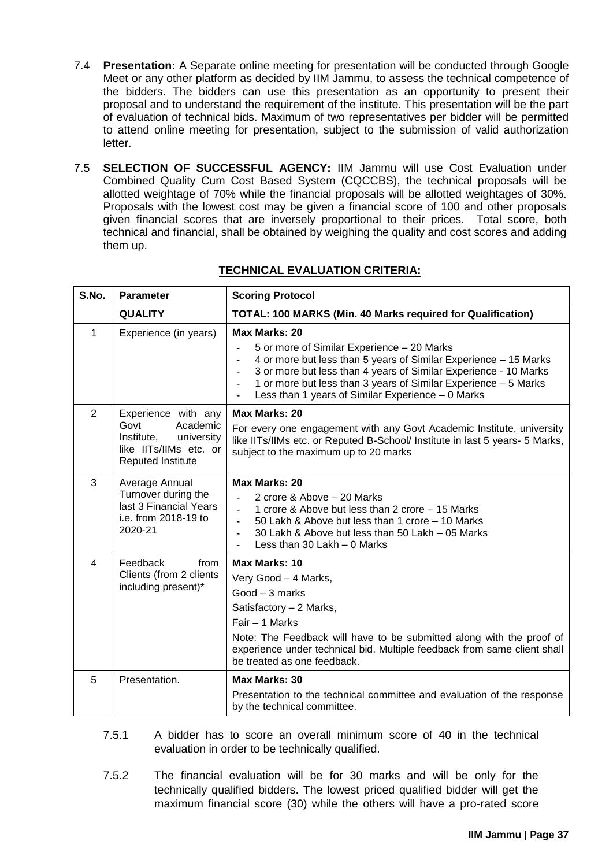- 7.4 **Presentation:** A Separate online meeting for presentation will be conducted through Google Meet or any other platform as decided by IIM Jammu, to assess the technical competence of the bidders. The bidders can use this presentation as an opportunity to present their proposal and to understand the requirement of the institute. This presentation will be the part of evaluation of technical bids. Maximum of two representatives per bidder will be permitted to attend online meeting for presentation, subject to the submission of valid authorization letter.
- <span id="page-39-0"></span>7.5 **SELECTION OF SUCCESSFUL AGENCY:** IIM Jammu will use Cost Evaluation under Combined Quality Cum Cost Based System (CQCCBS), the technical proposals will be allotted weightage of 70% while the financial proposals will be allotted weightages of 30%. Proposals with the lowest cost may be given a financial score of 100 and other proposals given financial scores that are inversely proportional to their prices. Total score, both technical and financial, shall be obtained by weighing the quality and cost scores and adding them up.

| S.No.        | <b>Parameter</b>                                                                                                   | <b>Scoring Protocol</b>                                                                                                                                                                                                                                                                                                                                         |
|--------------|--------------------------------------------------------------------------------------------------------------------|-----------------------------------------------------------------------------------------------------------------------------------------------------------------------------------------------------------------------------------------------------------------------------------------------------------------------------------------------------------------|
|              | <b>QUALITY</b>                                                                                                     | TOTAL: 100 MARKS (Min. 40 Marks required for Qualification)                                                                                                                                                                                                                                                                                                     |
| $\mathbf{1}$ | Experience (in years)                                                                                              | Max Marks: 20<br>5 or more of Similar Experience - 20 Marks<br>4 or more but less than 5 years of Similar Experience - 15 Marks<br>3 or more but less than 4 years of Similar Experience - 10 Marks<br>1 or more but less than 3 years of Similar Experience - 5 Marks<br>$\blacksquare$<br>Less than 1 years of Similar Experience - 0 Marks<br>$\blacksquare$ |
| 2            | Experience with any<br>Govt<br>Academic<br>Institute,<br>university<br>like IITs/IIMs etc. or<br>Reputed Institute | <b>Max Marks: 20</b><br>For every one engagement with any Govt Academic Institute, university<br>like IITs/IIMs etc. or Reputed B-School/ Institute in last 5 years- 5 Marks,<br>subject to the maximum up to 20 marks                                                                                                                                          |
| 3            | Average Annual<br>Turnover during the<br>last 3 Financial Years<br>i.e. from 2018-19 to<br>2020-21                 | Max Marks: 20<br>2 crore & Above - 20 Marks<br>1 crore & Above but less than 2 crore – 15 Marks<br>50 Lakh & Above but less than 1 crore - 10 Marks<br>30 Lakh & Above but less than 50 Lakh - 05 Marks<br>Less than 30 Lakh - 0 Marks                                                                                                                          |
| 4            | Feedback<br>from<br>Clients (from 2 clients<br>including present)*                                                 | Max Marks: 10<br>Very Good - 4 Marks,<br>Good - 3 marks<br>Satisfactory - 2 Marks,<br>Fair - 1 Marks<br>Note: The Feedback will have to be submitted along with the proof of<br>experience under technical bid. Multiple feedback from same client shall<br>be treated as one feedback.                                                                         |
| 5            | Presentation.                                                                                                      | Max Marks: 30<br>Presentation to the technical committee and evaluation of the response<br>by the technical committee.                                                                                                                                                                                                                                          |

### **TECHNICAL EVALUATION CRITERIA:**

- 7.5.1 A bidder has to score an overall minimum score of 40 in the technical evaluation in order to be technically qualified.
- 7.5.2 The financial evaluation will be for 30 marks and will be only for the technically qualified bidders. The lowest priced qualified bidder will get the maximum financial score (30) while the others will have a pro-rated score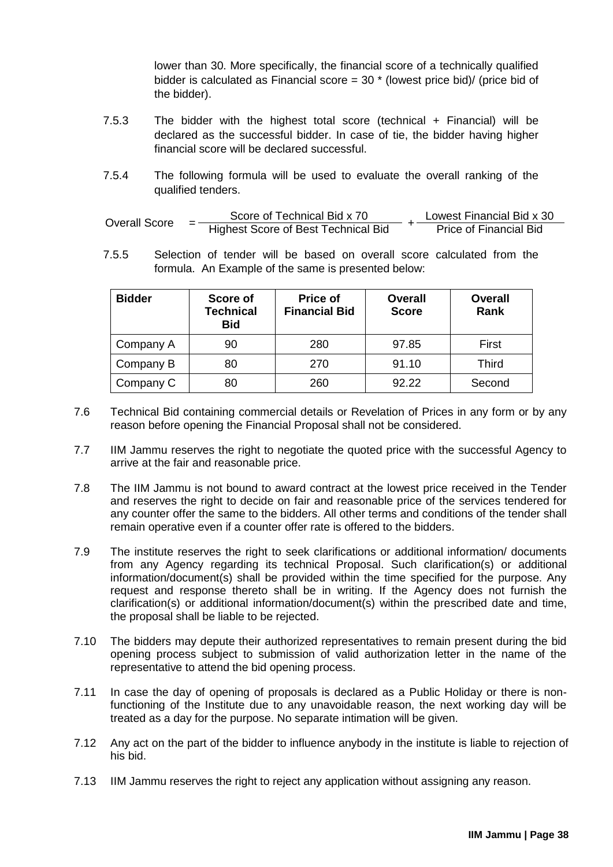lower than 30. More specifically, the financial score of a technically qualified bidder is calculated as Financial score =  $30 *$  (lowest price bid)/ (price bid of the bidder).

- 7.5.3 The bidder with the highest total score (technical + Financial) will be declared as the successful bidder. In case of tie, the bidder having higher financial score will be declared successful.
- 7.5.4 The following formula will be used to evaluate the overall ranking of the qualified tenders.

| Overall Score |   | Score of Technical Bid x 70         | Lowest Financial Bid x 30     |
|---------------|---|-------------------------------------|-------------------------------|
|               | - | Highest Score of Best Technical Bid | <b>Price of Financial Bid</b> |

7.5.5 Selection of tender will be based on overall score calculated from the formula. An Example of the same is presented below:

| <b>Bidder</b> | Score of<br><b>Technical</b><br><b>Bid</b> | Price of<br><b>Financial Bid</b> | <b>Overall</b><br><b>Score</b> | <b>Overall</b><br><b>Rank</b> |
|---------------|--------------------------------------------|----------------------------------|--------------------------------|-------------------------------|
| Company A     | 90                                         | 280                              | 97.85                          | First                         |
| Company B     | 80                                         | 270                              | 91.10                          | <b>Third</b>                  |
| Company C     |                                            | 260                              | 92.22                          | Second                        |

- 7.6 Technical Bid containing commercial details or Revelation of Prices in any form or by any reason before opening the Financial Proposal shall not be considered.
- 7.7 IIM Jammu reserves the right to negotiate the quoted price with the successful Agency to arrive at the fair and reasonable price.
- 7.8 The IIM Jammu is not bound to award contract at the lowest price received in the Tender and reserves the right to decide on fair and reasonable price of the services tendered for any counter offer the same to the bidders. All other terms and conditions of the tender shall remain operative even if a counter offer rate is offered to the bidders.
- 7.9 The institute reserves the right to seek clarifications or additional information/ documents from any Agency regarding its technical Proposal. Such clarification(s) or additional information/document(s) shall be provided within the time specified for the purpose. Any request and response thereto shall be in writing. If the Agency does not furnish the clarification(s) or additional information/document(s) within the prescribed date and time, the proposal shall be liable to be rejected.
- 7.10 The bidders may depute their authorized representatives to remain present during the bid opening process subject to submission of valid authorization letter in the name of the representative to attend the bid opening process.
- 7.11 In case the day of opening of proposals is declared as a Public Holiday or there is nonfunctioning of the Institute due to any unavoidable reason, the next working day will be treated as a day for the purpose. No separate intimation will be given.
- 7.12 Any act on the part of the bidder to influence anybody in the institute is liable to rejection of his bid.
- 7.13 IIM Jammu reserves the right to reject any application without assigning any reason.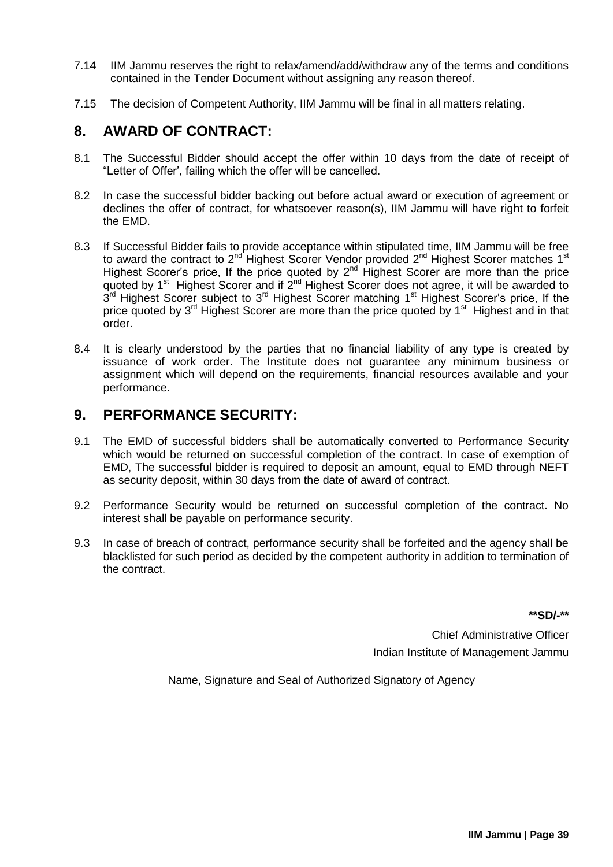- 7.14 IIM Jammu reserves the right to relax/amend/add/withdraw any of the terms and conditions contained in the Tender Document without assigning any reason thereof.
- 7.15 The decision of Competent Authority, IIM Jammu will be final in all matters relating.

# <span id="page-41-0"></span>**8. AWARD OF CONTRACT:**

- 8.1 The Successful Bidder should accept the offer within 10 days from the date of receipt of "Letter of Offer', failing which the offer will be cancelled.
- 8.2 In case the successful bidder backing out before actual award or execution of agreement or declines the offer of contract, for whatsoever reason(s), IIM Jammu will have right to forfeit the EMD.
- 8.3 If Successful Bidder fails to provide acceptance within stipulated time, IIM Jammu will be free to award the contract to 2<sup>nd</sup> Highest Scorer Vendor provided 2<sup>nd</sup> Highest Scorer matches 1<sup>st</sup> Highest Scorer's price, If the price quoted by  $2^{nd}$  Highest Scorer are more than the price quoted by 1<sup>st</sup> Highest Scorer and if 2<sup>nd</sup> Highest Scorer does not agree, it will be awarded to 3<sup>rd</sup> Highest Scorer subject to 3<sup>rd</sup> Highest Scorer matching 1<sup>st</sup> Highest Scorer's price, If the price quoted by 3<sup>rd</sup> Highest Scorer are more than the price quoted by 1<sup>st</sup> Highest and in that order.
- 8.4 It is clearly understood by the parties that no financial liability of any type is created by issuance of work order. The Institute does not guarantee any minimum business or assignment which will depend on the requirements, financial resources available and your performance.

# <span id="page-41-1"></span>**9. PERFORMANCE SECURITY:**

- 9.1 The EMD of successful bidders shall be automatically converted to Performance Security which would be returned on successful completion of the contract. In case of exemption of EMD, The successful bidder is required to deposit an amount, equal to EMD through NEFT as security deposit, within 30 days from the date of award of contract.
- 9.2 Performance Security would be returned on successful completion of the contract. No interest shall be payable on performance security.
- 9.3 In case of breach of contract, performance security shall be forfeited and the agency shall be blacklisted for such period as decided by the competent authority in addition to termination of the contract.

**\*\*SD/-\*\***

Chief Administrative Officer Indian Institute of Management Jammu

Name, Signature and Seal of Authorized Signatory of Agency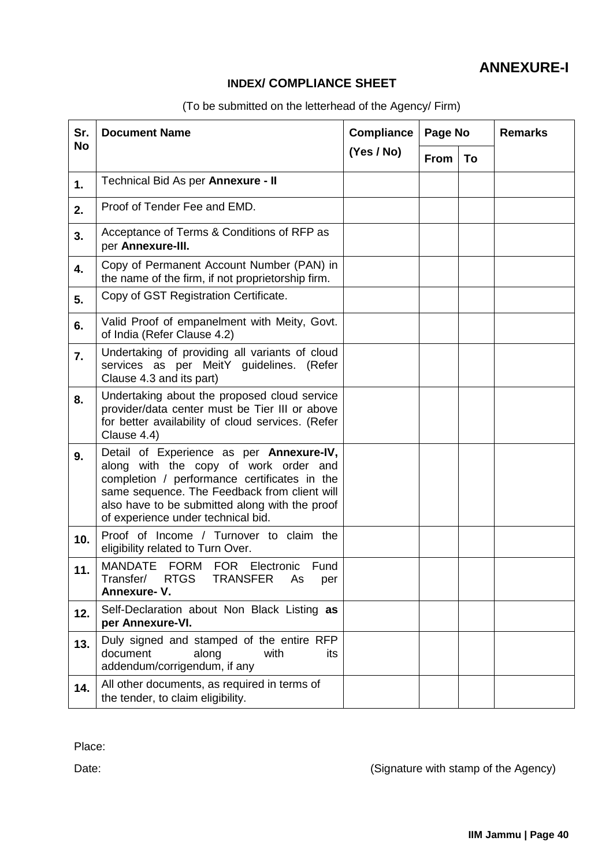# **ANNEXURE-I**

# **INDEX/ COMPLIANCE SHEET**

| (To be submitted on the letterhead of the Agency/ Firm) |  |  |  |  |  |
|---------------------------------------------------------|--|--|--|--|--|
|---------------------------------------------------------|--|--|--|--|--|

<span id="page-42-0"></span>

| Sr.       | <b>Document Name</b>                                                                                                                                                                                                                                                      | <b>Compliance</b> | Page No     |    | <b>Remarks</b> |
|-----------|---------------------------------------------------------------------------------------------------------------------------------------------------------------------------------------------------------------------------------------------------------------------------|-------------------|-------------|----|----------------|
| <b>No</b> |                                                                                                                                                                                                                                                                           | (Yes / No)        | <b>From</b> | To |                |
| 1.        | Technical Bid As per Annexure - II                                                                                                                                                                                                                                        |                   |             |    |                |
| 2.        | Proof of Tender Fee and EMD.                                                                                                                                                                                                                                              |                   |             |    |                |
| 3.        | Acceptance of Terms & Conditions of RFP as<br>per Annexure-III.                                                                                                                                                                                                           |                   |             |    |                |
| 4.        | Copy of Permanent Account Number (PAN) in<br>the name of the firm, if not proprietorship firm.                                                                                                                                                                            |                   |             |    |                |
| 5.        | Copy of GST Registration Certificate.                                                                                                                                                                                                                                     |                   |             |    |                |
| 6.        | Valid Proof of empanelment with Meity, Govt.<br>of India (Refer Clause 4.2)                                                                                                                                                                                               |                   |             |    |                |
| 7.        | Undertaking of providing all variants of cloud<br>services as per MeitY guidelines. (Refer<br>Clause 4.3 and its part)                                                                                                                                                    |                   |             |    |                |
| 8.        | Undertaking about the proposed cloud service<br>provider/data center must be Tier III or above<br>for better availability of cloud services. (Refer<br>Clause 4.4)                                                                                                        |                   |             |    |                |
| 9.        | Detail of Experience as per Annexure-IV,<br>along with the copy of work order and<br>completion / performance certificates in the<br>same sequence. The Feedback from client will<br>also have to be submitted along with the proof<br>of experience under technical bid. |                   |             |    |                |
| 10.       | Proof of Income / Turnover to claim the<br>eligibility related to Turn Over.                                                                                                                                                                                              |                   |             |    |                |
| 11.       | <b>MANDATE</b><br>FORM FOR Electronic Fund<br>RTGS TRANSFER<br>Transfer/<br>As per<br>Annexure-V.                                                                                                                                                                         |                   |             |    |                |
| 12.       | Self-Declaration about Non Black Listing as<br>per Annexure-VI.                                                                                                                                                                                                           |                   |             |    |                |
| 13.       | Duly signed and stamped of the entire RFP<br>document<br>along<br>with<br>its<br>addendum/corrigendum, if any                                                                                                                                                             |                   |             |    |                |
| 14.       | All other documents, as required in terms of<br>the tender, to claim eligibility.                                                                                                                                                                                         |                   |             |    |                |

Place:

Date: Date: Contract the Agency of the Agency of the Agency of the Agency of the Agency of the Agency of the Agency of the Agency of the Agency of the Agency of the Agency of the Agency of the Agency of the Agency of the A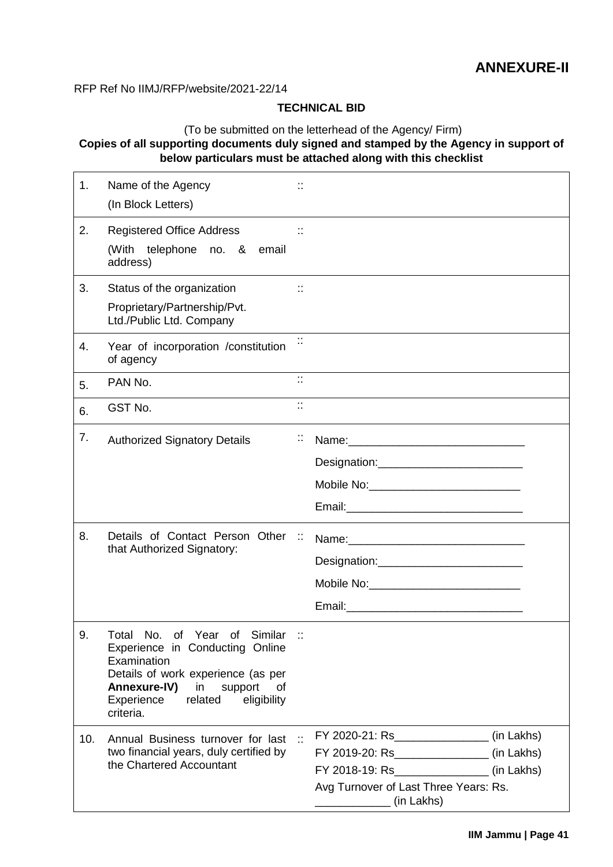<span id="page-43-0"></span>RFP Ref No IIMJ/RFP/website/2021-22/14

### **TECHNICAL BID**

### (To be submitted on the letterhead of the Agency/ Firm) **Copies of all supporting documents duly signed and stamped by the Agency in support of below particulars must be attached along with this checklist**

| 1.  | Name of the Agency<br>(In Block Letters)                                                                                                                                                                                   | ∷                    |                                                                                                                                               |  |
|-----|----------------------------------------------------------------------------------------------------------------------------------------------------------------------------------------------------------------------------|----------------------|-----------------------------------------------------------------------------------------------------------------------------------------------|--|
| 2.  | <b>Registered Office Address</b><br>telephone no. & email<br>(With<br>address)                                                                                                                                             |                      |                                                                                                                                               |  |
| 3.  | Status of the organization                                                                                                                                                                                                 | $\ddot{\phantom{a}}$ |                                                                                                                                               |  |
|     | Proprietary/Partnership/Pvt.<br>Ltd./Public Ltd. Company                                                                                                                                                                   |                      |                                                                                                                                               |  |
| 4.  | Year of incorporation /constitution<br>of agency                                                                                                                                                                           |                      |                                                                                                                                               |  |
| 5.  | PAN No.                                                                                                                                                                                                                    | $\ddot{\Omega}$      |                                                                                                                                               |  |
| 6.  | GST No.                                                                                                                                                                                                                    | $\ddot{\mathbb{R}}$  |                                                                                                                                               |  |
| 7.  | <b>Authorized Signatory Details</b>                                                                                                                                                                                        | П                    | Mobile No: ______________________________                                                                                                     |  |
| 8.  | Details of Contact Person Other ::<br>that Authorized Signatory:                                                                                                                                                           |                      | Mobile No: _______________________________                                                                                                    |  |
| 9.  | Total No. of Year of Similar ::<br>Experience in Conducting Online<br>Examination<br>Details of work experience (as per<br><b>Annexure-IV)</b><br>support<br>in<br>0f<br>Experience<br>related<br>eligibility<br>criteria. |                      |                                                                                                                                               |  |
| 10. | Annual Business turnover for last<br>two financial years, duly certified by<br>the Chartered Accountant                                                                                                                    |                      | FY 2019-20: Rs_________________(in Lakhs)<br>FY 2018-19: Rs_________________(in Lakhs)<br>Avg Turnover of Last Three Years: Rs.<br>(in Lakhs) |  |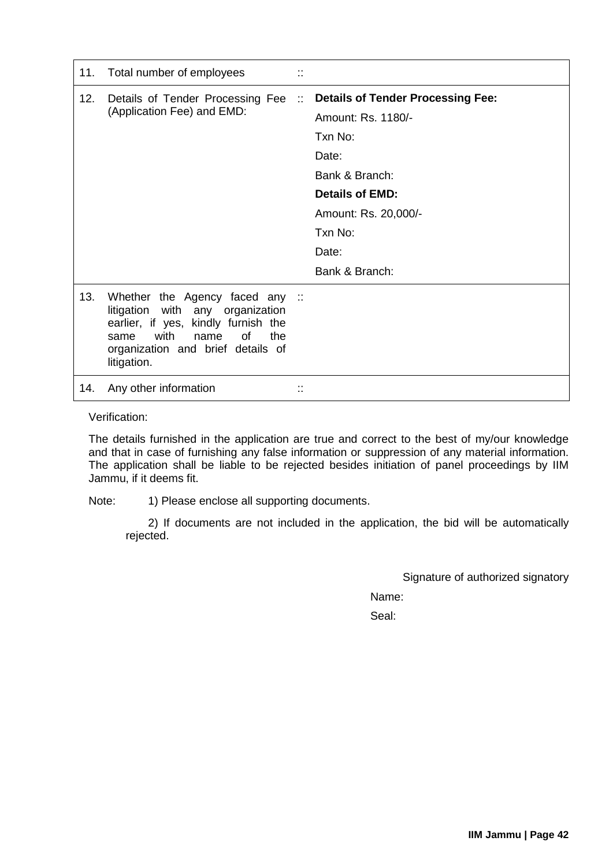| 11. | Total number of employees                                                                                                                                                                           | <br>$\ddot{\phantom{a}}$ |                                                                                                                                                                                       |
|-----|-----------------------------------------------------------------------------------------------------------------------------------------------------------------------------------------------------|--------------------------|---------------------------------------------------------------------------------------------------------------------------------------------------------------------------------------|
| 12. | Details of Tender Processing Fee<br>(Application Fee) and EMD:                                                                                                                                      | $\sim$ 11                | <b>Details of Tender Processing Fee:</b><br>Amount: Rs. 1180/-<br>Txn No:<br>Date:<br>Bank & Branch:<br>Details of EMD:<br>Amount: Rs. 20,000/-<br>Txn No:<br>Date:<br>Bank & Branch: |
| 13. | Whether the Agency faced any ::<br>litigation with any organization<br>earlier, if yes, kindly furnish the<br>with<br>οf<br>name<br>the<br>same<br>organization and brief details of<br>litigation. |                          |                                                                                                                                                                                       |
| 14. | Any other information                                                                                                                                                                               | ٠.<br>٠.                 |                                                                                                                                                                                       |

Verification:

The details furnished in the application are true and correct to the best of my/our knowledge and that in case of furnishing any false information or suppression of any material information. The application shall be liable to be rejected besides initiation of panel proceedings by IIM Jammu, if it deems fit.

Note: 1) Please enclose all supporting documents.

2) If documents are not included in the application, the bid will be automatically rejected.

Signature of authorized signatory

Name: Seal: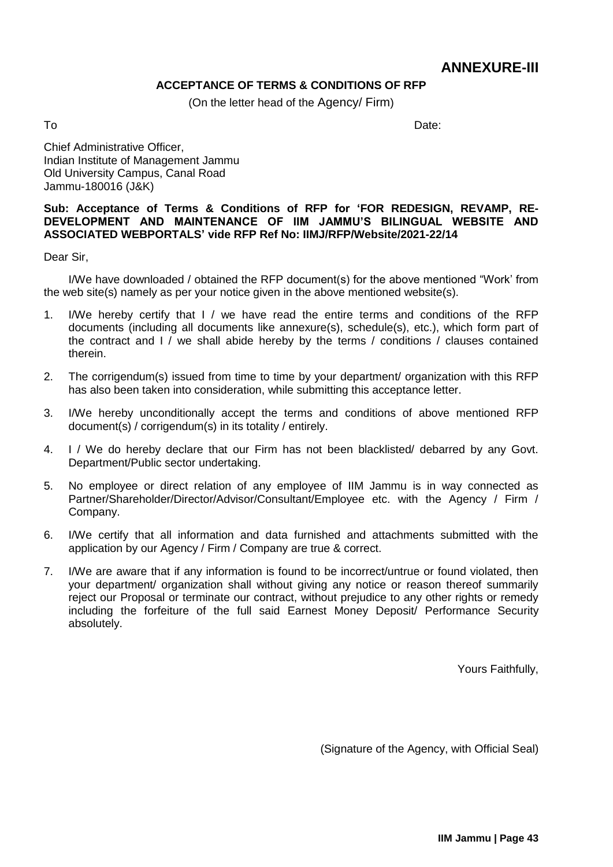# **ANNEXURE-III**

### **ACCEPTANCE OF TERMS & CONDITIONS OF RFP**

(On the letter head of the Agency/ Firm)

<span id="page-45-0"></span>

To and the Date: the Date: the Date: the Date: the Date: the Date: the Date: the Date:

Chief Administrative Officer, Indian Institute of Management Jammu Old University Campus, Canal Road Jammu-180016 (J&K)

### **Sub: Acceptance of Terms & Conditions of RFP for 'FOR REDESIGN, REVAMP, RE-DEVELOPMENT AND MAINTENANCE OF IIM JAMMU'S BILINGUAL WEBSITE AND ASSOCIATED WEBPORTALS' vide RFP Ref No: IIMJ/RFP/Website/2021-22/14**

Dear Sir,

I/We have downloaded / obtained the RFP document(s) for the above mentioned "Work' from the web site(s) namely as per your notice given in the above mentioned website(s).

- 1. I/We hereby certify that I / we have read the entire terms and conditions of the RFP documents (including all documents like annexure(s), schedule(s), etc.), which form part of the contract and I / we shall abide hereby by the terms / conditions / clauses contained therein.
- 2. The corrigendum(s) issued from time to time by your department/ organization with this RFP has also been taken into consideration, while submitting this acceptance letter.
- 3. I/We hereby unconditionally accept the terms and conditions of above mentioned RFP document(s) / corrigendum(s) in its totality / entirely.
- 4. I / We do hereby declare that our Firm has not been blacklisted/ debarred by any Govt. Department/Public sector undertaking.
- 5. No employee or direct relation of any employee of IIM Jammu is in way connected as Partner/Shareholder/Director/Advisor/Consultant/Employee etc. with the Agency / Firm / Company.
- 6. I/We certify that all information and data furnished and attachments submitted with the application by our Agency / Firm / Company are true & correct.
- 7. I/We are aware that if any information is found to be incorrect/untrue or found violated, then your department/ organization shall without giving any notice or reason thereof summarily reject our Proposal or terminate our contract, without prejudice to any other rights or remedy including the forfeiture of the full said Earnest Money Deposit/ Performance Security absolutely.

Yours Faithfully,

(Signature of the Agency, with Official Seal)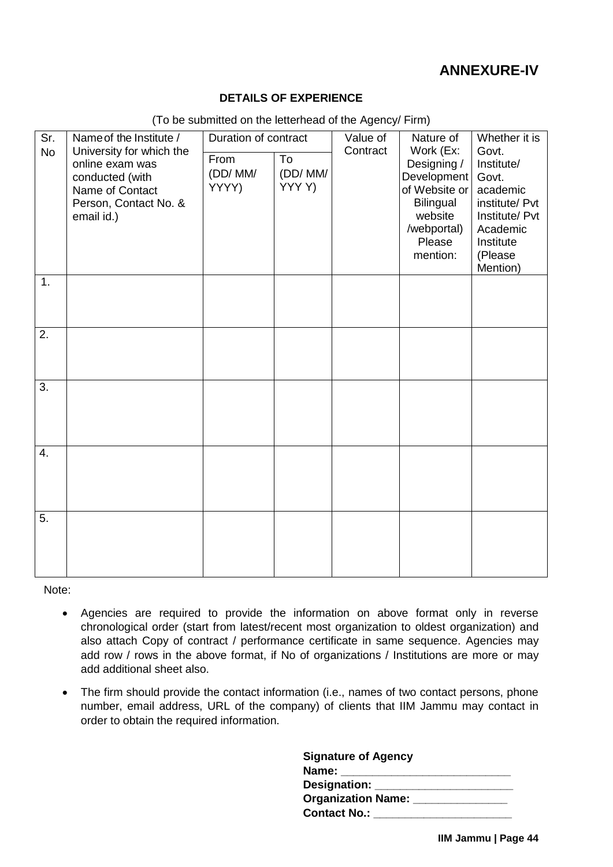# **ANNEXURE-IV**

### **DETAILS OF EXPERIENCE**

<span id="page-46-0"></span>

| Sr.              | Name of the Institute /                                                                                                  | Duration of contract     |                        | Value of | Nature of                                                                                                             | Whether it is<br>Govt.                                                                                              |  |  |
|------------------|--------------------------------------------------------------------------------------------------------------------------|--------------------------|------------------------|----------|-----------------------------------------------------------------------------------------------------------------------|---------------------------------------------------------------------------------------------------------------------|--|--|
| <b>No</b>        | University for which the<br>online exam was<br>conducted (with<br>Name of Contact<br>Person, Contact No. &<br>email id.) | From<br>(DD/MM/<br>YYYY) | To<br>(DD/MM/<br>YYYY) | Contract | Work (Ex:<br>Designing /<br>Development<br>of Website or<br>Bilingual<br>website<br>/webportal)<br>Please<br>mention: | Institute/<br>Govt.<br>academic<br>institute/ Pvt<br>Institute/ Pvt<br>Academic<br>Institute<br>(Please<br>Mention) |  |  |
| 1.               |                                                                                                                          |                          |                        |          |                                                                                                                       |                                                                                                                     |  |  |
| 2.               |                                                                                                                          |                          |                        |          |                                                                                                                       |                                                                                                                     |  |  |
| 3.               |                                                                                                                          |                          |                        |          |                                                                                                                       |                                                                                                                     |  |  |
| $\overline{4}$ . |                                                                                                                          |                          |                        |          |                                                                                                                       |                                                                                                                     |  |  |
| 5.               |                                                                                                                          |                          |                        |          |                                                                                                                       |                                                                                                                     |  |  |

(To be submitted on the letterhead of the Agency/ Firm)

Note:

- Agencies are required to provide the information on above format only in reverse chronological order (start from latest/recent most organization to oldest organization) and also attach Copy of contract / performance certificate in same sequence. Agencies may add row / rows in the above format, if No of organizations / Institutions are more or may add additional sheet also.
- The firm should provide the contact information (i.e., names of two contact persons, phone number, email address, URL of the company) of clients that IIM Jammu may contact in order to obtain the required information.

| <b>Signature of Agency</b> |  |
|----------------------------|--|
| Name: ______               |  |
| Designation: ______        |  |
| Organization Name: ______  |  |
| Contact No.:               |  |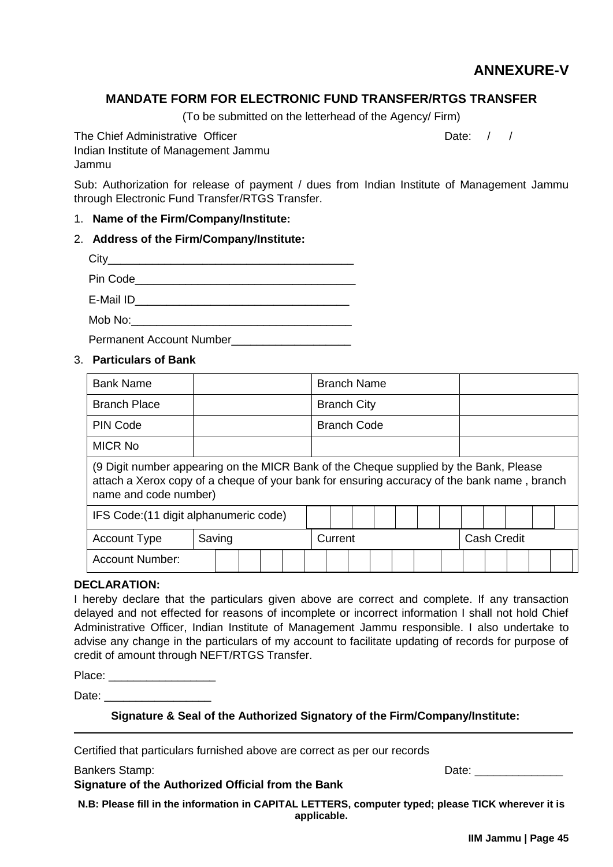# **ANNEXURE-V**

### <span id="page-47-0"></span>**MANDATE FORM FOR ELECTRONIC FUND TRANSFER/RTGS TRANSFER**

(To be submitted on the letterhead of the Agency/ Firm)

The Chief Administrative Officer **Date:** Date: / / Indian Institute of Management Jammu Jammu

Sub: Authorization for release of payment / dues from Indian Institute of Management Jammu through Electronic Fund Transfer/RTGS Transfer.

### 1. **Name of the Firm/Company/Institute:**

### 2. **Address of the Firm/Company/Institute:**

| City      |  |  |
|-----------|--|--|
| Pin Code  |  |  |
| E-Mail ID |  |  |

 $\mathsf{Mob} \mathsf{No}: \mathsf{C}$ Permanent Account Number

### 3. **Particulars of Bank**

| <b>Bank Name</b>                                                                                                                                                                                              |        |  |  |  |  | <b>Branch Name</b> |  |                    |  |                    |  |  |  |  |  |  |
|---------------------------------------------------------------------------------------------------------------------------------------------------------------------------------------------------------------|--------|--|--|--|--|--------------------|--|--------------------|--|--------------------|--|--|--|--|--|--|
| <b>Branch Place</b>                                                                                                                                                                                           |        |  |  |  |  |                    |  | <b>Branch City</b> |  |                    |  |  |  |  |  |  |
| <b>PIN Code</b>                                                                                                                                                                                               |        |  |  |  |  | <b>Branch Code</b> |  |                    |  |                    |  |  |  |  |  |  |
| <b>MICR No</b>                                                                                                                                                                                                |        |  |  |  |  |                    |  |                    |  |                    |  |  |  |  |  |  |
| (9 Digit number appearing on the MICR Bank of the Cheque supplied by the Bank, Please<br>attach a Xerox copy of a cheque of your bank for ensuring accuracy of the bank name, branch<br>name and code number) |        |  |  |  |  |                    |  |                    |  |                    |  |  |  |  |  |  |
| IFS Code: (11 digit alphanumeric code)                                                                                                                                                                        |        |  |  |  |  |                    |  |                    |  |                    |  |  |  |  |  |  |
| <b>Account Type</b>                                                                                                                                                                                           | Saving |  |  |  |  | Current            |  |                    |  | <b>Cash Credit</b> |  |  |  |  |  |  |
| <b>Account Number:</b>                                                                                                                                                                                        |        |  |  |  |  |                    |  |                    |  |                    |  |  |  |  |  |  |

#### **DECLARATION:**

I hereby declare that the particulars given above are correct and complete. If any transaction delayed and not effected for reasons of incomplete or incorrect information I shall not hold Chief Administrative Officer, Indian Institute of Management Jammu responsible. I also undertake to advise any change in the particulars of my account to facilitate updating of records for purpose of credit of amount through NEFT/RTGS Transfer.

| Place: |  |
|--------|--|
|        |  |

Date:

**Signature & Seal of the Authorized Signatory of the Firm/Company/Institute:**

Certified that particulars furnished above are correct as per our records

**Signature of the Authorized Official from the Bank**

Bankers Stamp: <u>Date:</u> **Date: Date: Date: Date: Date: Date: Date: Date: Date: Date: Date: Date: Date: Date: Date: Date: Date: Date: Date: Date: Date: Date: Date: Date: Date:** 

**N.B: Please fill in the information in CAPITAL LETTERS, computer typed; please TICK wherever it is applicable.**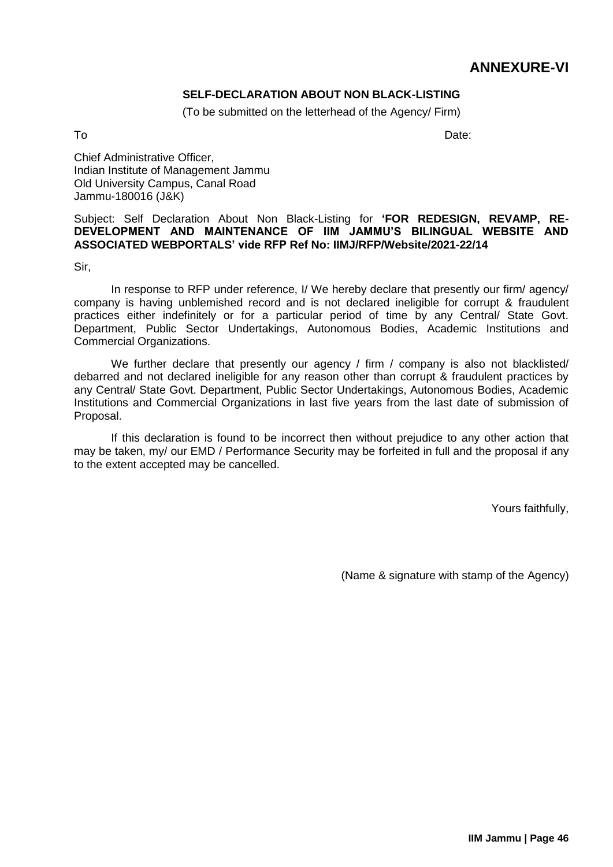# **ANNEXURE-VI**

### **SELF-DECLARATION ABOUT NON BLACK-LISTING**

(To be submitted on the letterhead of the Agency/ Firm)

<span id="page-48-0"></span>To and the Date: the Date: the Date: the Date: the Date: the Date: the Date: the Date:

Chief Administrative Officer, Indian Institute of Management Jammu Old University Campus, Canal Road Jammu-180016 (J&K)

Subject: Self Declaration About Non Black-Listing for **'FOR REDESIGN, REVAMP, RE-DEVELOPMENT AND MAINTENANCE OF IIM JAMMU'S BILINGUAL WEBSITE AND ASSOCIATED WEBPORTALS' vide RFP Ref No: IIMJ/RFP/Website/2021-22/14**

Sir,

In response to RFP under reference, I/ We hereby declare that presently our firm/ agency/ company is having unblemished record and is not declared ineligible for corrupt & fraudulent practices either indefinitely or for a particular period of time by any Central/ State Govt. Department, Public Sector Undertakings, Autonomous Bodies, Academic Institutions and Commercial Organizations.

We further declare that presently our agency / firm / company is also not blacklisted/ debarred and not declared ineligible for any reason other than corrupt & fraudulent practices by any Central/ State Govt. Department, Public Sector Undertakings, Autonomous Bodies, Academic Institutions and Commercial Organizations in last five years from the last date of submission of Proposal.

If this declaration is found to be incorrect then without prejudice to any other action that may be taken, my/ our EMD / Performance Security may be forfeited in full and the proposal if any to the extent accepted may be cancelled.

Yours faithfully,

(Name & signature with stamp of the Agency)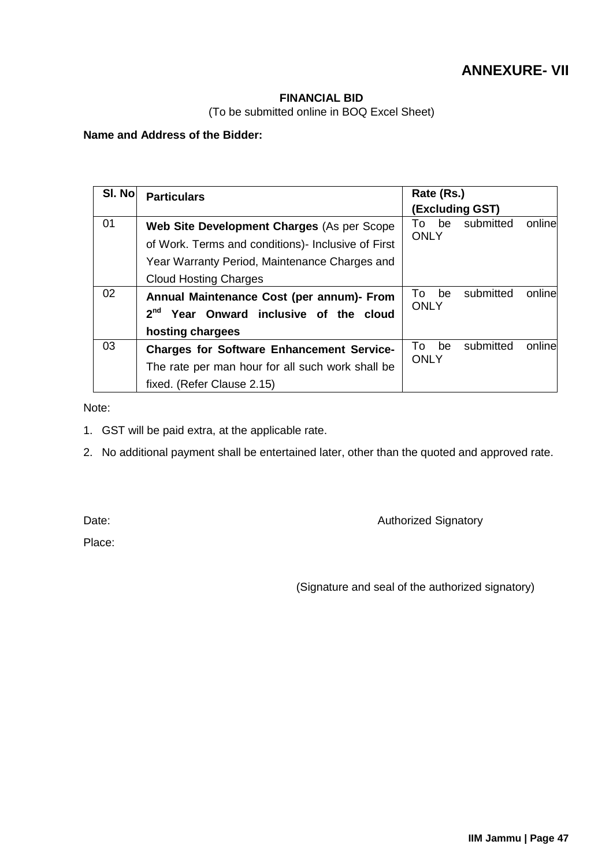# **ANNEXURE- VII**

### **FINANCIAL BID**

(To be submitted online in BOQ Excel Sheet)

### <span id="page-49-0"></span>**Name and Address of the Bidder:**

| SI. No | <b>Particulars</b>                                                                                                                 | Rate (Rs.)<br>(Excluding GST)                   |
|--------|------------------------------------------------------------------------------------------------------------------------------------|-------------------------------------------------|
| 01     | Web Site Development Charges (As per Scope<br>of Work. Terms and conditions) - Inclusive of First                                  | submitted<br>online<br>To be<br><b>ONLY</b>     |
|        | Year Warranty Period, Maintenance Charges and<br><b>Cloud Hosting Charges</b>                                                      |                                                 |
| 02     | Annual Maintenance Cost (per annum)- From<br>2 <sup>nd</sup> Year Onward inclusive of the cloud<br>hosting chargees                | online<br>submitted<br>То<br>be<br><b>ONLY</b>  |
| 03     | <b>Charges for Software Enhancement Service-</b><br>The rate per man hour for all such work shall be<br>fixed. (Refer Clause 2.15) | online<br>submitted<br>be<br>To:<br><b>ONLY</b> |

Note:

- 1. GST will be paid extra, at the applicable rate.
- 2. No additional payment shall be entertained later, other than the quoted and approved rate.

Date: **Date: CONSISTENT CONSISTENT CONSISTENT AUTHORIZED Signatory Authorized Signatory** 

Place:

(Signature and seal of the authorized signatory)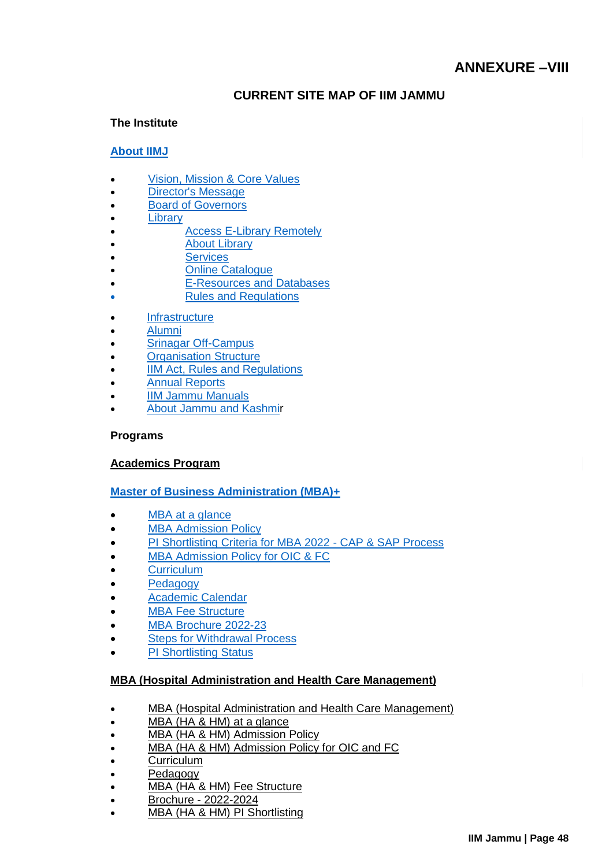### **CURRENT SITE MAP OF IIM JAMMU**

### <span id="page-50-0"></span>**The Institute**

### **[About IIMJ](https://www.iimj.ac.in/institute/about-iimj)**

- [Vision, Mission & Core Values](https://www.iimj.ac.in/institute/our-vision-mission-and-core-values)
- [Director's Message](https://www.iimj.ac.in/institute/director-messages)
- [Board of Governors](https://www.iimj.ac.in/institute/board-governors)
- **[Library](https://www.iimj.ac.in/institute/library)**
- [Access E-Library Remotely](http://iimjlibrary.remotexs.in/user/login)
- [About Library](https://www.iimj.ac.in/institute/library)
- **[Services](https://www.iimj.ac.in/library/services)**
- [Online Catalogue](http://koha.iimj.ac.in/)
- [E-Resources and Databases](https://www.iimj.ac.in/e-resources-and-databases)
- [Rules and Regulations](https://www.iimj.ac.in/library/rules-and-regulations)
- **[Infrastructure](https://www.iimj.ac.in/institute/infrastructure)**
- [Alumni](https://www.iimj.ac.in/institute/alumni)
- [Srinagar Off-Campus](https://www.iimj.ac.in/institute/iim-jammu-campus-srinagar)
- [Organisation Structure](http://www.iimj.ac.in/organisation-structure)
- **[IIM Act, Rules and Regulations](https://www.iimj.ac.in/act-and-regulations)**
- [Annual Reports](http://www.iimj.ac.in/iimj_annual_reports)
- [IIM Jammu Manuals](https://www.iimj.ac.in/manuals)
- [About Jammu and Kashmir](http://jammutourism.gov.in/)

#### **Programs**

#### **[Academics Program](https://www.iimj.ac.in/)**

### **[Master of Business Administration \(MBA\)+](https://www.iimj.ac.in/programs/post-graduate-program-pgp/admission-policy)**

- [MBA at a glance](https://www.iimj.ac.in/programs/master-business-administration-mba/mba-glance)
- [MBA Admission Policy](https://www.iimj.ac.in/programs/post-graduate-program-pgp/admission-policy)
- [PI Shortlisting Criteria for MBA 2022 -](https://www.iimj.ac.in/sites/default/files/2022-01/IIMJ_MBA_Batch_2022_CAP_SAP_updated.pdf) CAP & SAP Process
- [MBA Admission Policy for OIC & FC](https://www.iimj.ac.in/mba-admission-policy-oic-fc)
- **[Curriculum](https://www.iimj.ac.in/master-business-administration-mba/curriculum-design)**
- [Pedagogy](https://www.iimj.ac.in/programs/master-business-administration-mba/pedagogy)
- [Academic Calendar](https://www.iimj.ac.in/programs/post-graduate-program-pgp/academic-calendar)
- **[MBA Fee Structure](https://www.iimj.ac.in/programs/post-graduate-program-pgp/fee-structure-and-financing)**
- [MBA Brochure 2022-23](https://www.iimj.ac.in/sites/default/files/2022-02/MBA-Brochure-2022-23.pdf)
- [Steps for Withdrawal Process](https://www.iimj.ac.in/sites/default/files/2021-06/Withdrawal_of_Offer_Acceptance_MBA_2021-2023-Instructions.pdf)
- [PI Shortlisting Status](https://www.iimj.ac.in/studentpanel/student_dashboard)

### **[MBA \(Hospital Administration and Health Care Management\)](https://www.iimj.ac.in/mbaHAHM)**

- [MBA \(Hospital Administration and Health Care Management\)](https://www.iimj.ac.in/mbaHAHM)
- [MBA \(HA & HM\) at a glance](https://www.iimj.ac.in/mba-glance-0)
- [MBA \(HA & HM\) Admission Policy](https://www.iimj.ac.in/mba-admission-policy)
- [MBA \(HA & HM\) Admission Policy for OIC and FC](https://www.iimj.ac.in/mba-admission-policy-oic-and-fc)
- **[Curriculum](https://www.iimj.ac.in/mba-curriculum)**
- [Pedagogy](https://www.iimj.ac.in/mba-Pedagogy)
- [MBA \(HA & HM\) Fee Structure](https://www.iimj.ac.in/mba-fee-structure)
- Brochure [2022-2024](https://www.iimj.ac.in/sites/default/files/2022-02/IIMJMBA_HA_HM_22-24.pdf)
- [MBA \(HA & HM\) PI Shortlisting](https://www.iimj.ac.in/mba-pi-shortlisting)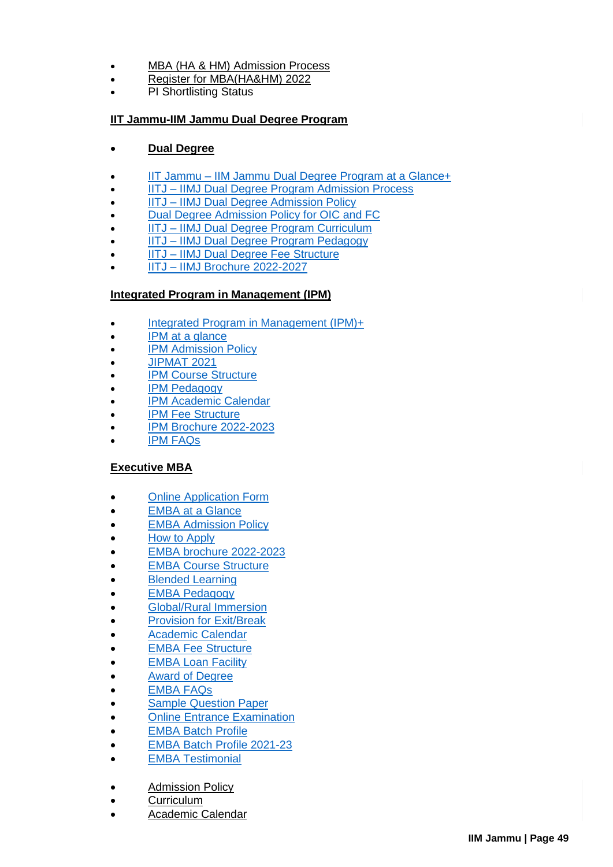- [MBA \(HA & HM\) Admission Process](https://www.iimj.ac.in/mba-admission-process)
- [Register for MBA\(HA&HM\) 2022](http://registration-mbahahm.iimj.ac.in/)
- PI Shortlisting Status

### **[IIT Jammu-IIM Jammu Dual Degree Program](https://www.iimj.ac.in/iitj-iimj-dual-degree-program-glance)**

### **[Dual Degree](https://www.iimj.ac.in/iitj-iimj-dual-degree-program-glance)**

- IIT Jammu [IIM Jammu Dual Degree Program at a Glance+](https://www.iimj.ac.in/iitj-iimj-dual-degree-program-glance)
- IITJ [IIMJ Dual Degree Program Admission Process](https://www.iimj.ac.in/dual-degree-program-admission-process)
- IITJ [IIMJ Dual Degree Admission Policy](https://www.iimj.ac.in/iitj-iimj-dual-degree-admission-policy)
- [Dual Degree Admission Policy for OIC and FC](https://www.iimj.ac.in/dual-degree-admission-policy-oic-and-fc)
- IITJ [IIMJ Dual Degree Program Curriculum](https://www.iimj.ac.in/iitj-iimj-dual-degree-program-curriculum)
- IITJ [IIMJ Dual Degree Program Pedagogy](https://www.iimj.ac.in/iitj-iimj-dual-degree-program-pedagogy)
- IITJ [IIMJ Dual Degree Fee Structure](https://www.iimj.ac.in/iitj-iimj-dual-degree-fee-structure)
- IITJ [IIMJ Brochure 2022-2027](https://www.iimj.ac.in/sites/default/files/2022-01/Dual%20Degree_0.pdf)

### **[Integrated Program in Management \(IPM\)](https://www.iimj.ac.in/programs/ipm/IPM_at_a_glance)**

- Integrated [Program in Management \(IPM\)+](https://www.iimj.ac.in/programs/ipm/IPM_at_a_glance)
- [IPM at a glance](https://www.iimj.ac.in/programs/ipm/IPM_at_a_glance)
- [IPM Admission Policy](https://www.iimj.ac.in/programs/ipm/ipm-admission-policy)
- [JIPMAT 2021](http://www.jipmat.ac.in/)
- [IPM Course Structure](https://www.iimj.ac.in/programs/ipm/structure)
- [IPM Pedagogy](https://www.iimj.ac.in/programs/ipm/pedagogy)
- [IPM Academic Calendar](https://www.iimj.ac.in/programs/ipm/academic_calendar)
- **[IPM Fee Structure](https://www.iimj.ac.in/programs/ipm/fee_structure)**
- [IPM Brochure 2022-2023](https://www.iimj.ac.in/sites/default/files/2022-01/IPM%202022-23.pdf)
- [IPM FAQs](https://www.iimj.ac.in/programs/ipm/ipm-faqs)

### **[Executive MBA](https://www.iimj.ac.in/EMBA)**

- [Online Application Form](https://emba-application.iimj.ac.in/login)
- [EMBA at a Glance](https://www.iimj.ac.in/programs/emba/emba_glance)
- **[EMBA Admission Policy](https://www.iimj.ac.in/programs/emba/admission_process)**
- [How to Apply](https://www.iimj.ac.in/programs/emba/how-apply)
- [EMBA brochure 2022-2023](https://www.iimj.ac.in/sites/default/files/2022-01/EMBABrochure22_23__updated.pdf)
- [EMBA Course Structure](https://www.iimj.ac.in/programs/emba/emba_program_structure)
- [Blended Learning](https://www.iimj.ac.in/programs/emba/blended_learning)
- [EMBA Pedagogy](https://www.iimj.ac.in/programs/emba/emba_pedagogy)
- [Global/Rural Immersion](https://www.iimj.ac.in/programs/emba/global_immersion)
- [Provision for Exit/Break](https://www.iimj.ac.in/programs/emba/exit_break)
- [Academic Calendar](https://www.iimj.ac.in/programs/emba/academic_calendar)
- [EMBA Fee Structure](https://www.iimj.ac.in/programs/emba/fee_structure)
- **[EMBA Loan Facility](https://www.iimj.ac.in/programs/emba/loan_facility)**
- [Award of Degree](https://www.iimj.ac.in/programs/emba/award_of_degree)
- [EMBA FAQs](https://www.iimj.ac.in/programs/emba/faqs)
- **•** [Sample Question Paper](https://www.iimj.ac.in/sites/default/files/2021-08/EMBA_Sample_Questions.pdf)
- [Online Entrance Examination](https://www.iimj.ac.in/programs/emba/exam)
- [EMBA Batch Profile](https://www.iimj.ac.in/EMBA)
- [EMBA Batch Profile 2021-23](https://www.iimj.ac.in/emba-batch-profile-1)
- [EMBA Testimonial](https://www.iimj.ac.in/programs/emba/testimonials)
- [Admission Policy](https://www.iimj.ac.in/programs/admission_policy)
- **[Curriculum](https://www.iimj.ac.in/programs/curriculum)**
- [Academic Calendar](https://www.iimj.ac.in/programs/post-graduate-program-pgp/academic-calendar)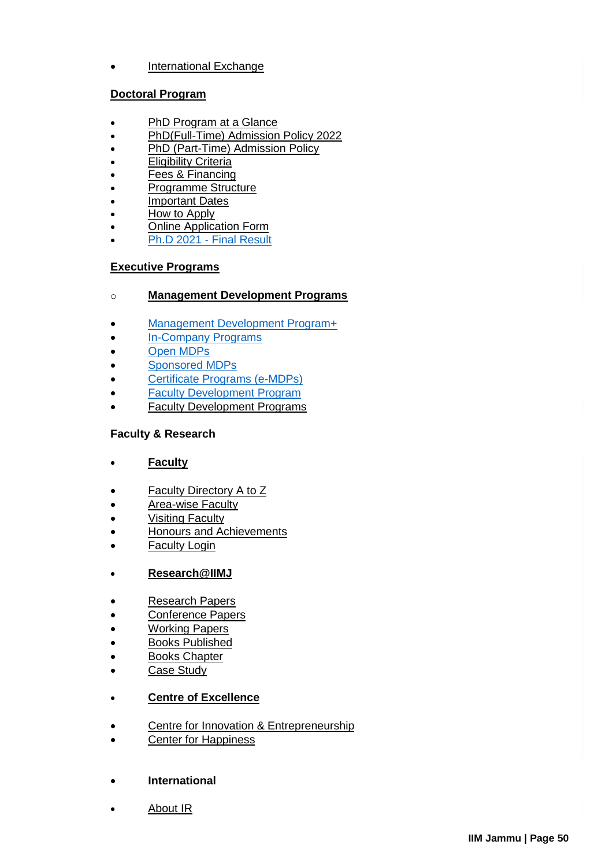[International Exchange](https://www.iimj.ac.in/exchange-programs)

### **[Doctoral Program](https://www.iimj.ac.in/)**

- [PhD Program at a Glance](https://www.iimj.ac.in/programs/doctoral-program)
- [PhD\(Full-Time\) Admission Policy 2022](https://www.iimj.ac.in/phd-admission-policy-2021)
- [PhD \(Part-Time\) Admission Policy](https://www.iimj.ac.in/phd-part-time-admission-policy)
- **[Eligibility Criteria](https://www.iimj.ac.in/programs/doctoral-program/eligibility-criteria)**
- [Fees & Financing](https://www.iimj.ac.in/programs/doctoral-program/fees-and-financing)
- [Programme Structure](https://www.iimj.ac.in/programme-structure)
- [Important Dates](https://www.iimj.ac.in/programs/doctoral-program/important-dates)
- [How to Apply](https://www.iimj.ac.in/programs/doctoral-program/how-apply)
- Online Application Form
- [Ph.D 2021 -](https://www.iimj.ac.in/sites/default/files/2021-06/Ph.DMeritList_2021_.pdf) Final Result

### **[Executive Programs](https://www.iimj.ac.in/)**

- o **[Management Development Programs](https://www.iimj.ac.in/management-development-programme)**
- [Management Development Program+](https://www.iimj.ac.in/management-development-programme)
- [In-Company Programs](https://www.iimj.ac.in/customized-programs)
- [Open MDPs](https://www.iimj.ac.in/open-mdps)
- [Sponsored MDPs](https://www.iimj.ac.in/sponsored-mdps)
- **•** [Certificate Programs \(e-MDPs\)](https://www.iimj.ac.in/executive-program/management-development-program/certificate-programs-e-mdps)
- [Faculty Development Program](https://www.iimj.ac.in/executive-program/faculty-development-program)
- [Faculty Development Programs](https://www.iimj.ac.in/executive-program/faculty-development-program)

### **Faculty & Research**

- **[Faculty](https://www.iimj.ac.in/)**
- [Faculty Directory A to Z](https://www.iimj.ac.in/faculty-profile)
- **[Area-wise Faculty](https://www.iimj.ac.in/faculty-list-by-area)**
- **[Visiting Faculty](https://www.iimj.ac.in/faculty-%26-research/faculty/visiting-faculty)**
- [Honours and Achievements](https://www.iimj.ac.in/faculty-%26-research/faculty/honours-and-achievements)
- [Faculty Login](http://www.iimj.ac.in/jammu_admin/)
- **[Research@IIMJ](https://www.iimj.ac.in/)**
- [Research Papers](https://www.iimj.ac.in/research-papers)
- [Conference Papers](https://www.iimj.ac.in/conference-papers)
- [Working Papers](https://www.iimj.ac.in/faculty-%26-research/research/working-papers)
- **[Books Published](https://www.iimj.ac.in/books-published)**
- [Books Chapter](https://www.iimj.ac.in/books-chapter)
- [Case Study](https://www.iimj.ac.in/case-study)

### **[Centre of Excellence](https://www.iimj.ac.in/)**

- [Centre for Innovation & Entrepreneurship](https://www.iimj.ac.in/centre-innovation-%26-entrepreneurship)
- [Center for Happiness](https://www.iimj.ac.in/anandam)
- **International**
- [About IR](https://www.iimj.ac.in/about-ir)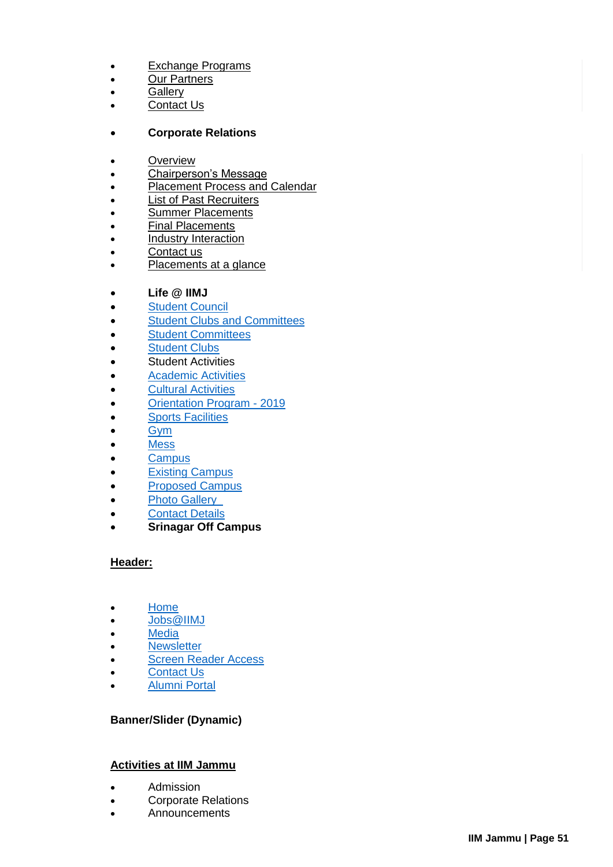- [Exchange Programs](https://www.iimj.ac.in/exchange-programs)
- [Our Partners](https://www.iimj.ac.in/international-partners)
- **•** [Gallery](https://www.iimj.ac.in/gallery)
- [Contact Us](https://www.iimj.ac.in/ir-office-contact)

### **Corporate Relations**

- [Overview](https://www.iimj.ac.in/overview)
- [Chairperson's Message](https://www.iimj.ac.in/chairpersons-message)
- [Placement Process and Calendar](https://www.iimj.ac.in/placement-process-and-calendar)
- **[List of Past Recruiters](https://www.iimj.ac.in/list-past-recruiters)**
- [Summer Placements](https://www.iimj.ac.in/summer-placements)
- **[Final Placements](https://www.iimj.ac.in/final-placements)**
- [Industry Interaction](https://www.iimj.ac.in/corporate/industry-interaction/leadership-talk-series)
- [Contact us](https://www.iimj.ac.in/placement_contacts)
- [Placements at a glance](http://placements.iimj.ac.in/)

### **Life @ IIMJ**

- **•** [Student Council](https://www.iimj.ac.in/student-council)
- [Student Clubs and Committees](https://www.iimj.ac.in/student-clubs)
- [Student Committees](https://www.iimj.ac.in/student-committees)
- [Student Clubs](https://www.iimj.ac.in/student-clubs)
- Student Activities
- [Academic Activities](https://www.iimj.ac.in/all-gallery-photos?n=20)
- [Cultural Activities](https://www.iimj.ac.in/cultural-activities)
- [Orientation Program -](https://www.iimj.ac.in/proposed-campus) 2019
- **•** [Sports Facilities](https://www.iimj.ac.in/students-council/sports-facility)
- $\bullet$  [Gym](https://www.iimj.ac.in/student-gym)
- [Mess](https://www.iimj.ac.in/mess)
- [Campus](https://www.iimj.ac.in/proposed-campus)
- **[Existing Campus](https://www.iimj.ac.in/existing-campus)**
- **[Proposed Campus](https://www.iimj.ac.in/proposed-campus)**
- [Photo Gallery](https://www.iimj.ac.in/photo-gallery)
- [Contact Details](https://www.iimj.ac.in/contact-details-0)
- **Srinagar Off Campus**

#### **Header:**

- [Home](https://www.iimj.ac.in/)
- [Jobs@IIMJ](https://www.iimj.ac.in/career)
- [Media](https://www.iimj.ac.in/media-room)
- **•** [Newsletter](https://www.iimj.ac.in/node/458)
- **[Screen Reader Access](https://www.iimj.ac.in/screen-reader-access)**
- [Contact Us](https://www.iimj.ac.in/office-address)
- [Alumni Portal](https://iimjammu.almaconnect.com/)

### **Banner/Slider (Dynamic)**

### **Activities at IIM Jammu**

- **Admission**
- Corporate Relations
- Announcements